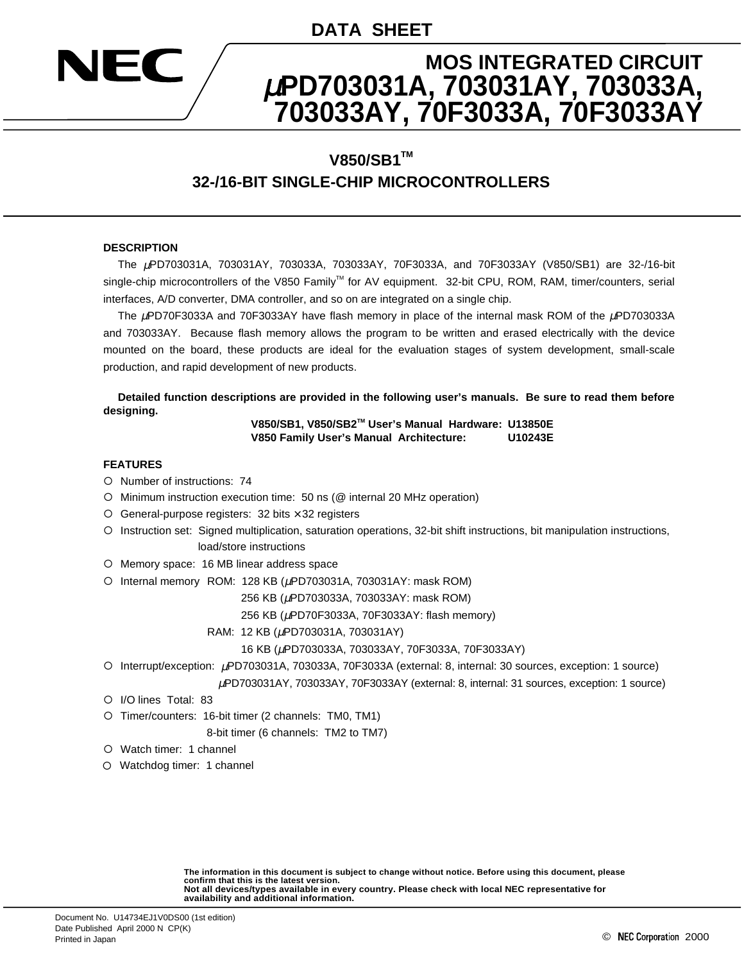## **DATA SHEET**

# **MOS INTEGRATED CIRCUIT** µ**PD703031A, 703031AY, 703033A, 703033AY, 70F3033A, 70F3033AY**

## **V850/SB1™ 32-/16-BIT SINGLE-CHIP MICROCONTROLLERS**

#### **DESCRIPTION**

HO CON

The µPD703031A, 703031AY, 703033A, 703033AY, 70F3033A, and 70F3033AY (V850/SB1) are 32-/16-bit single-chip microcontrollers of the V850 Family™ for AV equipment. 32-bit CPU, ROM, RAM, timer/counters, serial interfaces, A/D converter, DMA controller, and so on are integrated on a single chip.

The µPD70F3033A and 70F3033AY have flash memory in place of the internal mask ROM of the µPD703033A and 703033AY. Because flash memory allows the program to be written and erased electrically with the device mounted on the board, these products are ideal for the evaluation stages of system development, small-scale production, and rapid development of new products.

**Detailed function descriptions are provided in the following user's manuals. Be sure to read them before designing.**

#### **V850/SB1, V850/SB2TM User's Manual Hardware: U13850E V850 Family User's Manual Architecture: U10243E**

#### **FEATURES**

- { Number of instructions: 74
- { Minimum instruction execution time: 50 ns (@ internal 20 MHz operation)
- ${O}$  General-purpose registers: 32 bits  $\times$  32 registers
- { Instruction set: Signed multiplication, saturation operations, 32-bit shift instructions, bit manipulation instructions, load/store instructions
- { Memory space: 16 MB linear address space
- O Internal memory ROM: 128 KB (µPD703031A, 703031AY: mask ROM)

256 KB (µPD703033A, 703033AY: mask ROM)

256 KB (µPD70F3033A, 70F3033AY: flash memory)

RAM: 12 KB (µPD703031A, 703031AY)

16 KB (µPD703033A, 703033AY, 70F3033A, 70F3033AY)

{ Interrupt/exception: µPD703031A, 703033A, 70F3033A (external: 8, internal: 30 sources, exception: 1 source)

<sup>µ</sup>PD703031AY, 703033AY, 70F3033AY (external: 8, internal: 31 sources, exception: 1 source)

- { I/O lines Total: 83
- { Timer/counters: 16-bit timer (2 channels: TM0, TM1)

8-bit timer (6 channels: TM2 to TM7)

- { Watch timer: 1 channel
- { Watchdog timer: 1 channel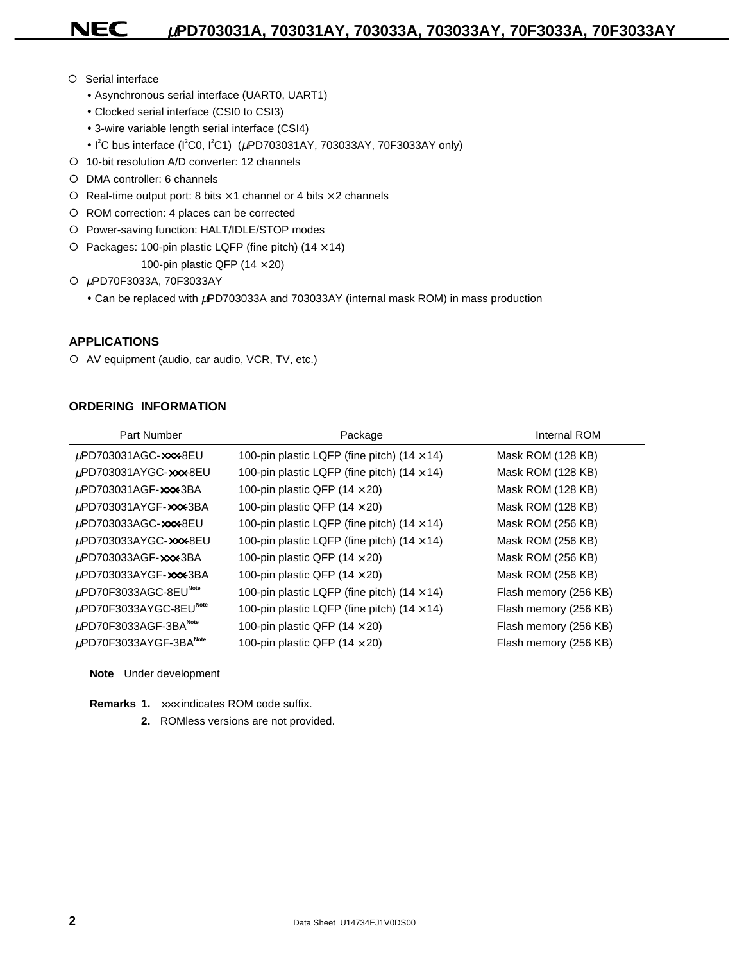O Serial interface

NEC

- Asynchronous serial interface (UART0, UART1)
- Clocked serial interface (CSI0 to CSI3)
- 3-wire variable length serial interface (CSI4)
- I<sup>2</sup>C bus interface (I<sup>2</sup>C0, I<sup>2</sup>C1) ( $\mu$ PD703031AY, 703033AY, 70F3033AY only)
- { 10-bit resolution A/D converter: 12 channels
- { DMA controller: 6 channels
- $\circ$  Real-time output port: 8 bits  $\times$  1 channel or 4 bits  $\times$  2 channels
- { ROM correction: 4 places can be corrected
- { Power-saving function: HALT/IDLE/STOP modes
- ${\circ}$  Packages: 100-pin plastic LQFP (fine pitch) (14  $\times$  14)

100-pin plastic QFP (14  $\times$  20)

{ <sup>µ</sup>PD70F3033A, 70F3033AY

• Can be replaced with  $\mu$ PD703033A and 703033AY (internal mask ROM) in mass production

### **APPLICATIONS**

{ AV equipment (audio, car audio, VCR, TV, etc.)

### **ORDERING INFORMATION**

| Part Number                                        | Package                                            | Internal ROM          |
|----------------------------------------------------|----------------------------------------------------|-----------------------|
| $\mu$ PD703031AGC-xxx-8EU                          | 100-pin plastic LQFP (fine pitch) (14 $\times$ 14) | Mask ROM (128 KB)     |
| µPD703031AYGC-xxx-8EU                              | 100-pin plastic LQFP (fine pitch) $(14 \times 14)$ | Mask ROM (128 KB)     |
| $\mu$ PD703031AGF- $\infty$ x-3BA                  | 100-pin plastic QFP $(14 \times 20)$               | Mask ROM (128 KB)     |
| $\mu$ PD703031AYGF- $\mathbf{x} \mathbf{x}$ -3BA   | 100-pin plastic QFP $(14 \times 20)$               | Mask ROM (128 KB)     |
| $\mu$ PD703033AGC-xxx-8EU                          | 100-pin plastic LQFP (fine pitch) $(14 \times 14)$ | Mask ROM (256 KB)     |
| µPD703033AYGC-xxx-8EU                              | 100-pin plastic LQFP (fine pitch) $(14 \times 14)$ | Mask ROM (256 KB)     |
| $\mu$ PD703033AGF- $\infty$ $\infty$ -3BA          | 100-pin plastic QFP (14 $\times$ 20)               | Mask ROM (256 KB)     |
| $\mu$ PD703033AYGF- $\mathbf{x}$ $\mathbf{x}$ -3BA | 100-pin plastic QFP $(14 \times 20)$               | Mask ROM (256 KB)     |
| $\mu$ PD70F3033AGC-8EU <sup>Note</sup>             | 100-pin plastic LQFP (fine pitch) $(14 \times 14)$ | Flash memory (256 KB) |
| $\mu$ PD70F3033AYGC-8EU <sup>Note</sup>            | 100-pin plastic LQFP (fine pitch) $(14 \times 14)$ | Flash memory (256 KB) |
| $\mu$ PD70F3033AGF-3BA <sup>Note</sup>             | 100-pin plastic QFP $(14 \times 20)$               | Flash memory (256 KB) |
| $\mu$ PD70F3033AYGF-3BA <sup>Note</sup>            | 100-pin plastic QFP $(14 \times 20)$               | Flash memory (256 KB) |
|                                                    |                                                    |                       |

**Note** Under development

**Remarks 1.** ××× indicates ROM code suffix.

**2.** ROMless versions are not provided.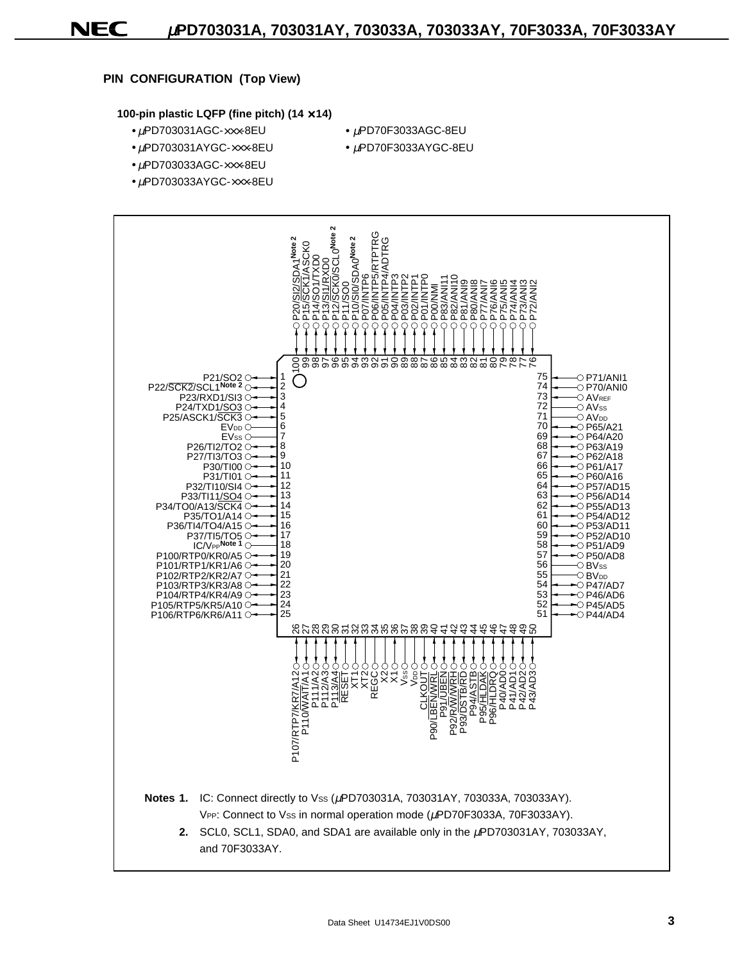### **PIN CONFIGURATION (Top View)**

NEC

#### **100-pin plastic LQFP (fine pitch) (14** × **14)**

- $\bullet$   $\mu$ PD703031AGC- $\times\times\times$ -8EU  $\bullet$   $\mu$ PD70F3033AGC-8EU
- 
- $\bullet$   $\mu$ PD703031AYGC- $\times\times\times$ -8EU  $\bullet$   $\mu$ PD70F3033AYGC-8EU
	-
- $\bullet$  µPD703033AGC- $\times\times\times$ -8EU
- $\bullet$  µPD703033AYGC- $\times\times\times$ -8EU

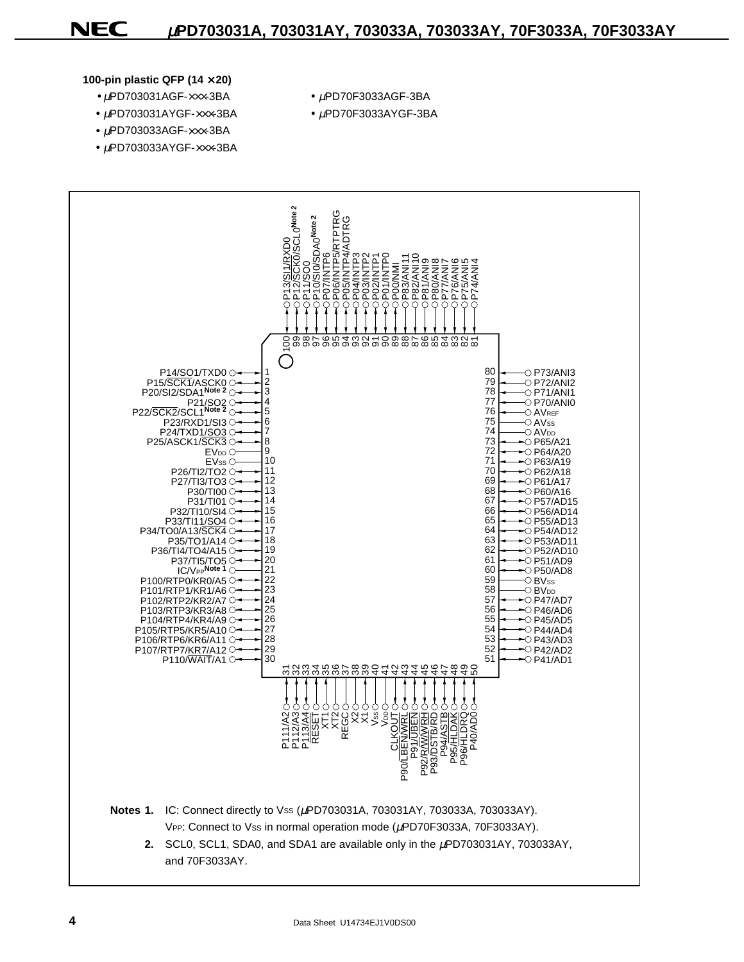#### **100-pin plastic QFP (14** × **20)**

- $\bullet$   $\mu$ PD703031AGF- $\times\times\times$ -3BA  $\bullet$   $\mu$ PD70F3033AGF-3BA
- $\mu$ PD703031AYGF- $\times\times\times$ -3BA  $\mu$ PD70F3033AYGF-3BA
- $\bullet$   $\mu$ PD703033AGF- $\times\times\times$ -3BA
- $\bullet$  µPD703033AYGF- $\times\times$ -3BA
- 
- 

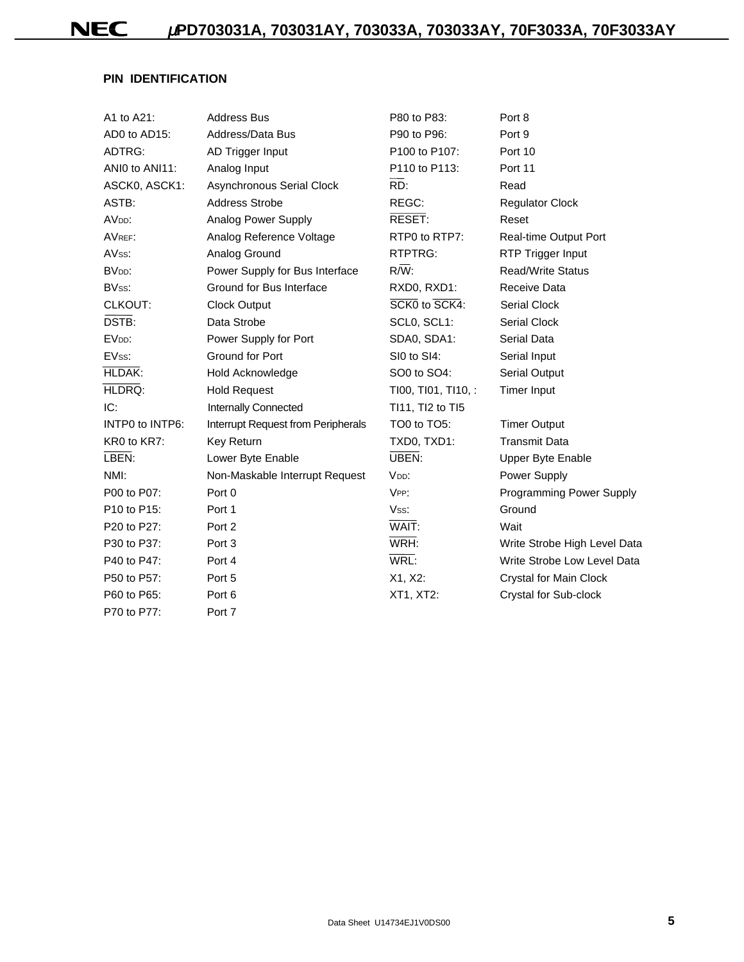### **PIN IDENTIFICATION**

| A1 to A21:                           | <b>Address Bus</b>                 | P80 to P83:         | Port 8                          |
|--------------------------------------|------------------------------------|---------------------|---------------------------------|
| AD0 to AD15:                         | Address/Data Bus                   | P90 to P96:         | Port 9                          |
| ADTRG:                               | AD Trigger Input                   | P100 to P107:       | Port 10                         |
| ANIO to ANI11:                       | Analog Input                       | P110 to P113:       | Port 11                         |
| ASCK0, ASCK1:                        | Asynchronous Serial Clock          | RD:                 | Read                            |
| ASTB:                                | <b>Address Strobe</b>              | REGC:               | <b>Regulator Clock</b>          |
| AV <sub>DD</sub> :                   | Analog Power Supply                | RESET:              | Reset                           |
| AVREF:                               | Analog Reference Voltage           | RTP0 to RTP7:       | Real-time Output Port           |
| AVss:                                | Analog Ground                      | RTPTRG:             | RTP Trigger Input               |
| BV <sub>DD</sub> :                   | Power Supply for Bus Interface     | $R/\overline{W}$ :  | <b>Read/Write Status</b>        |
| BVss:                                | Ground for Bus Interface           | RXD0, RXD1:         | Receive Data                    |
| CLKOUT:                              | <b>Clock Output</b>                | SCK0 to SCK4:       | <b>Serial Clock</b>             |
| DSTB:                                | Data Strobe                        | SCL0, SCL1:         | <b>Serial Clock</b>             |
| EV <sub>DD</sub> :                   | Power Supply for Port              | SDA0, SDA1:         | Serial Data                     |
| EVss:                                | Ground for Port                    | SI0 to SI4:         | Serial Input                    |
| HLDAK:                               | Hold Acknowledge                   | SO0 to SO4:         | Serial Output                   |
| HLDRQ:                               | <b>Hold Request</b>                | TI00, TI01, TI10, : | <b>Timer Input</b>              |
| IC:                                  | Internally Connected               | TI11, TI2 to TI5    |                                 |
| INTP0 to INTP6:                      | Interrupt Request from Peripherals | TO0 to TO5:         | <b>Timer Output</b>             |
| KR0 to KR7:                          | Key Return                         | TXD0, TXD1:         | <b>Transmit Data</b>            |
| LBEN:                                | Lower Byte Enable                  | UBEN:               | Upper Byte Enable               |
| NMI:                                 | Non-Maskable Interrupt Request     | V <sub>DD</sub> :   | Power Supply                    |
| P00 to P07:                          | Port 0                             | VPP:                | <b>Programming Power Supply</b> |
| P <sub>10</sub> to P <sub>15</sub> : | Port 1                             | Vss:                | Ground                          |
| P20 to P27:                          | Port 2                             | WAIT:               | Wait                            |
| P30 to P37:                          | Port <sub>3</sub>                  | WRH:                | Write Strobe High Level Data    |
| P40 to P47:                          | Port 4                             | WRL:                | Write Strobe Low Level Data     |
| P50 to P57:                          | Port 5                             | X1, X2:             | Crystal for Main Clock          |
| P60 to P65:                          | Port 6                             | XT1, XT2:           | Crystal for Sub-clock           |
| P70 to P77:                          | Port 7                             |                     |                                 |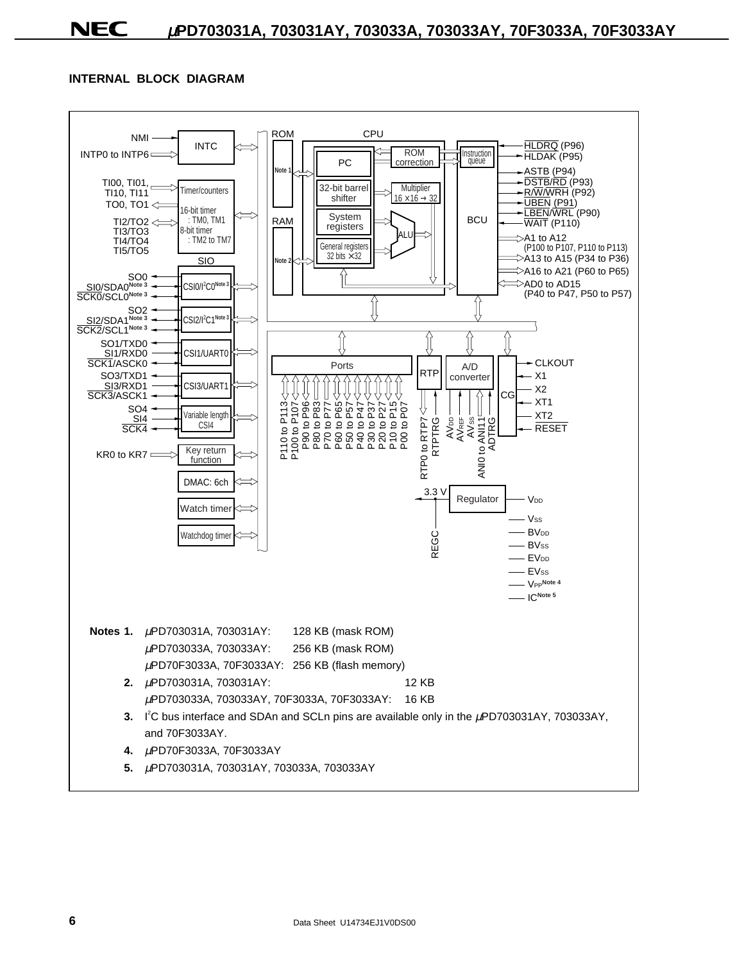### **INTERNAL BLOCK DIAGRAM**

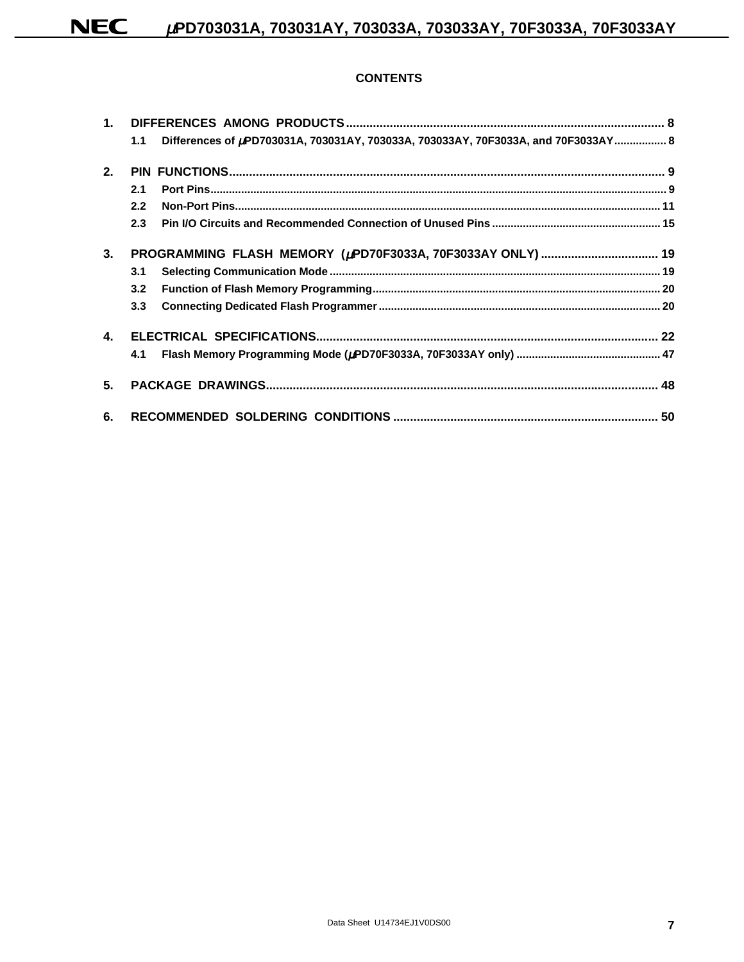### **CONTENTS**

|                | 1.1 | Differences of µPD703031A, 703031AY, 703033A, 703033AY, 70F3033A, and 70F3033AY 8 |  |
|----------------|-----|-----------------------------------------------------------------------------------|--|
| 2 <sub>1</sub> |     |                                                                                   |  |
|                | 2.1 |                                                                                   |  |
|                | 2.2 |                                                                                   |  |
|                | 2.3 |                                                                                   |  |
| 3.             |     |                                                                                   |  |
|                | 3.1 |                                                                                   |  |
|                | 3.2 |                                                                                   |  |
|                | 3.3 |                                                                                   |  |
| $\mathbf{4}$   |     |                                                                                   |  |
|                | 4.1 |                                                                                   |  |
| 5.             |     |                                                                                   |  |
| 6.             |     |                                                                                   |  |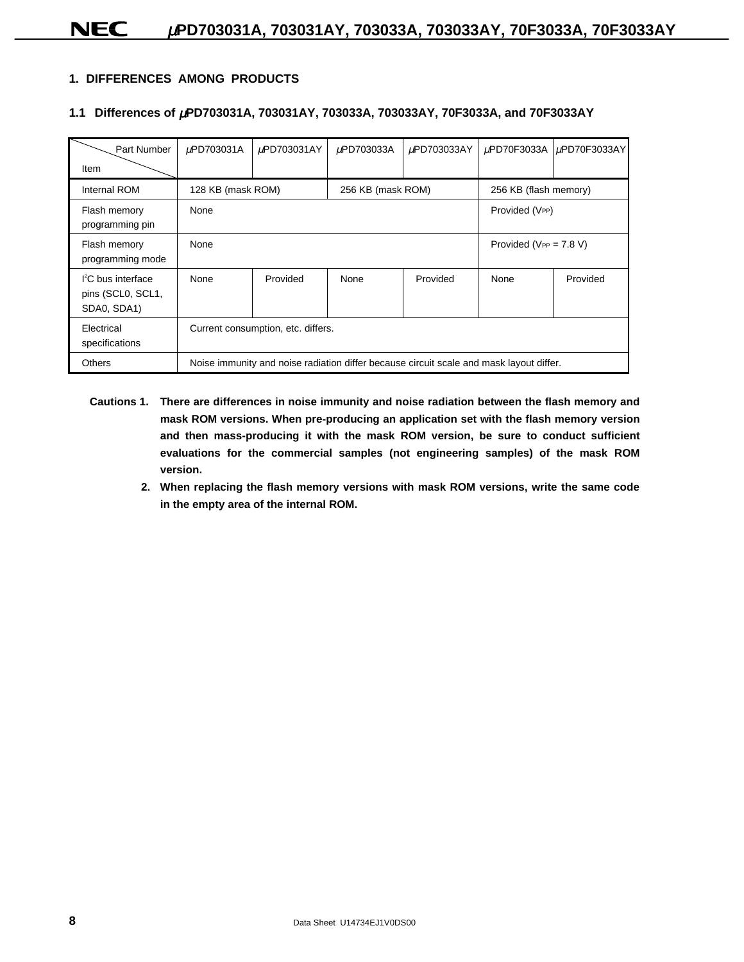### **1. DIFFERENCES AMONG PRODUCTS**

### **1.1 Differences of** µ**PD703031A, 703031AY, 703033A, 703033AY, 70F3033A, and 70F3033AY**

| Part Number                                              | µPD703031A                         | µPD703031AY                                                                             | µPD703033A        | µPD703033AY           | µPD70F3033A | $\mu$ PD70F3033AY |
|----------------------------------------------------------|------------------------------------|-----------------------------------------------------------------------------------------|-------------------|-----------------------|-------------|-------------------|
| Item                                                     |                                    |                                                                                         |                   |                       |             |                   |
| Internal ROM                                             | 128 KB (mask ROM)                  |                                                                                         | 256 KB (mask ROM) | 256 KB (flash memory) |             |                   |
| Flash memory<br>programming pin                          | None                               | Provided (VPP)                                                                          |                   |                       |             |                   |
| Flash memory<br>programming mode                         | None                               | Provided ( $V_{PP} = 7.8$ V)                                                            |                   |                       |             |                   |
| $l^2C$ bus interface<br>pins (SCL0, SCL1,<br>SDA0, SDA1) | None                               | Provided                                                                                | None              | Provided              | None        | Provided          |
| Electrical<br>specifications                             | Current consumption, etc. differs. |                                                                                         |                   |                       |             |                   |
| <b>Others</b>                                            |                                    | Noise immunity and noise radiation differ because circuit scale and mask layout differ. |                   |                       |             |                   |

- **Cautions 1. There are differences in noise immunity and noise radiation between the flash memory and mask ROM versions. When pre-producing an application set with the flash memory version and then mass-producing it with the mask ROM version, be sure to conduct sufficient evaluations for the commercial samples (not engineering samples) of the mask ROM version.**
	- **2. When replacing the flash memory versions with mask ROM versions, write the same code in the empty area of the internal ROM.**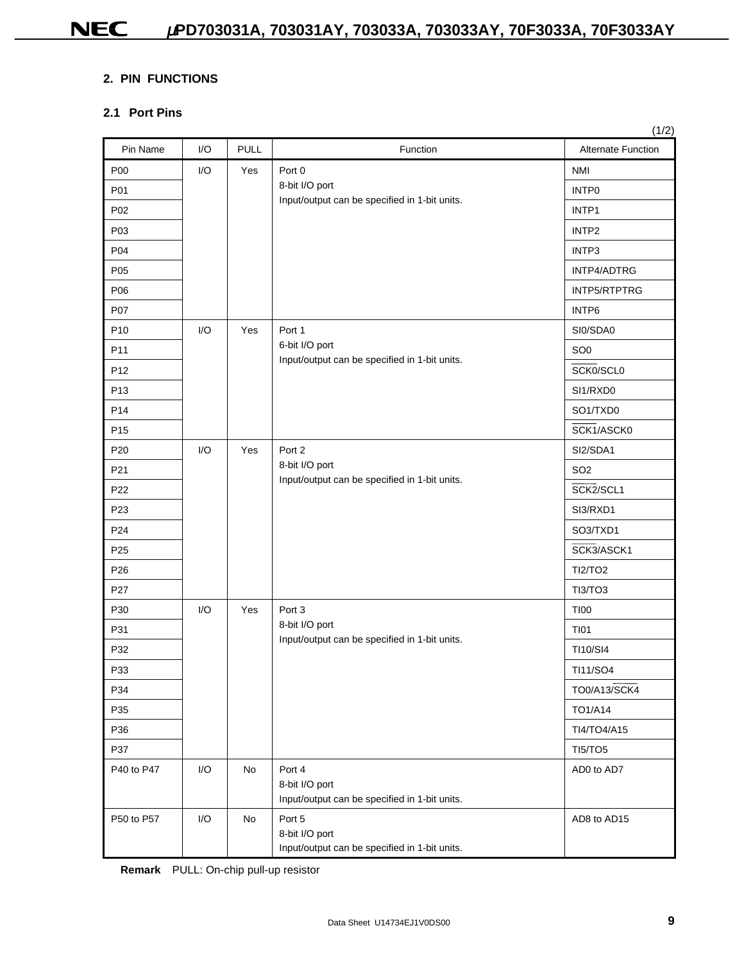### **2. PIN FUNCTIONS**

### **2.1 Port Pins**

| Pin Name        | I/O | <b>PULL</b> | Function                                                                  | Alternate Function |
|-----------------|-----|-------------|---------------------------------------------------------------------------|--------------------|
| P00             | I/O | Yes         | Port 0                                                                    | <b>NMI</b>         |
| P01             |     |             | 8-bit I/O port                                                            | INTP0              |
| P02             |     |             | Input/output can be specified in 1-bit units.                             | INTP1              |
| P03             |     |             |                                                                           | INTP2              |
| P04             |     |             |                                                                           | INTP3              |
| P05             |     |             |                                                                           | INTP4/ADTRG        |
| P06             |     |             |                                                                           | INTP5/RTPTRG       |
| P07             |     |             |                                                                           | INTP6              |
| P <sub>10</sub> | I/O | Yes         | Port 1                                                                    | SI0/SDA0           |
| P11             |     |             | 6-bit I/O port                                                            | SO <sub>0</sub>    |
| P <sub>12</sub> |     |             | Input/output can be specified in 1-bit units.                             | SCK0/SCL0          |
| P <sub>13</sub> |     |             |                                                                           | SI1/RXD0           |
| P <sub>14</sub> |     |             |                                                                           | SO1/TXD0           |
| P <sub>15</sub> |     |             |                                                                           | SCK1/ASCK0         |
| P <sub>20</sub> | I/O | Yes         | Port 2                                                                    | SI2/SDA1           |
| P21             |     |             | 8-bit I/O port<br>Input/output can be specified in 1-bit units.           | SO <sub>2</sub>    |
| P22             |     |             |                                                                           | SCK2/SCL1          |
| P <sub>23</sub> |     |             |                                                                           | SI3/RXD1           |
| P24             |     |             |                                                                           | SO3/TXD1           |
| P <sub>25</sub> |     |             |                                                                           | SCK3/ASCK1         |
| P <sub>26</sub> |     |             |                                                                           | <b>TI2/TO2</b>     |
| P27             |     |             |                                                                           | <b>TI3/TO3</b>     |
| P30             | I/O | Yes         | Port 3                                                                    | <b>TI00</b>        |
| P31             |     |             | 8-bit I/O port<br>Input/output can be specified in 1-bit units.           | <b>TI01</b>        |
| P32             |     |             |                                                                           | TI10/SI4           |
| P33             |     |             |                                                                           | TI11/SO4           |
| P34             |     |             |                                                                           | TO0/A13/SCK4       |
| P35             |     |             |                                                                           | TO1/A14            |
| P36             |     |             |                                                                           | TI4/TO4/A15        |
| P37             |     |             |                                                                           | <b>TI5/TO5</b>     |
| P40 to P47      | I/O | No          | Port 4<br>8-bit I/O port<br>Input/output can be specified in 1-bit units. | AD0 to AD7         |
| P50 to P57      | I/O | No          | Port 5<br>8-bit I/O port<br>Input/output can be specified in 1-bit units. | AD8 to AD15        |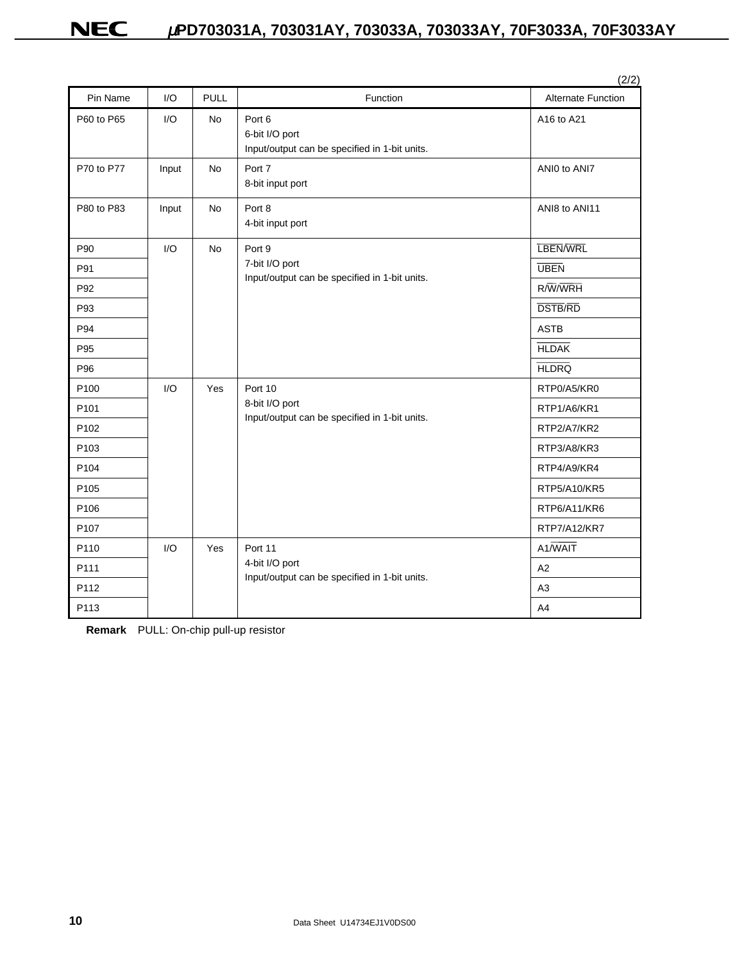|                  |       |             |                                                                           | (2/2)                     |
|------------------|-------|-------------|---------------------------------------------------------------------------|---------------------------|
| Pin Name         | I/O   | <b>PULL</b> | Function                                                                  | <b>Alternate Function</b> |
| P60 to P65       | I/O   | <b>No</b>   | Port 6<br>6-bit I/O port<br>Input/output can be specified in 1-bit units. | A16 to A21                |
| P70 to P77       | Input | <b>No</b>   | Port 7<br>8-bit input port                                                | ANIO to ANI7              |
| P80 to P83       | Input | <b>No</b>   | Port 8<br>4-bit input port                                                | ANI8 to ANI11             |
| P90              | I/O   | <b>No</b>   | Port 9                                                                    | <b>LBEN/WRL</b>           |
| P91              |       |             | 7-bit I/O port                                                            | <b>UBEN</b>               |
| P92              |       |             | Input/output can be specified in 1-bit units.                             | R/W/WRH                   |
| P93              |       |             |                                                                           | <b>DSTB/RD</b>            |
| P94              |       |             |                                                                           | <b>ASTB</b>               |
| P95              |       |             |                                                                           | <b>HLDAK</b>              |
| P96              |       |             |                                                                           | <b>HLDRQ</b>              |
| P <sub>100</sub> | 1/O   | Yes         | Port 10                                                                   | RTP0/A5/KR0               |
| P <sub>101</sub> |       |             | 8-bit I/O port<br>Input/output can be specified in 1-bit units.           | RTP1/A6/KR1               |
| P102             |       |             |                                                                           | RTP2/A7/KR2               |
| P <sub>103</sub> |       |             |                                                                           | RTP3/A8/KR3               |
| P <sub>104</sub> |       |             |                                                                           | RTP4/A9/KR4               |
| P <sub>105</sub> |       |             |                                                                           | RTP5/A10/KR5              |
| P106             |       |             |                                                                           | RTP6/A11/KR6              |
| P <sub>107</sub> |       |             |                                                                           | RTP7/A12/KR7              |
| P110             | I/O   | Yes         | Port 11                                                                   | A1/WAIT                   |
| P111             |       |             | 4-bit I/O port                                                            | A2                        |
| P112             |       |             | Input/output can be specified in 1-bit units.                             | A <sub>3</sub>            |
| P113             |       |             |                                                                           | A4                        |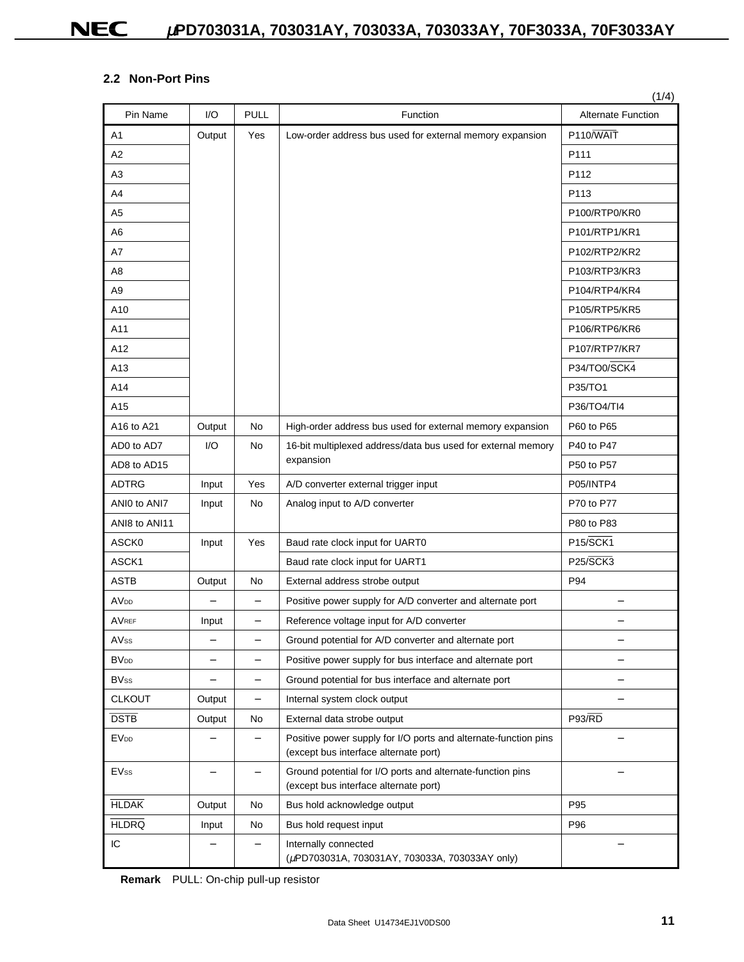### **2.2 Non-Port Pins**

|                        |                          |                          |                                                                                                          | (1/4)                             |
|------------------------|--------------------------|--------------------------|----------------------------------------------------------------------------------------------------------|-----------------------------------|
| Pin Name               | I/O                      | <b>PULL</b>              | Function                                                                                                 | <b>Alternate Function</b>         |
| A <sub>1</sub>         | Output                   | Yes                      | Low-order address bus used for external memory expansion                                                 | P110/WAIT                         |
| A2                     |                          |                          |                                                                                                          | P111                              |
| A3                     |                          |                          |                                                                                                          | P112                              |
| A4                     |                          |                          |                                                                                                          | P113                              |
| A5                     |                          |                          |                                                                                                          | P100/RTP0/KR0                     |
| A <sub>6</sub>         |                          |                          |                                                                                                          | P101/RTP1/KR1                     |
| A7                     |                          |                          |                                                                                                          | P102/RTP2/KR2                     |
| A8                     |                          |                          |                                                                                                          | P103/RTP3/KR3                     |
| A <sub>9</sub>         |                          |                          |                                                                                                          | P104/RTP4/KR4                     |
| A10                    |                          |                          |                                                                                                          | P105/RTP5/KR5                     |
| A11                    |                          |                          |                                                                                                          | P106/RTP6/KR6                     |
| A12                    |                          |                          |                                                                                                          | P107/RTP7/KR7                     |
| A13                    |                          |                          |                                                                                                          | P34/TO0/SCK4                      |
| A14                    |                          |                          |                                                                                                          | P35/TO1                           |
| A15                    |                          |                          |                                                                                                          | P36/TO4/TI4                       |
| A16 to A21             | Output                   | No                       | High-order address bus used for external memory expansion                                                | P60 to P65                        |
| AD0 to AD7             | I/O                      | No                       | 16-bit multiplexed address/data bus used for external memory                                             | P40 to P47                        |
| AD8 to AD15            |                          |                          | expansion                                                                                                | P50 to P57                        |
| <b>ADTRG</b>           | Input                    | Yes                      | A/D converter external trigger input                                                                     | P05/INTP4                         |
| ANIO to ANI7           | Input                    | No                       | Analog input to A/D converter                                                                            | P70 to P77                        |
| ANI8 to ANI11          |                          |                          |                                                                                                          | P80 to P83                        |
| ASCK0                  | Input                    | Yes                      | Baud rate clock input for UART0                                                                          | P <sub>15</sub> /SCK <sub>1</sub> |
| ASCK1                  |                          |                          | Baud rate clock input for UART1                                                                          | <b>P25/SCK3</b>                   |
| <b>ASTB</b>            | Output                   | No                       | External address strobe output                                                                           | P94                               |
| <b>AV<sub>DD</sub></b> | $\qquad \qquad -$        | $\qquad \qquad -$        | Positive power supply for A/D converter and alternate port                                               | $\overline{\phantom{0}}$          |
| <b>AVREF</b>           | Input                    | $\overline{\phantom{0}}$ | Reference voltage input for A/D converter                                                                |                                   |
| AVss                   |                          |                          | Ground potential for A/D converter and alternate port                                                    |                                   |
| <b>BV<sub>DD</sub></b> | -                        | -                        | Positive power supply for bus interface and alternate port                                               |                                   |
| <b>BVss</b>            | $\overline{\phantom{0}}$ | -                        | Ground potential for bus interface and alternate port                                                    | -                                 |
| <b>CLKOUT</b>          | Output                   | -                        | Internal system clock output                                                                             |                                   |
| <b>DSTB</b>            | Output                   | No                       | External data strobe output                                                                              | <b>P93/RD</b>                     |
| <b>EVDD</b>            | -                        | -                        | Positive power supply for I/O ports and alternate-function pins<br>(except bus interface alternate port) |                                   |
| <b>EVss</b>            |                          | $\overline{\phantom{0}}$ | Ground potential for I/O ports and alternate-function pins<br>(except bus interface alternate port)      |                                   |
| <b>HLDAK</b>           | Output                   | No                       | Bus hold acknowledge output                                                                              | P95                               |
| <b>HLDRQ</b>           | Input                    | No                       | Bus hold request input                                                                                   | P96                               |
| IC                     |                          | -                        | Internally connected<br>(µPD703031A, 703031AY, 703033A, 703033AY only)                                   |                                   |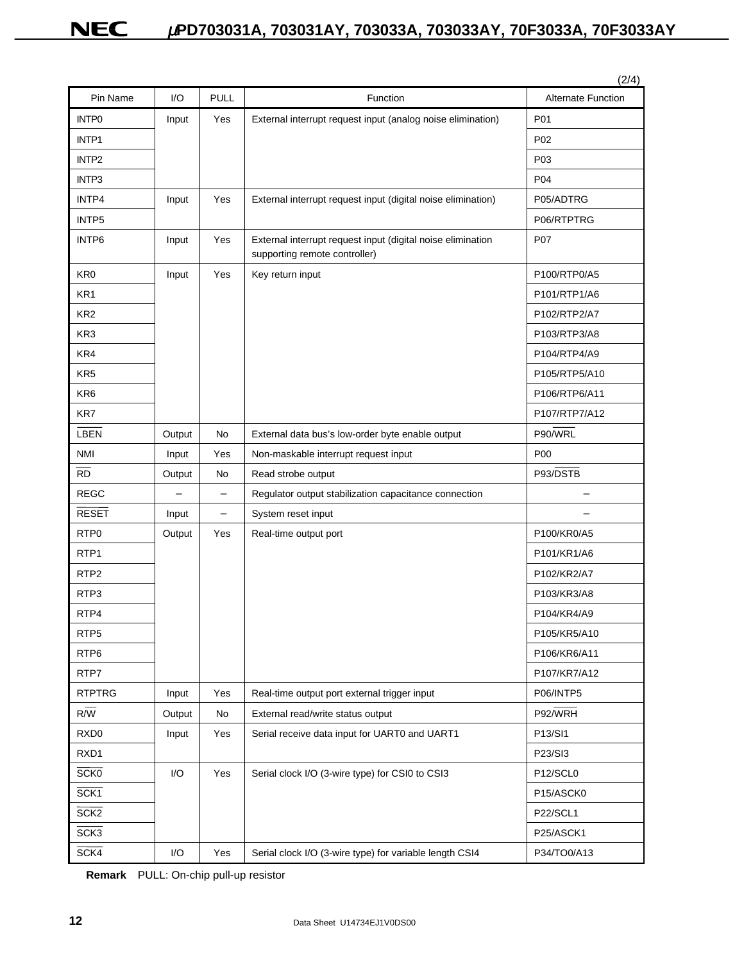| Pin Name          | 1/O    | <b>PULL</b>              | Function                                                                                     | (2/4)<br><b>Alternate Function</b> |
|-------------------|--------|--------------------------|----------------------------------------------------------------------------------------------|------------------------------------|
| <b>INTPO</b>      | Input  | Yes                      | External interrupt request input (analog noise elimination)                                  | P01                                |
| INTP1             |        |                          |                                                                                              | P <sub>02</sub>                    |
| INTP <sub>2</sub> |        |                          |                                                                                              | P03                                |
| INTP3             |        |                          |                                                                                              | P04                                |
| INTP4             | Input  | Yes                      | External interrupt request input (digital noise elimination)                                 | P05/ADTRG                          |
| INTP5             |        |                          |                                                                                              | P06/RTPTRG                         |
| INTP6             | Input  | Yes                      | External interrupt request input (digital noise elimination<br>supporting remote controller) | <b>P07</b>                         |
| KR <sub>0</sub>   | Input  | Yes                      | Key return input                                                                             | P100/RTP0/A5                       |
| KR <sub>1</sub>   |        |                          |                                                                                              | P101/RTP1/A6                       |
| KR <sub>2</sub>   |        |                          |                                                                                              | P102/RTP2/A7                       |
| KR <sub>3</sub>   |        |                          |                                                                                              | P103/RTP3/A8                       |
| KR4               |        |                          |                                                                                              | P104/RTP4/A9                       |
| KR <sub>5</sub>   |        |                          |                                                                                              | P105/RTP5/A10                      |
| KR <sub>6</sub>   |        |                          |                                                                                              | P106/RTP6/A11                      |
| KR7               |        |                          |                                                                                              | P107/RTP7/A12                      |
| LBEN              | Output | No                       | External data bus's low-order byte enable output                                             | P90/WRL                            |
| <b>NMI</b>        | Input  | Yes                      | Non-maskable interrupt request input                                                         | P <sub>00</sub>                    |
| <b>RD</b>         | Output | No                       | Read strobe output                                                                           | P93/DSTB                           |
| <b>REGC</b>       |        | $\equiv$                 | Regulator output stabilization capacitance connection                                        |                                    |
| <b>RESET</b>      | Input  | $\overline{\phantom{0}}$ | System reset input                                                                           |                                    |
| RTP <sub>0</sub>  | Output | Yes                      | Real-time output port                                                                        | P100/KR0/A5                        |
| RTP <sub>1</sub>  |        |                          |                                                                                              | P101/KR1/A6                        |
| RTP <sub>2</sub>  |        |                          |                                                                                              | P102/KR2/A7                        |
| RTP3              |        |                          |                                                                                              | P103/KR3/A8                        |
| RTP4              |        |                          |                                                                                              | P104/KR4/A9                        |
| RTP <sub>5</sub>  |        |                          |                                                                                              | P105/KR5/A10                       |
| RTP <sub>6</sub>  |        |                          |                                                                                              | P106/KR6/A11                       |
| RTP7              |        |                          |                                                                                              | P107/KR7/A12                       |
| <b>RTPTRG</b>     | Input  | Yes                      | Real-time output port external trigger input                                                 | P06/INTP5                          |
| $R/\overline{W}$  | Output | No                       | External read/write status output                                                            | P92/WRH                            |
| RXD <sub>0</sub>  | Input  | Yes                      | Serial receive data input for UART0 and UART1                                                | P13/SI1                            |
| RXD1              |        |                          |                                                                                              | P23/SI3                            |
| <b>SCKO</b>       | I/O    | Yes                      | Serial clock I/O (3-wire type) for CSI0 to CSI3                                              | P12/SCL0                           |
| SCK <sub>1</sub>  |        |                          |                                                                                              | P15/ASCK0                          |
| SCK2              |        |                          |                                                                                              | P22/SCL1                           |
| SCK3              |        |                          |                                                                                              | P25/ASCK1                          |
| SCK4              | I/O    | Yes                      | Serial clock I/O (3-wire type) for variable length CSI4                                      | P34/TO0/A13                        |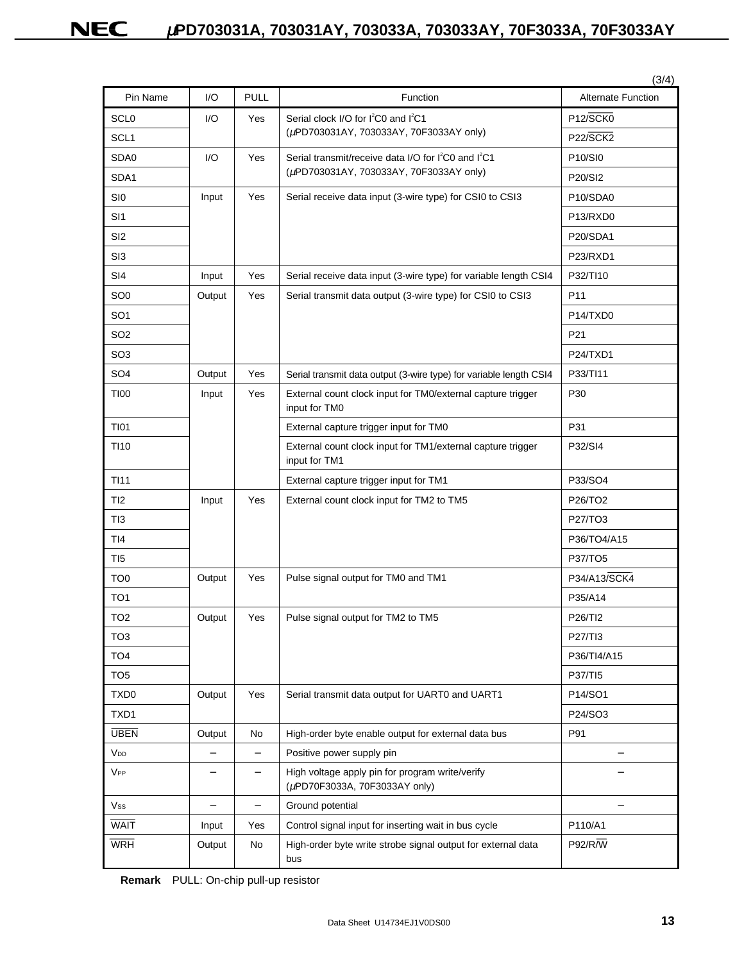| Pin Name         | 1/O                      | <b>PULL</b>              | Function                                                                         | <b>Alternate Function</b>         |
|------------------|--------------------------|--------------------------|----------------------------------------------------------------------------------|-----------------------------------|
| SCL0             | I/O                      | Yes                      | Serial clock I/O for I <sup>2</sup> C0 and I <sup>2</sup> C1                     | P <sub>12</sub> /SCK <sub>0</sub> |
| SCL <sub>1</sub> |                          |                          | (µPD703031AY, 703033AY, 70F3033AY only)                                          | P22/SCK2                          |
| SDA0             | I/O                      | Yes                      | Serial transmit/receive data I/O for I <sup>2</sup> C0 and I <sup>2</sup> C1     | P10/SI0                           |
| SDA1             |                          |                          | (µPD703031AY, 703033AY, 70F3033AY only)                                          | P20/SI2                           |
| SI <sub>0</sub>  | Input                    | Yes                      | Serial receive data input (3-wire type) for CSI0 to CSI3                         | P10/SDA0                          |
| SI <sub>1</sub>  |                          |                          |                                                                                  | P13/RXD0                          |
| SI <sub>2</sub>  |                          |                          |                                                                                  | P20/SDA1                          |
| SI3              |                          |                          |                                                                                  | P23/RXD1                          |
| SI4              | Input                    | Yes                      | Serial receive data input (3-wire type) for variable length CSI4                 | P32/TI10                          |
| SO <sub>0</sub>  | Output                   | Yes                      | Serial transmit data output (3-wire type) for CSI0 to CSI3                       | P <sub>11</sub>                   |
| SO <sub>1</sub>  |                          |                          |                                                                                  | P14/TXD0                          |
| SO <sub>2</sub>  |                          |                          |                                                                                  | P21                               |
| SO <sub>3</sub>  |                          |                          |                                                                                  | P24/TXD1                          |
| SO <sub>4</sub>  | Output                   | Yes                      | Serial transmit data output (3-wire type) for variable length CSI4               | P33/TI11                          |
| <b>TI00</b>      | Input                    | Yes                      | External count clock input for TM0/external capture trigger<br>input for TM0     | P30                               |
| <b>TI01</b>      |                          |                          | External capture trigger input for TM0                                           | P31                               |
| <b>TI10</b>      |                          |                          | External count clock input for TM1/external capture trigger<br>input for TM1     | P32/SI4                           |
| <b>TI11</b>      |                          |                          | External capture trigger input for TM1                                           | P33/SO4                           |
| TI <sub>2</sub>  | Input                    | Yes                      | External count clock input for TM2 to TM5                                        | P26/TO2                           |
| TI3              |                          |                          |                                                                                  | P27/TO3                           |
| TI4              |                          |                          |                                                                                  | P36/TO4/A15                       |
| TI5              |                          |                          |                                                                                  | P37/TO5                           |
| TO <sub>0</sub>  | Output                   | Yes                      | Pulse signal output for TM0 and TM1                                              | P34/A13/SCK4                      |
| TO <sub>1</sub>  |                          |                          |                                                                                  | P35/A14                           |
| TO <sub>2</sub>  | Output                   | Yes                      | Pulse signal output for TM2 to TM5                                               | P26/TI2                           |
| TO <sub>3</sub>  |                          |                          |                                                                                  | P27/TI3                           |
| TO <sub>4</sub>  |                          |                          |                                                                                  | P36/TI4/A15                       |
| TO <sub>5</sub>  |                          |                          |                                                                                  | P37/TI5                           |
| TXD <sub>0</sub> | Output                   | Yes                      | Serial transmit data output for UART0 and UART1                                  | P14/SO1                           |
| TXD1             |                          |                          |                                                                                  | P24/SO3                           |
| <b>UBEN</b>      | Output                   | No                       | High-order byte enable output for external data bus                              | P91                               |
| V <sub>DD</sub>  | $\overline{\phantom{0}}$ | $\overline{\phantom{0}}$ | Positive power supply pin                                                        |                                   |
| VPP              |                          | $\qquad \qquad -$        | High voltage apply pin for program write/verify<br>(µPD70F3033A, 70F3033AY only) |                                   |
| Vss              | $\overline{\phantom{0}}$ | $\qquad \qquad -$        | Ground potential                                                                 |                                   |
| <b>WAIT</b>      | Input                    | Yes                      | Control signal input for inserting wait in bus cycle                             | P110/A1                           |
| <b>WRH</b>       | Output                   | No                       | High-order byte write strobe signal output for external data<br>bus              | P92/R/W                           |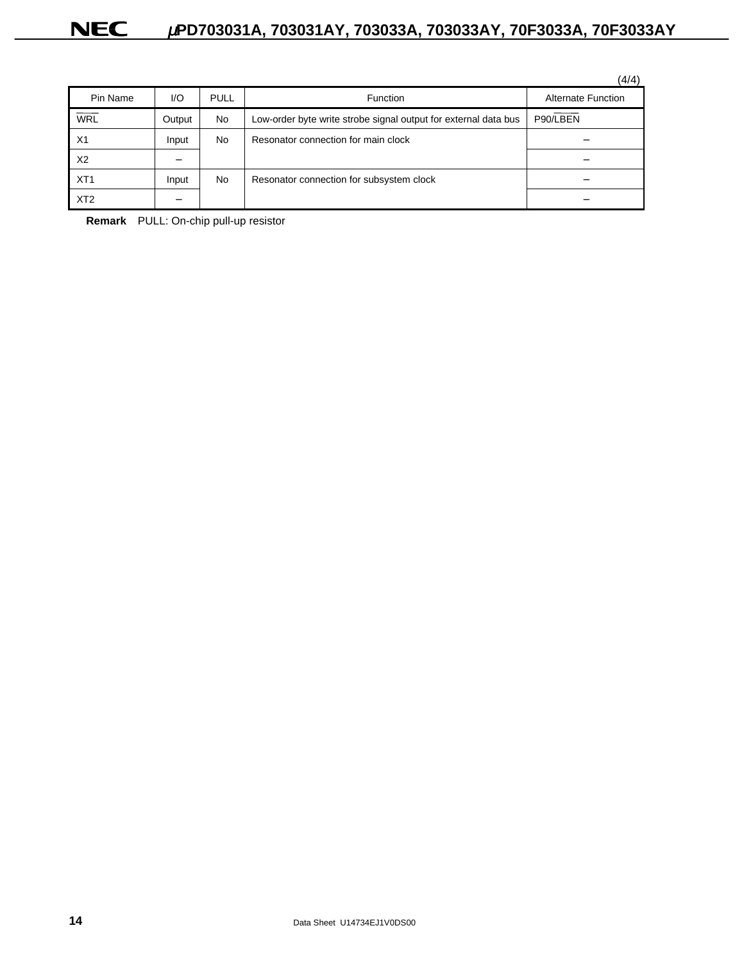|                 |        |             |                                                                 | (4/4)                     |
|-----------------|--------|-------------|-----------------------------------------------------------------|---------------------------|
| Pin Name        | I/O    | <b>PULL</b> | <b>Function</b>                                                 | <b>Alternate Function</b> |
| <b>WRL</b>      | Output | <b>No</b>   | Low-order byte write strobe signal output for external data bus | P90/LBEN                  |
| X1              | Input  | <b>No</b>   | Resonator connection for main clock                             |                           |
| X <sub>2</sub>  |        |             |                                                                 |                           |
| XT <sub>1</sub> | Input  | <b>No</b>   | Resonator connection for subsystem clock                        |                           |
| XT <sub>2</sub> |        |             |                                                                 |                           |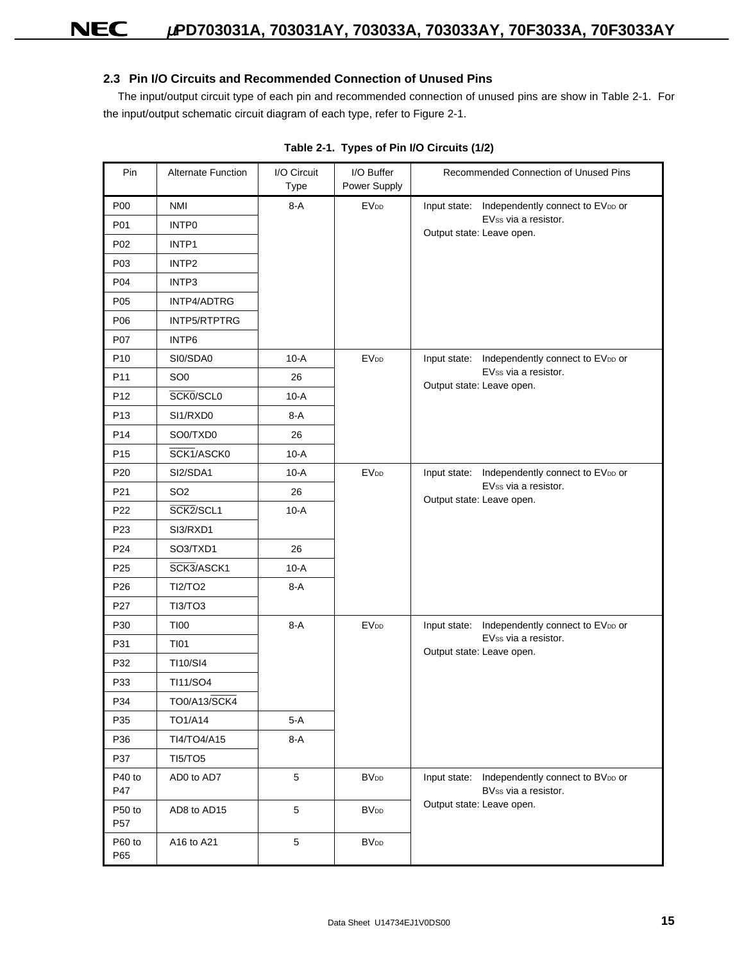### **2.3 Pin I/O Circuits and Recommended Connection of Unused Pins**

The input/output circuit type of each pin and recommended connection of unused pins are show in Table 2-1. For the input/output schematic circuit diagram of each type, refer to Figure 2-1.

| Pin                       | <b>Alternate Function</b> | I/O Circuit<br>Type | I/O Buffer<br>Power Supply | Recommended Connection of Unused Pins                                    |
|---------------------------|---------------------------|---------------------|----------------------------|--------------------------------------------------------------------------|
| <b>P00</b>                | <b>NMI</b>                | $8-A$               | <b>EV<sub>DD</sub></b>     | Input state: Independently connect to EVDD or                            |
| P01                       | INTP0                     |                     |                            | EVss via a resistor.<br>Output state: Leave open.                        |
| P02                       | INTP1                     |                     |                            |                                                                          |
| P03                       | INTP <sub>2</sub>         |                     |                            |                                                                          |
| P04                       | INTP3                     |                     |                            |                                                                          |
| P05                       | INTP4/ADTRG               |                     |                            |                                                                          |
| P06                       | INTP5/RTPTRG              |                     |                            |                                                                          |
| P07                       | INTP6                     |                     |                            |                                                                          |
| P <sub>10</sub>           | SI0/SDA0                  | $10-A$              | <b>EVDD</b>                | Independently connect to EVDD or<br>Input state:                         |
| P11                       | SO <sub>0</sub>           | 26                  |                            | EVss via a resistor.<br>Output state: Leave open.                        |
| P <sub>12</sub>           | SCK0/SCL0                 | $10-A$              |                            |                                                                          |
| P <sub>13</sub>           | SI1/RXD0                  | 8-A                 |                            |                                                                          |
| P14                       | SO0/TXD0                  | 26                  |                            |                                                                          |
| P <sub>15</sub>           | SCK1/ASCK0                | $10-A$              |                            |                                                                          |
| P <sub>20</sub>           | SI2/SDA1                  | $10-A$              | <b>EV<sub>DD</sub></b>     | Input state: Independently connect to EVDD or                            |
| P21                       | SO <sub>2</sub>           | 26                  |                            | EVss via a resistor.<br>Output state: Leave open.                        |
| P <sub>22</sub>           | SCK2/SCL1                 | $10-A$              |                            |                                                                          |
| P <sub>23</sub>           | SI3/RXD1                  |                     |                            |                                                                          |
| P24                       | SO3/TXD1                  | 26                  |                            |                                                                          |
| P <sub>25</sub>           | SCK3/ASCK1                | $10-A$              |                            |                                                                          |
| P26                       | <b>TI2/TO2</b>            | $8-A$               |                            |                                                                          |
| P27                       | TI3/TO3                   |                     |                            |                                                                          |
| P30                       | <b>TI00</b>               | $8-A$               | <b>EVDD</b>                | Input state: Independently connect to EVDD or                            |
| P31                       | <b>TI01</b>               |                     |                            | EVss via a resistor.<br>Output state: Leave open.                        |
| P32                       | TI10/SI4                  |                     |                            |                                                                          |
| P33                       | TI11/SO4                  |                     |                            |                                                                          |
| P34                       | TO0/A13/SCK4              |                     |                            |                                                                          |
| P35                       | TO1/A14                   | $5-A$               |                            |                                                                          |
| P36                       | TI4/TO4/A15               | $8-A$               |                            |                                                                          |
| P37                       | <b>TI5/TO5</b>            |                     |                            |                                                                          |
| P40 to<br>P47             | AD0 to AD7                | $5\,$               | <b>BV<sub>DD</sub></b>     | Independently connect to BVDD or<br>Input state:<br>BVss via a resistor. |
| P50 to<br>P <sub>57</sub> | AD8 to AD15               | 5                   | <b>BV<sub>DD</sub></b>     | Output state: Leave open.                                                |
| P60 to<br>P65             | A16 to A21                | $\overline{5}$      | <b>BV<sub>DD</sub></b>     |                                                                          |

### **Table 2-1. Types of Pin I/O Circuits (1/2)**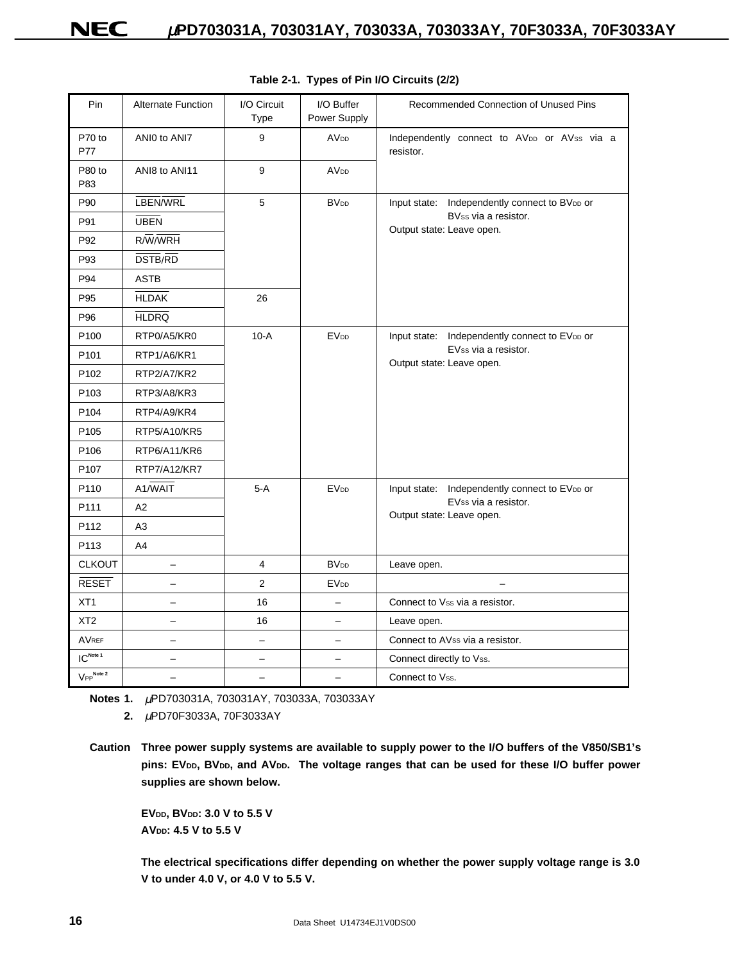| Pin                    | <b>Alternate Function</b> | I/O Circuit<br>Type | I/O Buffer<br>Power Supply | Recommended Connection of Unused Pins                    |
|------------------------|---------------------------|---------------------|----------------------------|----------------------------------------------------------|
| P70 to<br><b>P77</b>   | ANIO to ANI7              | 9                   | <b>AVDD</b>                | Independently connect to AVDD or AVss via a<br>resistor. |
| P80 to<br>P83          | ANI8 to ANI11             | 9                   | <b>AV<sub>DD</sub></b>     |                                                          |
| P90                    | LBEN/WRL                  | 5                   | <b>BV<sub>DD</sub></b>     | Independently connect to BVDD or<br>Input state:         |
| P91                    | <b>UBEN</b>               |                     |                            | BVss via a resistor.<br>Output state: Leave open.        |
| P92                    | $R/\overline{W}/W$ RH     |                     |                            |                                                          |
| P93                    | <b>DSTB/RD</b>            |                     |                            |                                                          |
| P94                    | <b>ASTB</b>               |                     |                            |                                                          |
| P95                    | <b>HLDAK</b>              | 26                  |                            |                                                          |
| P96                    | <b>HLDRQ</b>              |                     |                            |                                                          |
| P <sub>100</sub>       | RTP0/A5/KR0               | $10-A$              | <b>EV<sub>DD</sub></b>     | Input state: Independently connect to EVDD or            |
| P <sub>101</sub>       | RTP1/A6/KR1               |                     |                            | EVss via a resistor.<br>Output state: Leave open.        |
| P <sub>102</sub>       | RTP2/A7/KR2               |                     |                            |                                                          |
| P <sub>103</sub>       | RTP3/A8/KR3               |                     |                            |                                                          |
| P <sub>104</sub>       | RTP4/A9/KR4               |                     |                            |                                                          |
| P <sub>105</sub>       | RTP5/A10/KR5              |                     |                            |                                                          |
| P <sub>106</sub>       | RTP6/A11/KR6              |                     |                            |                                                          |
| P <sub>107</sub>       | RTP7/A12/KR7              |                     |                            |                                                          |
| P110                   | A1/WAIT                   | $5-A$               | <b>EV<sub>DD</sub></b>     | Input state: Independently connect to EVDD or            |
| P111                   | A2                        |                     |                            | EVss via a resistor.<br>Output state: Leave open.        |
| P112                   | A <sub>3</sub>            |                     |                            |                                                          |
| P113                   | A4                        |                     |                            |                                                          |
| <b>CLKOUT</b>          | $\overline{\phantom{0}}$  | 4                   | <b>BV<sub>DD</sub></b>     | Leave open.                                              |
| <b>RESET</b>           | $=$                       | $\overline{2}$      | <b>EV<sub>DD</sub></b>     |                                                          |
| XT <sub>1</sub>        | $\equiv$                  | 16                  | $=$                        | Connect to Vss via a resistor.                           |
| XT <sub>2</sub>        | -                         | 16                  | $\overline{\phantom{0}}$   | Leave open.                                              |
| <b>AVREF</b>           | -                         |                     |                            | Connect to AVss via a resistor.                          |
| $IC^{\text{Note 1}}$   | $\equiv$                  | $\equiv$            | $\overline{\phantom{0}}$   | Connect directly to Vss.                                 |
| V <sub>PP</sub> Note 2 |                           |                     |                            | Connect to Vss.                                          |

**Table 2-1. Types of Pin I/O Circuits (2/2)**

**EVDD, BVDD: 3.0 V to 5.5 V AVDD: 4.5 V to 5.5 V**

**The electrical specifications differ depending on whether the power supply voltage range is 3.0 V to under 4.0 V, or 4.0 V to 5.5 V.**

**Notes 1.** <sup>µ</sup>PD703031A, 703031AY, 703033A, 703033AY **2.** <sup>µ</sup>PD70F3033A, 70F3033AY

**Caution Three power supply systems are available to supply power to the I/O buffers of the V850/SB1's** pins: EV<sub>DD</sub>, BV<sub>DD</sub>, and AV<sub>DD</sub>. The voltage ranges that can be used for these I/O buffer power **supplies are shown below.**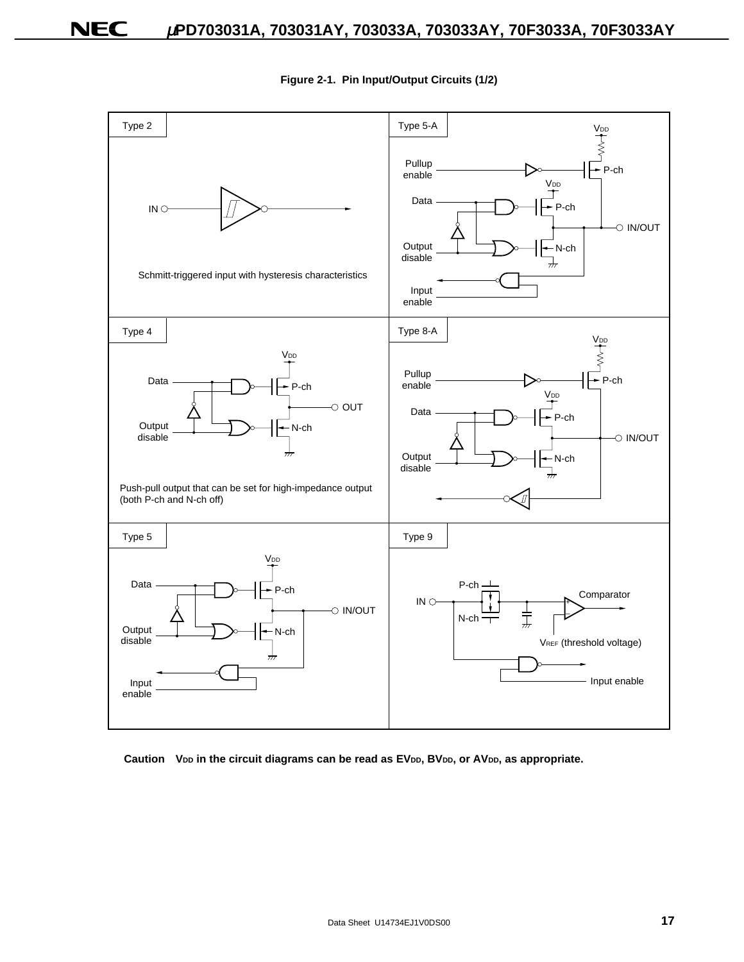

**Figure 2-1. Pin Input/Output Circuits (1/2)**

Caution V<sub>DD</sub> in the circuit diagrams can be read as EV<sub>DD</sub>, BV<sub>DD</sub>, or AV<sub>DD</sub>, as appropriate.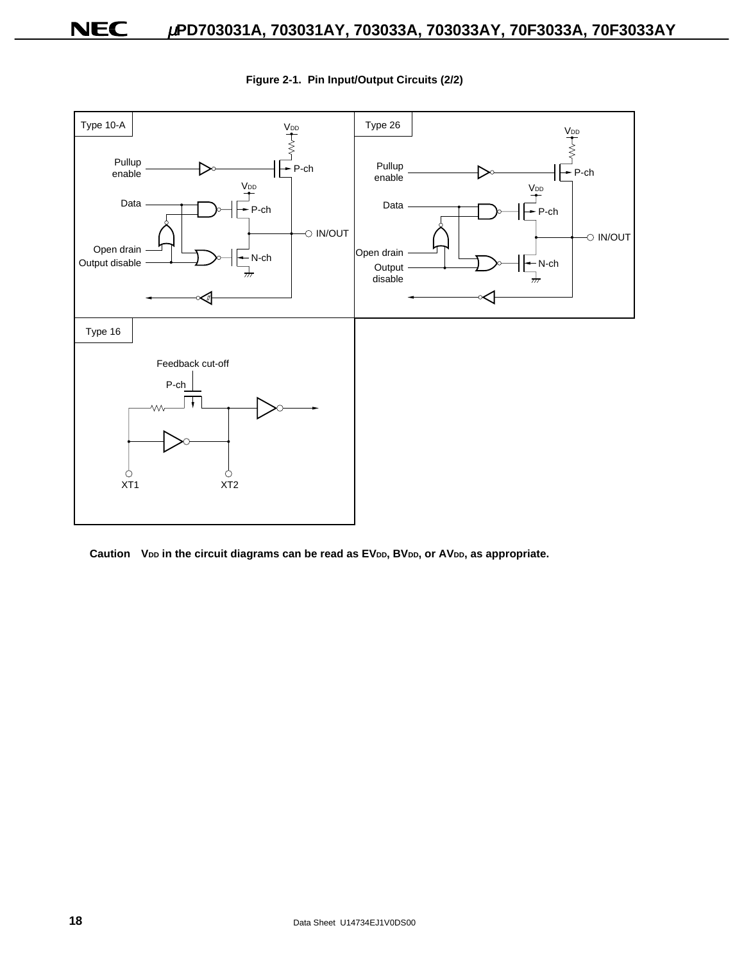

**Figure 2-1. Pin Input/Output Circuits (2/2)**

Caution V<sub>DD</sub> in the circuit diagrams can be read as EV<sub>DD</sub>, BV<sub>DD</sub>, or AV<sub>DD</sub>, as appropriate.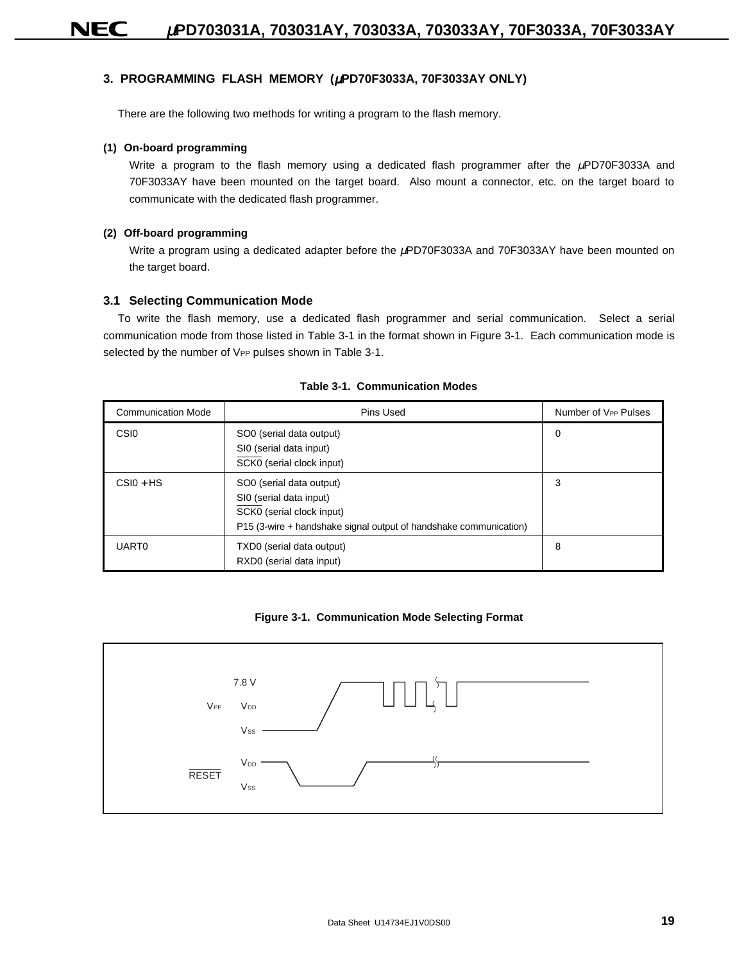### **3. PROGRAMMING FLASH MEMORY (**µ**PD70F3033A, 70F3033AY ONLY)**

There are the following two methods for writing a program to the flash memory.

#### **(1) On-board programming**

Write a program to the flash memory using a dedicated flash programmer after the  $\mu$ PD70F3033A and 70F3033AY have been mounted on the target board. Also mount a connector, etc. on the target board to communicate with the dedicated flash programmer.

#### **(2) Off-board programming**

Write a program using a dedicated adapter before the µPD70F3033A and 70F3033AY have been mounted on the target board.

#### **3.1 Selecting Communication Mode**

To write the flash memory, use a dedicated flash programmer and serial communication. Select a serial communication mode from those listed in Table 3-1 in the format shown in Figure 3-1. Each communication mode is selected by the number of VPP pulses shown in Table 3-1.

| <b>Communication Mode</b> | Pins Used                                                                                                                                             | Number of V <sub>PP</sub> Pulses |
|---------------------------|-------------------------------------------------------------------------------------------------------------------------------------------------------|----------------------------------|
| CSI <sub>0</sub>          | SO0 (serial data output)<br>SI0 (serial data input)<br>SCK0 (serial clock input)                                                                      | 0                                |
| $CSI0 + HS$               | SO0 (serial data output)<br>SI0 (serial data input)<br>SCK0 (serial clock input)<br>P15 (3-wire + handshake signal output of handshake communication) | 3                                |
| <b>UART0</b>              | TXD0 (serial data output)<br>RXD0 (serial data input)                                                                                                 | 8                                |

#### **Table 3-1. Communication Modes**

**Figure 3-1. Communication Mode Selecting Format**

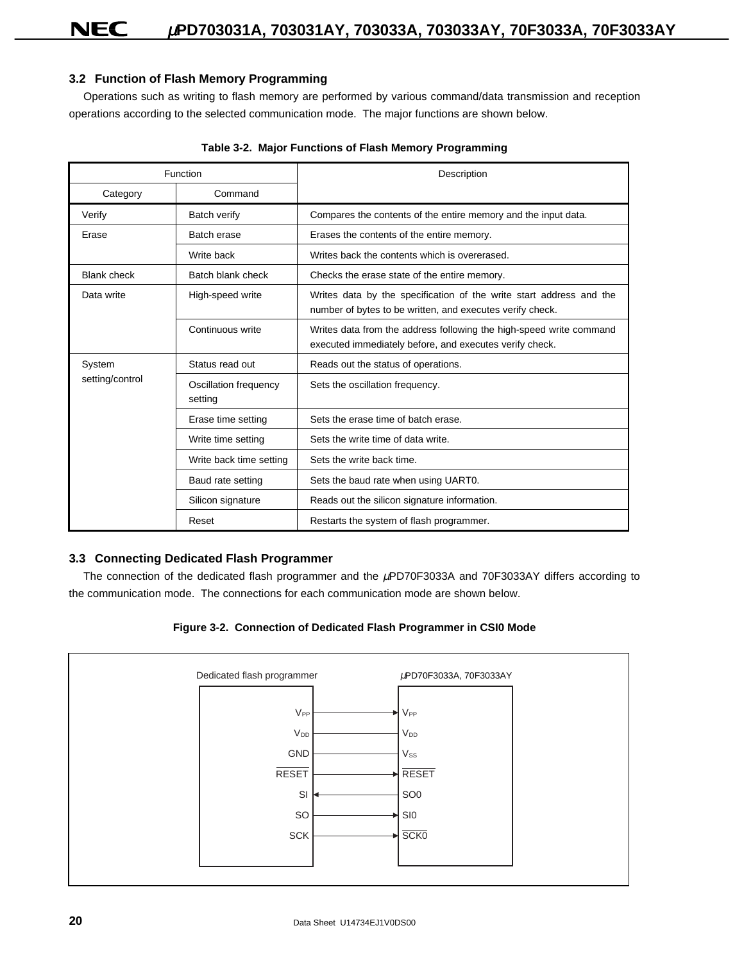### **3.2 Function of Flash Memory Programming**

Operations such as writing to flash memory are performed by various command/data transmission and reception operations according to the selected communication mode. The major functions are shown below.

|                    | Function                         | Description                                                                                                                      |
|--------------------|----------------------------------|----------------------------------------------------------------------------------------------------------------------------------|
| Category           | Command                          |                                                                                                                                  |
| Verify             | Batch verify                     | Compares the contents of the entire memory and the input data.                                                                   |
| Erase              | Batch erase                      | Erases the contents of the entire memory.                                                                                        |
|                    | Write back                       | Writes back the contents which is overerased.                                                                                    |
| <b>Blank check</b> | Batch blank check                | Checks the erase state of the entire memory.                                                                                     |
| Data write         | High-speed write                 | Writes data by the specification of the write start address and the<br>number of bytes to be written, and executes verify check. |
|                    | Continuous write                 | Writes data from the address following the high-speed write command<br>executed immediately before, and executes verify check.   |
| System             | Status read out                  | Reads out the status of operations.                                                                                              |
| setting/control    | Oscillation frequency<br>setting | Sets the oscillation frequency.                                                                                                  |
|                    | Erase time setting               | Sets the erase time of batch erase.                                                                                              |
|                    | Write time setting               | Sets the write time of data write.                                                                                               |
|                    | Write back time setting          | Sets the write back time.                                                                                                        |
|                    | Baud rate setting                | Sets the baud rate when using UART0.                                                                                             |
|                    | Silicon signature                | Reads out the silicon signature information.                                                                                     |
|                    | Reset                            | Restarts the system of flash programmer.                                                                                         |

|  | Table 3-2. Major Functions of Flash Memory Programming |  |  |
|--|--------------------------------------------------------|--|--|
|--|--------------------------------------------------------|--|--|

### **3.3 Connecting Dedicated Flash Programmer**

The connection of the dedicated flash programmer and the <sub>*HPD70F3033A* and 70F3033AY differs according to</sub> the communication mode. The connections for each communication mode are shown below.



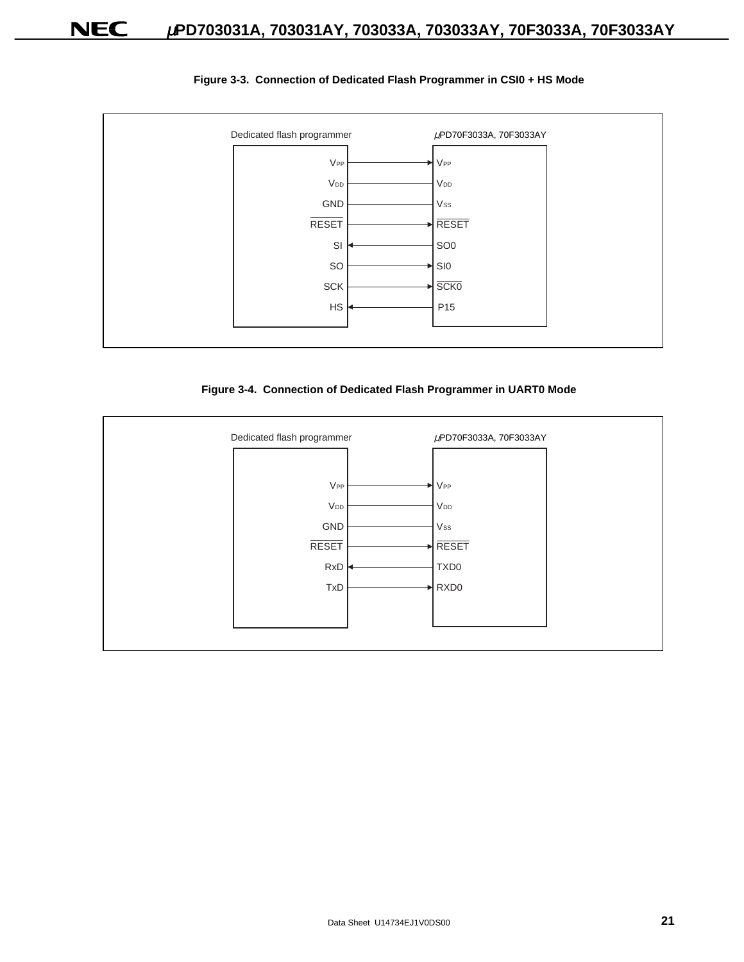

#### **Figure 3-3. Connection of Dedicated Flash Programmer in CSI0 + HS Mode**



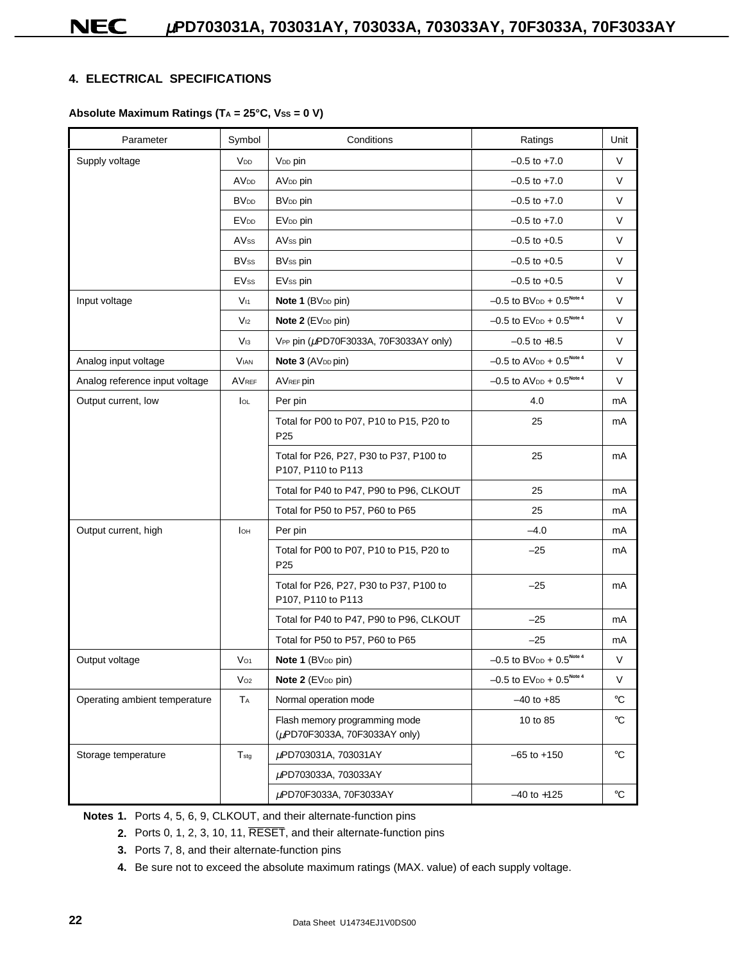### **4. ELECTRICAL SPECIFICATIONS**

### Absolute Maximum Ratings (T<sub>A</sub> = 25°C, Vss = 0 V)

| Parameter                      | Symbol                 | Conditions                                                     | Ratings                                                 | Unit              |
|--------------------------------|------------------------|----------------------------------------------------------------|---------------------------------------------------------|-------------------|
| Supply voltage                 | V <sub>DD</sub>        | V <sub>DD</sub> pin                                            | $-0.5$ to $+7.0$                                        | $\vee$            |
|                                | <b>AV<sub>DD</sub></b> | AV <sub>DD</sub> pin                                           | $-0.5$ to $+7.0$                                        | V                 |
|                                | <b>BV<sub>DD</sub></b> | BV <sub>DD</sub> pin                                           | $-0.5$ to $+7.0$                                        | V                 |
|                                | <b>EV<sub>DD</sub></b> | EV <sub>DD</sub> pin                                           | $-0.5$ to $+7.0$                                        | V                 |
|                                | AV <sub>ss</sub>       | AV <sub>ss</sub> pin                                           | $-0.5$ to $+0.5$                                        | V                 |
|                                | <b>BVss</b>            | <b>BVss pin</b>                                                | $-0.5$ to $+0.5$                                        | V                 |
|                                | <b>EVss</b>            | EVss pin                                                       | $-0.5$ to $+0.5$                                        | V                 |
| Input voltage                  | $V_{11}$               | Note 1 (BV <sub>DD</sub> pin)                                  | $-0.5$ to BV <sub>DD</sub> + $0.5^{\text{Note 4}}$      | V                 |
|                                | V <sub>12</sub>        | Note 2 (EV <sub>DD</sub> pin)                                  | $-0.5$ to $EV_{DD} + 0.5^{Note 4}$                      | V                 |
|                                | $V_{13}$               | VPP pin (µPD70F3033A, 70F3033AY only)                          | $-0.5$ to $+8.5$                                        | V                 |
| Analog input voltage           | <b>VIAN</b>            | Note 3 (AV <sub>DD</sub> pin)                                  | $-0.5$ to AV <sub>DD</sub> + $0.5$ <sup>Note 4</sup>    | V                 |
| Analog reference input voltage | AVREF                  | AVREF pin                                                      | $-0.5$ to AV <sub>DD</sub> + $0.5^{\text{Note 4}}$      | V                 |
| Output current, low            | loL                    | Per pin                                                        | 4.0                                                     | mA                |
|                                |                        | Total for P00 to P07, P10 to P15, P20 to<br>P <sub>25</sub>    | 25                                                      | mA                |
|                                |                        | Total for P26, P27, P30 to P37, P100 to<br>P107, P110 to P113  | 25                                                      | mA                |
|                                |                        | Total for P40 to P47, P90 to P96, CLKOUT                       | 25                                                      | mA                |
|                                |                        | Total for P50 to P57, P60 to P65                               | 25                                                      | mA                |
| Output current, high           | Iон                    | Per pin                                                        | $-4.0$                                                  | mA                |
|                                |                        | Total for P00 to P07, P10 to P15, P20 to<br>P <sub>25</sub>    | $-25$                                                   | mA                |
|                                |                        | Total for P26, P27, P30 to P37, P100 to<br>P107, P110 to P113  | $-25$                                                   | mA                |
|                                |                        | Total for P40 to P47, P90 to P96, CLKOUT                       | $-25$                                                   | mA                |
|                                |                        | Total for P50 to P57, P60 to P65                               | $-25$                                                   | mA                |
| Output voltage                 | $V_{O1}$               | Note 1 (BV <sub>DD</sub> pin)                                  | $-0.5$ to BV <sub>DD</sub> + $0.5^{\text{Note 4}}$      | V                 |
|                                | $V_{O2}$               | Note 2 (EV <sub>DD</sub> pin)                                  | $-0.5$ to $\text{EV}_{\text{DD}} + 0.5^{\text{Note 4}}$ | $\vee$            |
| Operating ambient temperature  | TA                     | Normal operation mode                                          | $-40$ to $+85$                                          | $^\circ \text{C}$ |
|                                |                        | Flash memory programming mode<br>(µPD70F3033A, 70F3033AY only) | 10 to 85                                                | °C                |
| Storage temperature            | $T_{\text{stg}}$       | μPD703031A, 703031AY                                           | $-65$ to $+150$                                         | °C                |
|                                |                        | μPD703033A, 703033AY                                           |                                                         |                   |
|                                |                        | µPD70F3033A, 70F3033AY                                         | $-40$ to $+125$                                         | $^\circ \text{C}$ |

**Notes 1.** Ports 4, 5, 6, 9, CLKOUT, and their alternate-function pins

- **2.** Ports 0, 1, 2, 3, 10, 11, RESET, and their alternate-function pins
- **3.** Ports 7, 8, and their alternate-function pins
- **4.** Be sure not to exceed the absolute maximum ratings (MAX. value) of each supply voltage.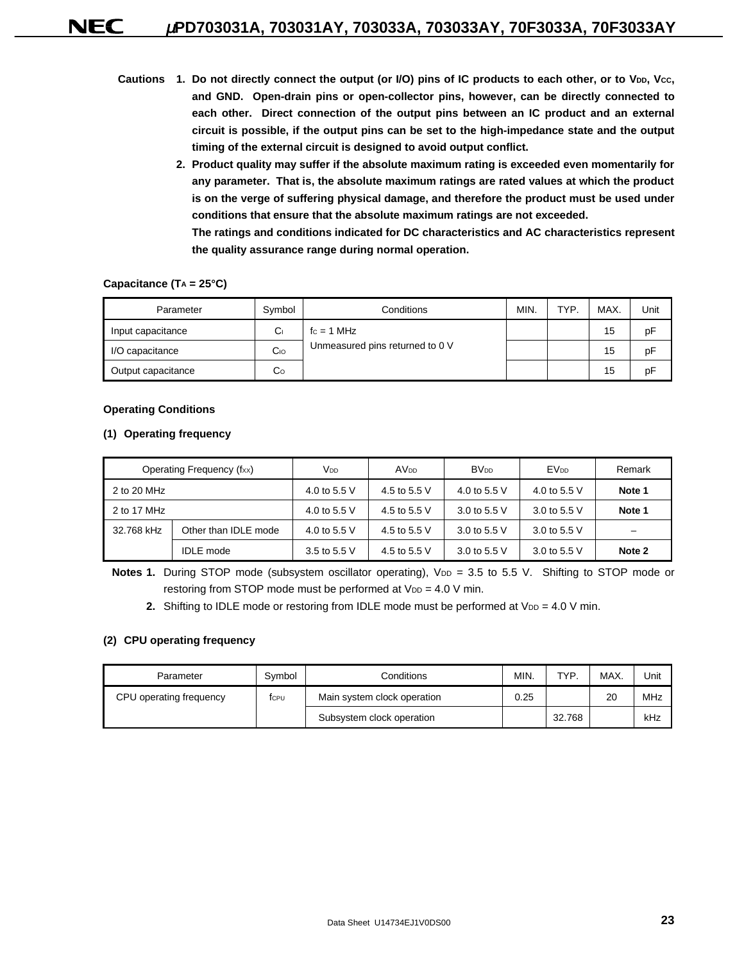- Cautions 1. Do not directly connect the output (or I/O) pins of IC products to each other, or to V<sub>DD</sub>, Vcc, **and GND. Open-drain pins or open-collector pins, however, can be directly connected to each other. Direct connection of the output pins between an IC product and an external circuit is possible, if the output pins can be set to the high-impedance state and the output timing of the external circuit is designed to avoid output conflict.**
	- **2. Product quality may suffer if the absolute maximum rating is exceeded even momentarily for any parameter. That is, the absolute maximum ratings are rated values at which the product is on the verge of suffering physical damage, and therefore the product must be used under conditions that ensure that the absolute maximum ratings are not exceeded. The ratings and conditions indicated for DC characteristics and AC characteristics represent**

#### Capacitance (T<sub>A</sub> = 25°C)

| Parameter          | Symbol | Conditions                      | MIN. | <b>TYP</b> | MAX. | Unit |
|--------------------|--------|---------------------------------|------|------------|------|------|
| Input capacitance  | Cı     | $fc = 1 MHz$                    |      |            | 15   | pF   |
| I/O capacitance    | Co     | Unmeasured pins returned to 0 V |      |            | 15   | pF   |
| Output capacitance | Co     |                                 |      |            | 15   | pF   |

**the quality assurance range during normal operation.**

#### **Operating Conditions**

#### **(1) Operating frequency**

|             | Operating Frequency (fxx) | Vdd          | AV <sub>DD</sub> | <b>BV<sub>DD</sub></b> | <b>EV<sub>DD</sub></b> | Remark |
|-------------|---------------------------|--------------|------------------|------------------------|------------------------|--------|
| 2 to 20 MHz |                           | 4.0 to 5.5 V | 4.5 to 5.5 V     | 4.0 to 5.5 V           | 4.0 to 5.5 V           | Note 1 |
| 2 to 17 MHz |                           | 4.0 to 5.5 V | 4.5 to 5.5 V     | 3.0 to 5.5 $V$         | 3.0 to 5.5 V           | Note 1 |
| 32.768 kHz  | Other than IDLE mode      | 4.0 to 5.5 V | 4.5 to 5.5 V     | 3.0 to 5.5 $V$         | 3.0 to 5.5 V           | -      |
|             | <b>IDLE</b> mode          | 3.5 to 5.5 V | 4.5 to 5.5 V     | 3.0 to 5.5 $V$         | 3.0 to 5.5 V           | Note 2 |

Notes 1. During STOP mode (subsystem oscillator operating), V<sub>DD</sub> = 3.5 to 5.5 V. Shifting to STOP mode or restoring from STOP mode must be performed at  $V_{DD} = 4.0 V$  min.

**2.** Shifting to IDLE mode or restoring from IDLE mode must be performed at  $V_{DD} = 4.0 V$  min.

#### **(2) CPU operating frequency**

| Parameter               | Symbol | Conditions                  | MIN. | TYP    | MAX. | Unit |
|-------------------------|--------|-----------------------------|------|--------|------|------|
| CPU operating frequency | tcpu   | Main system clock operation |      |        | 20   | MHz  |
|                         |        | Subsystem clock operation   |      | 32.768 |      | kHz  |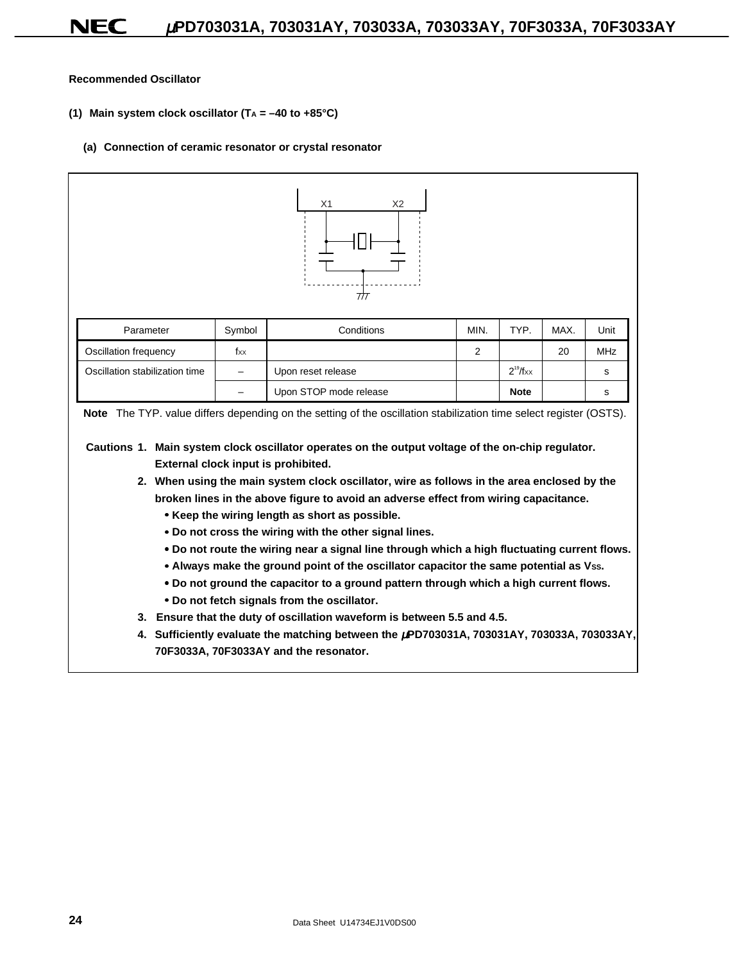**Recommended Oscillator**

- **(1) Main system clock oscillator (TA = –40 to +85°C)**
	- **(a) Connection of ceramic resonator or crystal resonator**

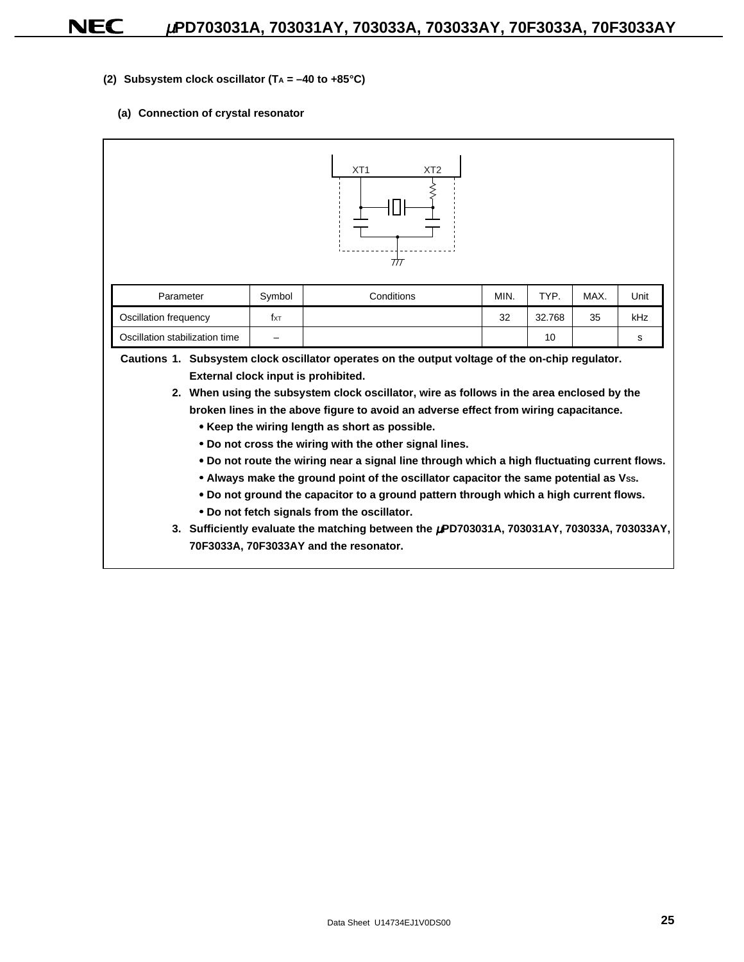- **(2) Subsystem clock oscillator (TA = –40 to +85°C)**
	- **(a) Connection of crystal resonator**

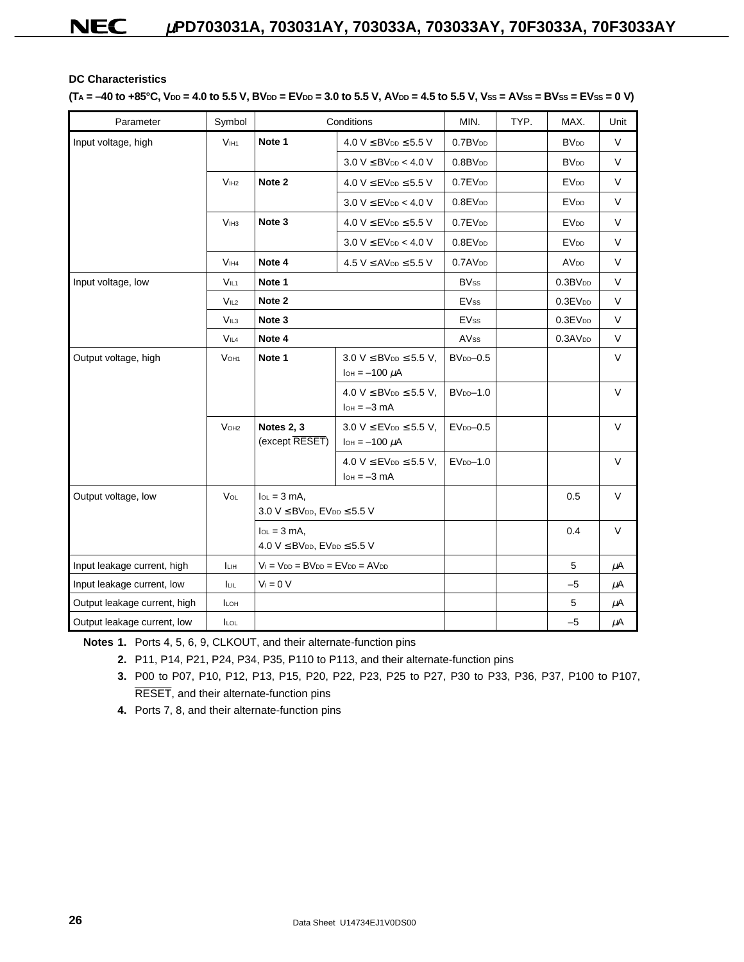### **DC Characteristics**

#### $(T_A = -40$  to  $+85^{\circ}$ C,  $V_{DD} = 4.0$  to 5.5 V, BV<sub>DD</sub> = EV<sub>DD</sub> = 3.0 to 5.5 V, AV<sub>DD</sub> = 4.5 to 5.5 V, Vss = AVss = BVss = EVss = 0 V)

| Parameter                    | Symbol              |                                                                          | Conditions                                                                      | MIN.                | TYP. | MAX.                   | Unit        |
|------------------------------|---------------------|--------------------------------------------------------------------------|---------------------------------------------------------------------------------|---------------------|------|------------------------|-------------|
| Input voltage, high          | V <sub>IH1</sub>    | Note 1                                                                   | $4.0 V \leq BV_{DD} \leq 5.5 V$                                                 | 0.7BV <sub>DD</sub> |      | <b>BV<sub>DD</sub></b> | V           |
|                              |                     |                                                                          | $3.0 V \leq BV_{DD} < 4.0 V$                                                    | $0.8$ B $VDD$       |      | <b>BV<sub>DD</sub></b> | V           |
|                              | V <sub>IH2</sub>    | Note 2                                                                   | $4.0 V \leq$ EV <sub>DD</sub> $\leq$ 5.5 V                                      | $0.7$ E $V_{DD}$    |      | <b>EVDD</b>            | V           |
|                              |                     |                                                                          | $3.0 V \leq EV_{DD} < 4.0 V$                                                    | $0.8$ E $V_{DD}$    |      | <b>EV<sub>DD</sub></b> | $\vee$      |
|                              | V <sub>IH3</sub>    | Note 3                                                                   | $4.0 V \leq$ EV <sub>DD</sub> $\leq$ 5.5 V                                      | $0.7$ E $V_{DD}$    |      | <b>EV<sub>DD</sub></b> | $\vee$      |
|                              |                     |                                                                          | $3.0 V \leq$ EV <sub>DD</sub> < 4.0 V                                           | $0.8$ E $V_{DD}$    |      | <b>EVDD</b>            | $\vee$      |
|                              | V <sub>IH4</sub>    | Note 4                                                                   | $4.5 V \le AV$ <sub>DD</sub> $\le$ 5.5 V                                        | 0.7AV <sub>DD</sub> |      | <b>AV<sub>DD</sub></b> | $\mathsf V$ |
| Input voltage, low           | V <sub>IL1</sub>    | Note 1                                                                   |                                                                                 | <b>BVss</b>         |      | 0.3BV <sub>DD</sub>    | $\mathsf V$ |
|                              | V <sub>IL2</sub>    | Note 2                                                                   |                                                                                 | <b>EVss</b>         |      | 0.3EV <sub>DD</sub>    | V           |
|                              | V <sub>IL3</sub>    | Note 3                                                                   |                                                                                 | <b>EVss</b>         |      | 0.3EV <sub>DD</sub>    | $\vee$      |
|                              | V <sub>IL4</sub>    | Note 4                                                                   |                                                                                 | AVss                |      | $0.3$ A $VDD$          | V           |
| Output voltage, high         | $V$ OH <sub>1</sub> | Note 1                                                                   | 3.0 $V \leq BV$ <sub>DD</sub> $\leq$ 5.5 V,<br>$I$ <sub>OH</sub> = $-100 \mu$ A | $BVDD - 0.5$        |      |                        | $\vee$      |
|                              |                     |                                                                          | 4.0 $V \leq BV$ <sub>DD</sub> $\leq$ 5.5 V,<br>$IOH = -3 mA$                    | $BVDD-1.0$          |      |                        | V           |
|                              | V <sub>OH2</sub>    | <b>Notes 2, 3</b><br>(except RESET)                                      | 3.0 $V \leq$ EV <sub>DD</sub> $\leq$ 5.5 V,<br>$I$ <sub>OH</sub> = $-100 \mu$ A | $EVDD - 0.5$        |      |                        | $\vee$      |
|                              |                     |                                                                          | 4.0 $V \leq$ EV <sub>DD</sub> $\leq$ 5.5 V,<br>$IOH = -3 mA$                    | $EVDD-1.0$          |      |                        | V           |
| Output voltage, low          | VOL                 | $I_{OL} = 3$ mA,<br>$3.0 V \leq BV$ DD, $EV$ DD $\leq 5.5 V$             |                                                                                 |                     |      | 0.5                    | $\vee$      |
|                              |                     | $I_{OL} = 3$ mA,<br>4.0 $V \leq BV$ <sub>DD</sub> , $EV_{DD} \leq 5.5 V$ |                                                                                 |                     |      | 0.4                    | V           |
| Input leakage current, high  | Іцн                 | $V_1 = V_{DD} = BV_{DD} = EV_{DD} = AV_{DD}$                             |                                                                                 |                     |      | 5                      | μA          |
| Input leakage current, low   | luu.                | $V_1 = 0 V$                                                              |                                                                                 |                     |      | $-5$                   | μA          |
| Output leakage current, high | <b>ILOH</b>         |                                                                          |                                                                                 |                     |      | 5                      | $\mu$ A     |
| Output leakage current, low  | <b>ILOL</b>         |                                                                          |                                                                                 |                     |      | $-5$                   | $\mu$ A     |

**Notes 1.** Ports 4, 5, 6, 9, CLKOUT, and their alternate-function pins

**2.** P11, P14, P21, P24, P34, P35, P110 to P113, and their alternate-function pins

**3.** P00 to P07, P10, P12, P13, P15, P20, P22, P23, P25 to P27, P30 to P33, P36, P37, P100 to P107, RESET, and their alternate-function pins

**4.** Ports 7, 8, and their alternate-function pins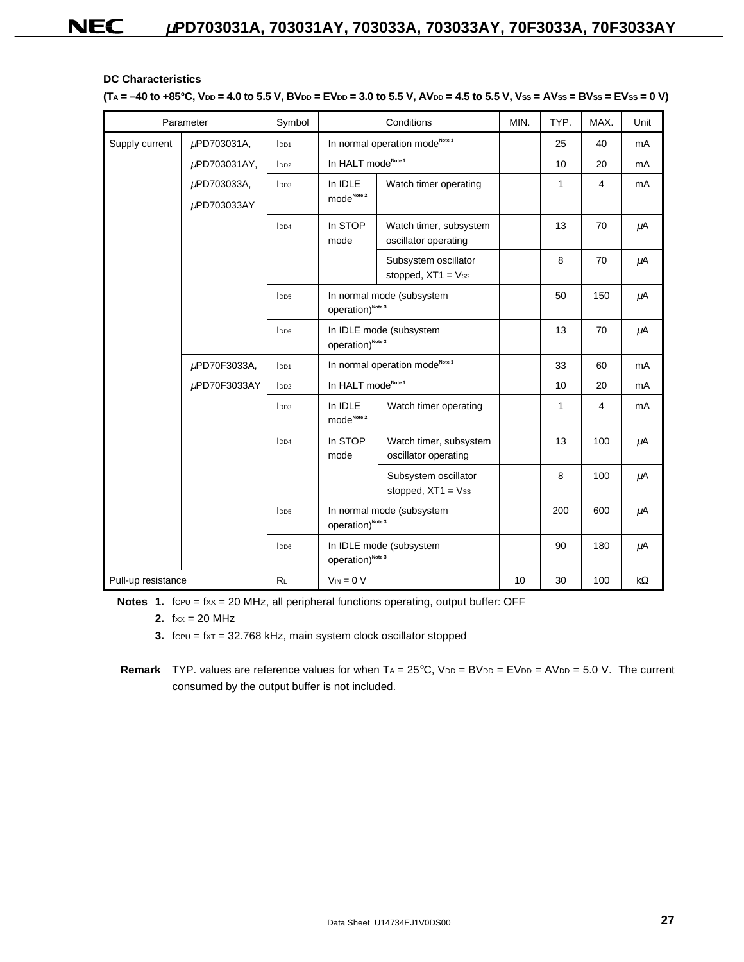### **DC Characteristics**

 $(T_A = -40$  to  $+85^{\circ}$ C,  $V_{DD} = 4.0$  to 5.5 V, BV<sub>DD</sub> = EV<sub>DD</sub> = 3.0 to 5.5 V, AV<sub>DD</sub> = 4.5 to 5.5 V, Vss = AVss = BVss = EVss = 0 V)

|                    | Parameter         | Symbol             |                                                           | Conditions                                              | MIN. | TYP. | MAX. | Unit    |
|--------------------|-------------------|--------------------|-----------------------------------------------------------|---------------------------------------------------------|------|------|------|---------|
| Supply current     | µPD703031A,       | I <sub>DD1</sub>   |                                                           | In normal operation mode <sup>Note 1</sup>              |      | 25   | 40   | mA      |
|                    | $\mu$ PD703031AY, | I <sub>DD2</sub>   | In HALT mode <sup>Note 1</sup>                            |                                                         |      | 10   | 20   | mA      |
|                    | µPD703033A,       | I <sub>DD3</sub>   | In IDLE                                                   | Watch timer operating                                   |      | 1    | 4    | mA      |
|                    | μPD703033AY       |                    | $\mathsf{mode}^{\mathsf{Note}\,2}$                        |                                                         |      |      |      |         |
|                    |                   | l <sub>DD4</sub>   | In STOP<br>mode                                           | Watch timer, subsystem<br>oscillator operating          |      | 13   | 70   | $\mu$ A |
|                    |                   |                    |                                                           | Subsystem oscillator<br>stopped, $XT1 = Vss$            |      | 8    | 70   | $\mu$ A |
|                    |                   | I <sub>DD5</sub>   | operation) <sup>Note 3</sup>                              | In normal mode (subsystem                               |      | 50   | 150  | $\mu$ A |
|                    |                   | l <sub>DD6</sub>   | operation) <sup>Note 3</sup>                              | In IDLE mode (subsystem                                 |      | 13   | 70   | μA      |
|                    | µPD70F3033A,      | $I$ <sub>DD1</sub> |                                                           | In normal operation mode <sup>Note 1</sup>              |      | 33   | 60   | mA      |
|                    | $\mu$ PD70F3033AY | D <sub>D2</sub>    | In HALT mode <sup>Note 1</sup>                            |                                                         |      | 10   | 20   | mA      |
|                    |                   | I <sub>DD3</sub>   | In IDLE<br>mode <sub>Note 2</sub>                         | Watch timer operating                                   |      | 1    | 4    | mA      |
|                    |                   | $I$ <sub>DD4</sub> | In STOP<br>mode                                           | Watch timer, subsystem<br>oscillator operating          |      | 13   | 100  | μA      |
|                    |                   |                    |                                                           | Subsystem oscillator<br>stopped, $XT1 = Vss$            |      | 8    | 100  | μA      |
|                    |                   | I <sub>DD5</sub>   | In normal mode (subsystem<br>operation) <sup>Note 3</sup> |                                                         |      | 200  | 600  | μA      |
|                    |                   | l <sub>DD6</sub>   |                                                           | In IDLE mode (subsystem<br>operation) <sup>Note 3</sup> |      |      | 180  | μA      |
| Pull-up resistance |                   | R <sub>L</sub>     | $V_{IN} = 0 V$                                            |                                                         | 10   | 30   | 100  | kΩ      |

**Notes 1.** fcpu = fxx = 20 MHz, all peripheral functions operating, output buffer: OFF

**2.**  $f_{XX} = 20$  MHz

**3.**  $f_{\text{CPU}} = f_{\text{XT}} = 32.768 \text{ kHz}$ , main system clock oscillator stopped

**Remark** TYP. values are reference values for when  $TA = 25^{\circ}C$ ,  $V_{DD} = BV_{DD} = AV_{DD} = AV_{DD} = 5.0$  V. The current consumed by the output buffer is not included.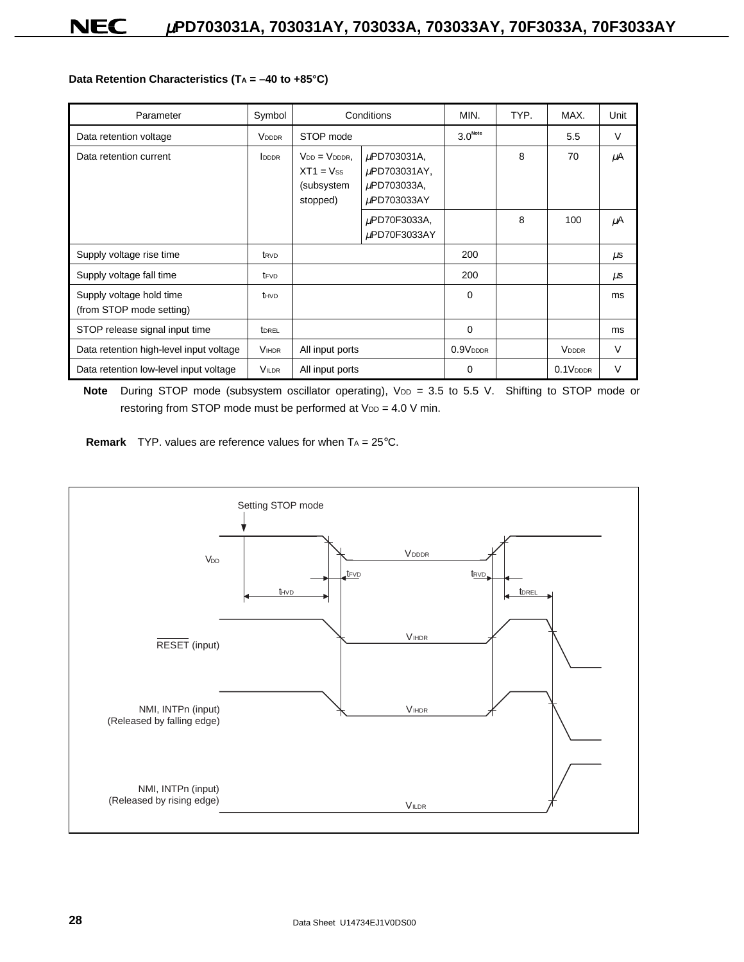#### Data Retention Characteristics (T<sub>A</sub> = -40 to +85°C)

| Parameter                                            | Symbol           |                                                                | Conditions                                                | MIN.                | TYP. | MAX.                  | Unit    |
|------------------------------------------------------|------------------|----------------------------------------------------------------|-----------------------------------------------------------|---------------------|------|-----------------------|---------|
| Data retention voltage                               | <b>VDDDR</b>     | STOP mode                                                      |                                                           | 3.0 <sup>Note</sup> |      | 5.5                   | $\vee$  |
| Data retention current                               | <b>IDDDR</b>     | $V_{DD} = V_{DDDR}$ .<br>$XT1 = Vss$<br>(subsystem<br>stopped) | µPD703031A,<br>µPD703031AY,<br>µPD703033A,<br>µPD703033AY |                     | 8    | 70                    | μA      |
|                                                      |                  |                                                                | µPD70F3033A,<br>uPD70F3033AY                              |                     | 8    | 100                   | μA      |
| Supply voltage rise time                             | t <sub>RVD</sub> |                                                                |                                                           | 200                 |      |                       | $\mu$ s |
| Supply voltage fall time                             | t <sub>FVD</sub> |                                                                |                                                           | 200                 |      |                       | $\mu$ s |
| Supply voltage hold time<br>(from STOP mode setting) | thvp             |                                                                |                                                           | $\Omega$            |      |                       | ms      |
| STOP release signal input time                       | <b>TOREL</b>     |                                                                |                                                           | $\mathbf 0$         |      |                       | ms      |
| Data retention high-level input voltage              | <b>VIHDR</b>     | All input ports                                                |                                                           | $0.9V_{DDDR}$       |      | <b>VDDDR</b>          | V       |
| Data retention low-level input voltage               | <b>VILDR</b>     | All input ports                                                |                                                           | $\Omega$            |      | 0.1 V <sub>DDDR</sub> | V       |

Note During STOP mode (subsystem oscillator operating), V<sub>DD</sub> = 3.5 to 5.5 V. Shifting to STOP mode or restoring from STOP mode must be performed at  $V_{DD} = 4.0 V$  min.

**Remark** TYP. values are reference values for when T<sub>A</sub> = 25°C.

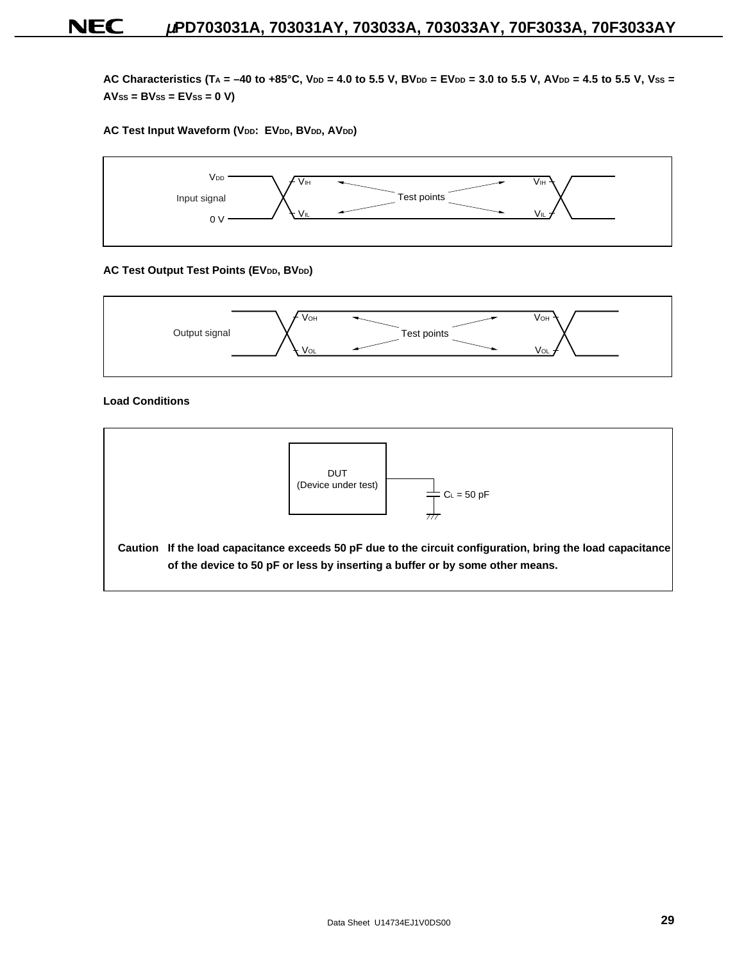AC Characteristics (TA = -40 to +85°C, V<sub>DD</sub> = 4.0 to 5.5 V, BV<sub>DD</sub> = EV<sub>DD</sub> = 3.0 to 5.5 V, AV<sub>DD</sub> = 4.5 to 5.5 V, Vss = **AVSS = BVSS = EVSS = 0 V)**

#### AC Test Input Waveform (VDD: EVDD, BVDD, AVDD)



#### **AC Test Output Test Points (EVDD, BVDD)**



#### **Load Conditions**

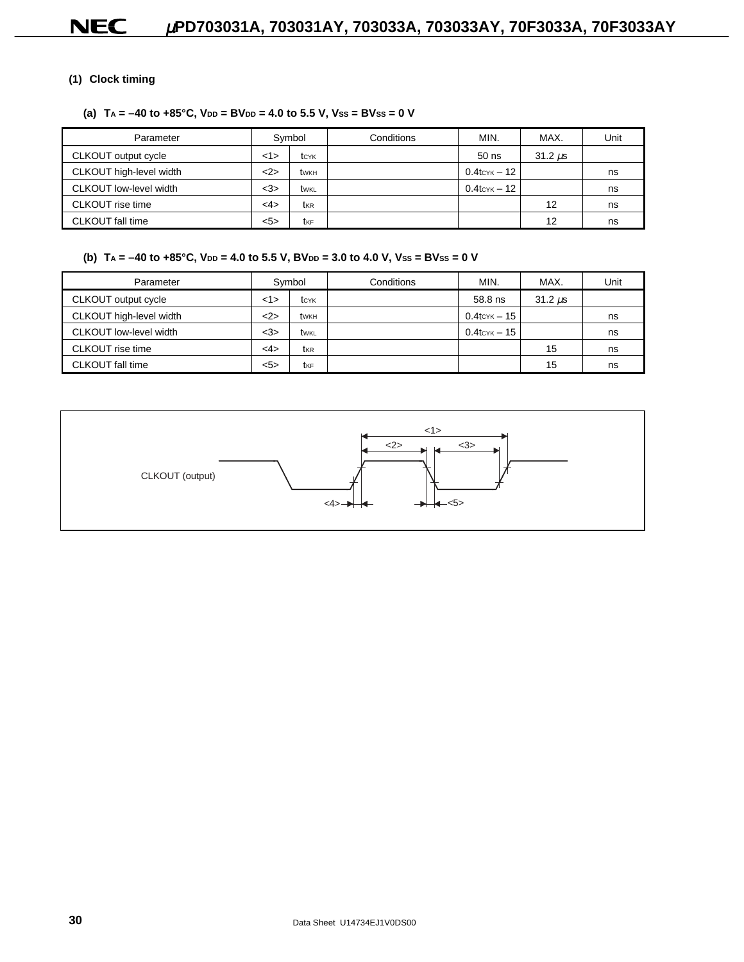### **(1) Clock timing**

### (a)  $TA = -40$  to  $+85^{\circ}C$ ,  $V_{DD} = BV_{DD} = 4.0$  to 5.5 V,  $V_{SS} = BV_{SS} = 0$  V

| Parameter                     |        | Symbol | Conditions | MIN.                     | MAX.         | Unit |
|-------------------------------|--------|--------|------------|--------------------------|--------------|------|
| CLKOUT output cycle           | 1>     | tcyk   |            | $50$ ns                  | $31.2 \mu s$ |      |
| CLKOUT high-level width       | <2>    | twĸн   |            | $0.4$ tc $\times$ K – 12 |              | ns   |
| <b>CLKOUT</b> low-level width | $<$ 3> | twkl   |            | $0.4$ tc $\times$ K – 12 |              | ns   |
| CLKOUT rise time              | <4>    | tkr    |            |                          | 12           | ns   |
| CLKOUT fall time              | 5>     | tkF    |            |                          | 12           | ns   |

### (b)  $TA = -40$  to  $+85^{\circ}C$ ,  $V_{DD} = 4.0$  to 5.5 V,  $BV_{DD} = 3.0$  to 4.0 V,  $V_{SS} = BV_{SS} = 0$  V

| Parameter               |        | Symbol | Conditions | MIN.                   | MAX.         | Unit |
|-------------------------|--------|--------|------------|------------------------|--------------|------|
| CLKOUT output cycle     | 1>     | tcyk   |            | 58.8 ns                | $31.2 \mu s$ |      |
| CLKOUT high-level width | 2      | twĸн   |            | $0.4$ tc $\times$ – 15 |              | ns   |
| CLKOUT low-level width  | $<$ 3> | twkl   |            | $0.4$ tc $\times$ – 15 |              | ns   |
| CLKOUT rise time        | <4>    | tkr    |            |                        | 15           | ns   |
| CLKOUT fall time        | 5>     | tkF    |            |                        | 15           | ns   |

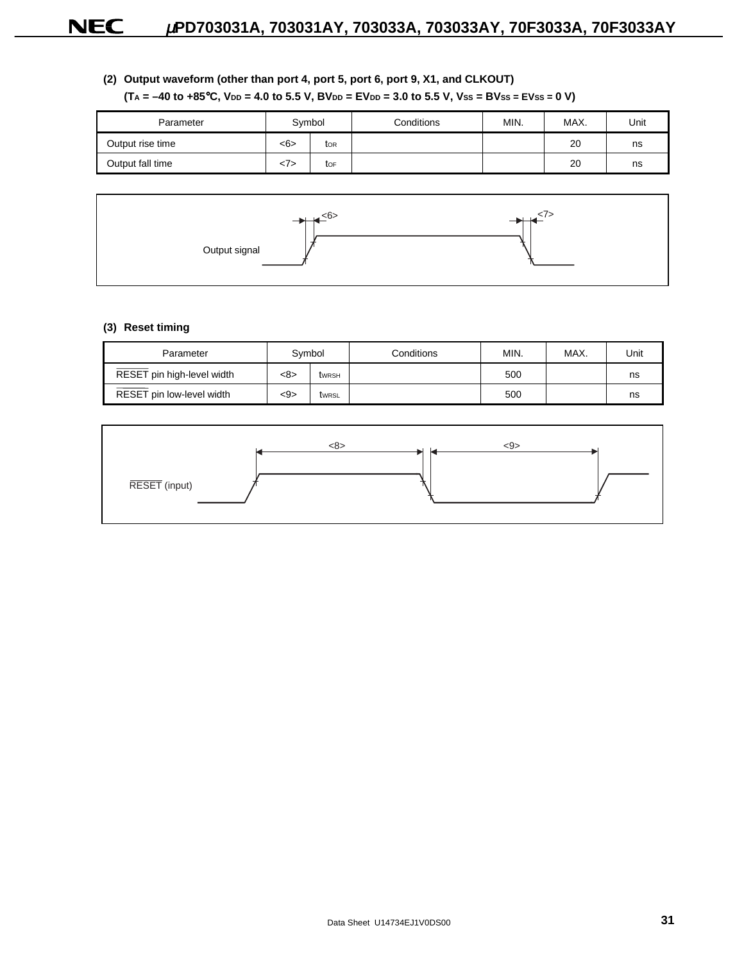### **(2) Output waveform (other than port 4, port 5, port 6, port 9, X1, and CLKOUT)**

### $(T_A = -40$  to  $+85$ °C,  $V_{DD} = 4.0$  to 5.5 V,  $BV_{DD} = EV_{DD} = 3.0$  to 5.5 V,  $V_{SS} = BV_{SS} = EV_{SS} = 0$  V)

| Parameter        | Symbol     |     | Conditions | MIN. | MAX. | Unit |
|------------------|------------|-----|------------|------|------|------|
| Output rise time | <6><br>tor |     |            |      | 20   | ns   |
| Output fall time |            | tor |            |      | 20   | ns   |



#### **(3) Reset timing**

| Parameter                  | Symbol |              | Conditions | MIN. | MAX. | Unit |
|----------------------------|--------|--------------|------------|------|------|------|
| RESET pin high-level width | <8>    | <b>twrsh</b> |            | 500  |      | ns   |
| RESET pin low-level width  | <9>    | twrsL        |            | 500  |      | ns   |

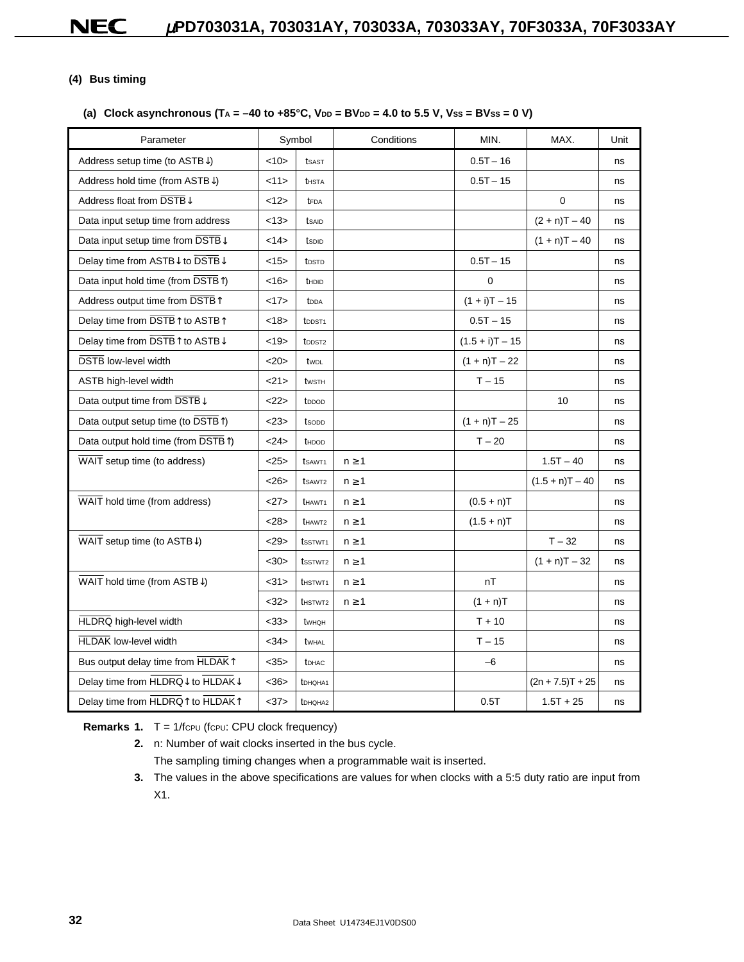### **(4) Bus timing**

### (a) Clock asynchronous  $(T_A = -40 \text{ to } +85^{\circ}C, V_{DD} = BV_{DD} = 4.0 \text{ to } 5.5 V, V_{SS} = BV_{SS} = 0 V)$

| Parameter                                      |      | Symbol              | Conditions | MIN.              | MAX.               | Unit |
|------------------------------------------------|------|---------------------|------------|-------------------|--------------------|------|
| Address setup time (to ASTB $\downarrow$ )     | <10> | tsast               |            | $0.5T - 16$       |                    | ns   |
| Address hold time (from $ASTB\downarrow$ )     | 11>  | <b>t</b> HSTA       |            | $0.5T - 15$       |                    | ns   |
| Address float from DSTB↓                       | <12> | tFDA                |            |                   | $\mathbf 0$        | ns   |
| Data input setup time from address             | <13> | tsaid               |            |                   | $(2 + n)T - 40$    | ns   |
| Data input setup time from DSTB↓               | <14> | tspip               |            |                   | $(1 + n)T - 40$    | ns   |
| Delay time from ASTB↓ to DSTB↓                 | <15> | t <sub>DSTD</sub>   |            | $0.5T - 15$       |                    | ns   |
| Data input hold time (from DSTB <sup>T</sup> ) | <16  | thdid               |            | 0                 |                    | ns   |
| Address output time from DSTB <sup>1</sup>     | <17> | t <sub>DDA</sub>    |            | $(1 + i)T - 15$   |                    | ns   |
| Delay time from DSTB↑ to ASTB↑                 | <18> | t <sub>DDST1</sub>  |            | $0.5T - 15$       |                    | ns   |
| Delay time from DSTB↑ to ASTB↓                 | <19> | t <sub>DDST2</sub>  |            | $(1.5 + i)T - 15$ |                    | ns   |
| <b>DSTB</b> low-level width                    | <20  | twpL                |            | $(1 + n)T - 22$   |                    | ns   |
| ASTB high-level width                          | 21   | twsth               |            | $T - 15$          |                    | ns   |
| Data output time from DSTB↓                    | 222  | t <sub>DDOD</sub>   |            |                   | 10                 | ns   |
| Data output setup time (to DSTB <sup>T</sup> ) | <23> | tsopp               |            | $(1 + n)T - 25$   |                    | ns   |
| Data output hold time (from DSTB1)             | <24> | thdod               |            | $T - 20$          |                    | ns   |
| WAIT setup time (to address)                   | <25> | tsaw <sub>T1</sub>  | $n \geq 1$ |                   | $1.5T - 40$        | ns   |
|                                                | <26  | tsaw <sub>T2</sub>  | $n \geq 1$ |                   | $(1.5 + n)T - 40$  | ns   |
| WAIT hold time (from address)                  | 27>  | <b>t</b> HAWT1      | $n \geq 1$ | $(0.5 + n)T$      |                    | ns   |
|                                                | <28> | t <sub>HAWT2</sub>  | $n \geq 1$ | $(1.5 + n)T$      |                    | ns   |
| WAIT setup time (to ASTB $\downarrow$ )        | <29  | tsstwt1             | $n \geq 1$ |                   | $T - 32$           | ns   |
|                                                | $30$ | tsstwt2             | $n \geq 1$ |                   | $(1 + n)T - 32$    | ns   |
| WAIT hold time (from ASTB $\downarrow$ )       | <31> | <b>t</b> HSTWT1     | $n \geq 1$ | nT                |                    | ns   |
|                                                | <32> | t <sub>HSTWT2</sub> | $n \geq 1$ | $(1 + n)T$        |                    | ns   |
| HLDRQ high-level width                         | $33$ | twhoh               |            | $T + 10$          |                    | ns   |
| <b>HLDAK</b> low-level width                   | <34> | twhal               |            | $T - 15$          |                    | ns   |
| Bus output delay time from HLDAK1              | <35> | <b>t</b> DHAC       |            | $-6$              |                    | ns   |
| Delay time from HLDRQ↓ to HLDAK↓               | <36> | <b>t</b> DHQHA1     |            |                   | $(2n + 7.5)T + 25$ | ns   |
| Delay time from HLDRQ↑ to HLDAK↑               | <37> | tDHQHA2             |            | 0.5T              | $1.5T + 25$        | ns   |

**Remarks 1.** T = 1/fcpu (fcpu: CPU clock frequency)

- **2.** n: Number of wait clocks inserted in the bus cycle. The sampling timing changes when a programmable wait is inserted.
- **3.** The values in the above specifications are values for when clocks with a 5:5 duty ratio are input from X1.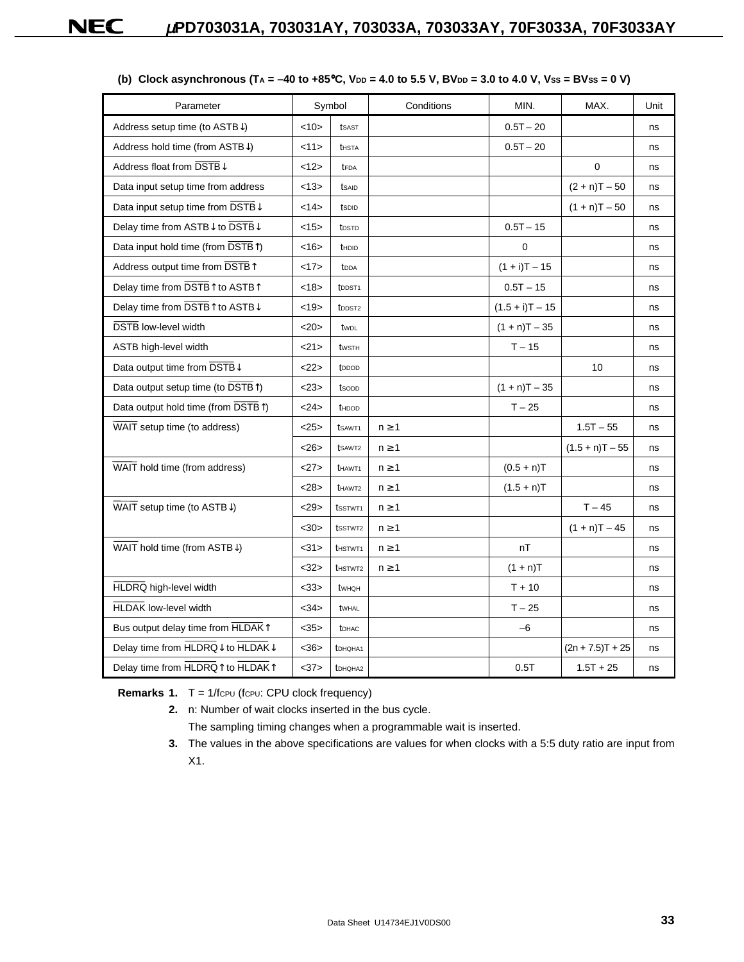| Parameter                                       |      | Symbol                     | Conditions | MIN.              | MAX.               | Unit |
|-------------------------------------------------|------|----------------------------|------------|-------------------|--------------------|------|
| Address setup time (to $ASTB\downarrow$ )       | <10> | tsast                      |            | $0.5T - 20$       |                    | ns   |
| Address hold time (from ASTB↓)                  | <11> | <b>t</b> hsta              |            | $0.5T - 20$       |                    | ns   |
| Address float from DSTB↓                        | <12> | tFDA                       |            |                   | 0                  | ns   |
| Data input setup time from address              | <13> | tsaid                      |            |                   | $(2 + n)T - 50$    | ns   |
| Data input setup time from DSTB↓                | <14> | tspip                      |            |                   | $(1 + n)T - 50$    | ns   |
| Delay time from ASTB↓ to DSTB↓                  | <15> | t <sub>DSTD</sub>          |            | $0.5T - 15$       |                    | ns   |
| Data input hold time (from DSTB <sup>T</sup> )  | <16> | thdid                      |            | $\mathbf 0$       |                    | ns   |
| Address output time from DSTB <sup>1</sup>      | <17> | t <sub>DDA</sub>           |            | $(1 + i)T - 15$   |                    | ns   |
| Delay time from DSTB↑ to ASTB↑                  | <18> | t <sub>DDST1</sub>         |            | $0.5T - 15$       |                    | ns   |
| Delay time from DSTB↑ to ASTB↓                  | <19> | t <sub>DDST2</sub>         |            | $(1.5 + i)T - 15$ |                    | ns   |
| <b>DSTB</b> low-level width                     | <20> | twpL                       |            | $(1 + n)T - 35$   |                    | ns   |
| ASTB high-level width                           | <21> | twsth                      |            | $T - 15$          |                    | ns   |
| Data output time from DSTBJ                     | 22   | t <sub>DDOD</sub>          |            |                   | 10                 | ns   |
| Data output setup time (to DSTB <sup>T</sup> )  | <23> | tsopp                      |            | $(1 + n)T - 35$   |                    | ns   |
| Data output hold time (from DSTB <sup>T</sup> ) | 24   | thdod                      |            | $T - 25$          |                    | ns   |
| WAIT setup time (to address)                    | <25> | tsaw <sub>T1</sub>         | $n \geq 1$ |                   | $1.5T - 55$        | ns   |
|                                                 | <26  | tsaw <sub>T2</sub>         | $n \geq 1$ |                   | $(1.5 + n)T - 55$  | ns   |
| WAIT hold time (from address)                   | 27   | <b>t</b> HAWT <sub>1</sub> | $n \geq 1$ | $(0.5 + n)T$      |                    | ns   |
|                                                 | <28> | thawt <sub>2</sub>         | $n \geq 1$ | $(1.5 + n)T$      |                    | ns   |
| WAIT setup time (to ASTB $\downarrow$ )         | 29   | tsstwt1                    | $n \geq 1$ |                   | $T - 45$           | ns   |
|                                                 | $30$ | tsstwt2                    | $n \geq 1$ |                   | $(1 + n)T - 45$    | ns   |
| WAIT hold time (from ASTB $\downarrow$ )        | <31> | thstwt <sub>1</sub>        | $n \geq 1$ | nT                |                    | ns   |
|                                                 | <32> | t <sub>HSTWT2</sub>        | $n \geq 1$ | $(1 + n)T$        |                    | ns   |
| HLDRQ high-level width                          | <33> | twhoh                      |            | $T + 10$          |                    | ns   |
| <b>HLDAK low-level width</b>                    | <34> | twhal                      |            | $T - 25$          |                    | ns   |
| Bus output delay time from HLDAK1               | <35> | <b>t</b> DHAC              |            | $-6$              |                    | ns   |
| Delay time from HLDRQ↓ to HLDAK↓                | <36  | t <sub>DHQHA1</sub>        |            |                   | $(2n + 7.5)T + 25$ | ns   |
| Delay time from HLDRQ↑ to HLDAK↑                | <37> | tDHQHA2                    |            | 0.5T              | $1.5T + 25$        | ns   |

### (b) Clock asynchronous  $(T_A = -40 \text{ to } +85^{\circ}\text{C}, \text{V}_{DD} = 4.0 \text{ to } 5.5 \text{ V}, \text{BV}_{DD} = 3.0 \text{ to } 4.0 \text{ V}, \text{Vss} = \text{BVss} = 0 \text{ V}$

**Remarks 1.** T = 1/fcpu (fcpu: CPU clock frequency)

**2.** n: Number of wait clocks inserted in the bus cycle.

The sampling timing changes when a programmable wait is inserted.

**3.** The values in the above specifications are values for when clocks with a 5:5 duty ratio are input from X1.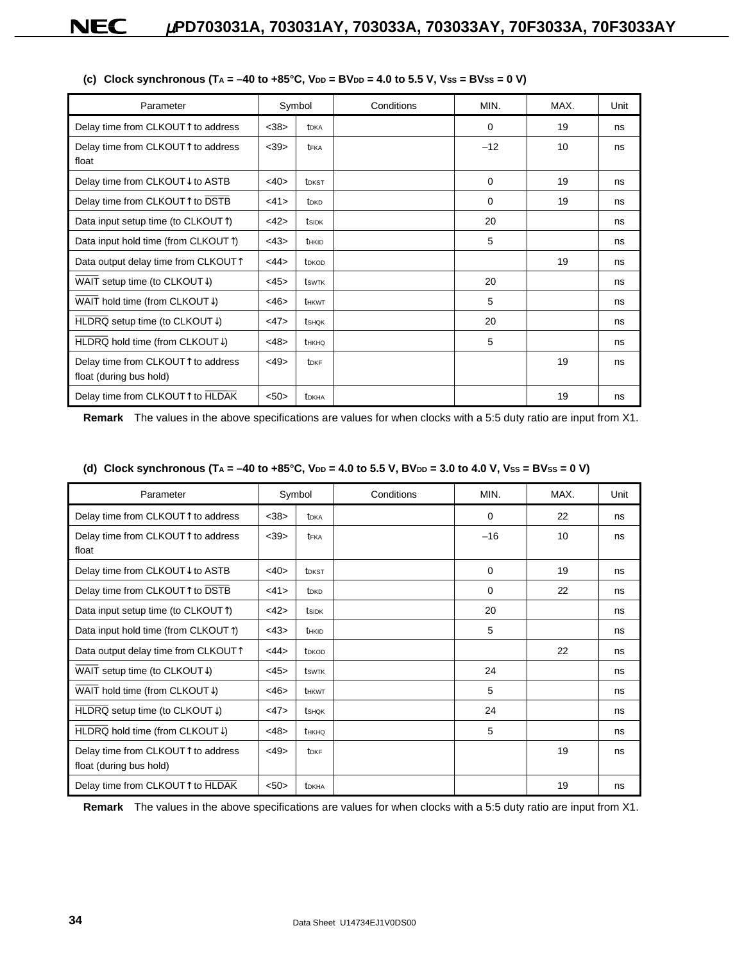| Parameter                                                                                     |      | Symbol                  | Conditions | MIN.     | MAX. | Unit |
|-----------------------------------------------------------------------------------------------|------|-------------------------|------------|----------|------|------|
| Delay time from CLKOUT↑ to address                                                            | <38> | t <sub>DKA</sub>        |            | $\Omega$ | 19   | ns   |
| Delay time from CLKOUT↑ to address<br>float                                                   | <39> | t <sub>FKA</sub>        |            | $-12$    | 10   | ns   |
| Delay time from CLKOUT↓ to ASTB                                                               | <40> | t <sub>DKST</sub>       |            | 0        | 19   | ns   |
| Delay time from CLKOUT↑ to DSTB                                                               | <41> | t <sub>DKD</sub>        |            | 0        | 19   | ns   |
| Data input setup time (to CLKOUTT)                                                            | <42> | tsidk                   |            | 20       |      | ns   |
| Data input hold time (from CLKOUTT)                                                           | <43> | <b>THKID</b>            |            | 5        |      | ns   |
| Data output delay time from CLKOUT <sup>1</sup>                                               | <44> | t <sub>DKOD</sub>       |            |          | 19   | ns   |
| WAIT setup time (to CLKOUT $\downarrow$ )                                                     | <45> | tswrk                   |            | 20       |      | ns   |
| WAIT hold time (from CLKOUT $\downarrow$ )                                                    | <46> | <b>t</b> HKWT           |            | 5        |      | ns   |
| HLDRQ setup time (to CLKOUT $\downarrow$ )                                                    | <47> | tshok                   |            | 20       |      | ns   |
| HLDRQ hold time (from CLKOUT↓)                                                                | <48> | thkho                   |            | 5        |      | ns   |
| Delay time from CLKOUT <sup><math>\uparrow</math></sup> to address<br>float (during bus hold) | <49> | <b>t</b> <sub>DKF</sub> |            |          | 19   | ns   |
| Delay time from CLKOUT <sup>↑</sup> to HLDAK                                                  | < 50 | t <sub>DKHA</sub>       |            |          | 19   | ns   |

|  |  | (c) Clock synchronous (TA = -40 to +85°C, VDD = BVDD = 4.0 to 5.5 V, Vss = BVss = 0 V) |  |
|--|--|----------------------------------------------------------------------------------------|--|

**Remark** The values in the above specifications are values for when clocks with a 5:5 duty ratio are input from X1.

| (d) Clock synchronous (T <sub>A</sub> = -40 to +85°C, V <sub>DD</sub> = 4.0 to 5.5 V, BV <sub>DD</sub> = 3.0 to 4.0 V, Vss = BVss = 0 V) |        |            |      |      |  |  |  |  |
|------------------------------------------------------------------------------------------------------------------------------------------|--------|------------|------|------|--|--|--|--|
| Parameter                                                                                                                                | Symbol | Conditions | MIN. | MAX. |  |  |  |  |

| Parameter                                                     |         | Symbol                        | Conditions | MIN.     | MAX. | Unit |
|---------------------------------------------------------------|---------|-------------------------------|------------|----------|------|------|
| Delay time from CLKOUT↑ to address                            | <38>    | t <sub>DKA</sub>              |            | $\Omega$ | 22   | ns   |
| Delay time from CLKOUT↑ to address<br>float                   | <39>    | teka                          |            | $-16$    | 10   | ns   |
| Delay time from CLKOUT↓ to ASTB                               | <40>    | t <sub>DKST</sub>             |            | 0        | 19   | ns   |
| Delay time from CLKOUT↑ to DSTB                               | <41>    | t <sub>DKD</sub>              |            | $\Omega$ | 22   | ns   |
| Data input setup time (to CLKOUTT)                            | <42>    | tsidk                         |            | 20       |      | ns   |
| Data input hold time (from CLKOUTT)                           | <43>    | thkid                         |            | 5        |      | ns   |
| Data output delay time from CLKOUT <sup>T</sup>               | <44>    | t <sub>D</sub> <sub>KOD</sub> |            |          | 22   | ns   |
| WAIT setup time (to CLKOUT $\downarrow$ )                     | <45>    | tswrk                         |            | 24       |      | ns   |
| WAIT hold time (from CLKOUT $\downarrow$ )                    | $<$ 46> | <b>t</b> HKWT                 |            | 5        |      | ns   |
| HLDRQ setup time (to CLKOUT $\downarrow$ )                    | <47>    | tshok                         |            | 24       |      | ns   |
| $HLDRQ$ hold time (from CLKOUT $\downarrow$ )                 | <48>    | tнкно                         |            | 5        |      | ns   |
| Delay time from CLKOUT↑ to address<br>float (during bus hold) | <49>    | <b>t</b> <sub>DKF</sub>       |            |          | 19   | ns   |
| Delay time from CLKOUT↑ to HLDAK                              | $50$    | t <sub>DKHA</sub>             |            |          | 19   | ns   |

**Remark** The values in the above specifications are values for when clocks with a 5:5 duty ratio are input from X1.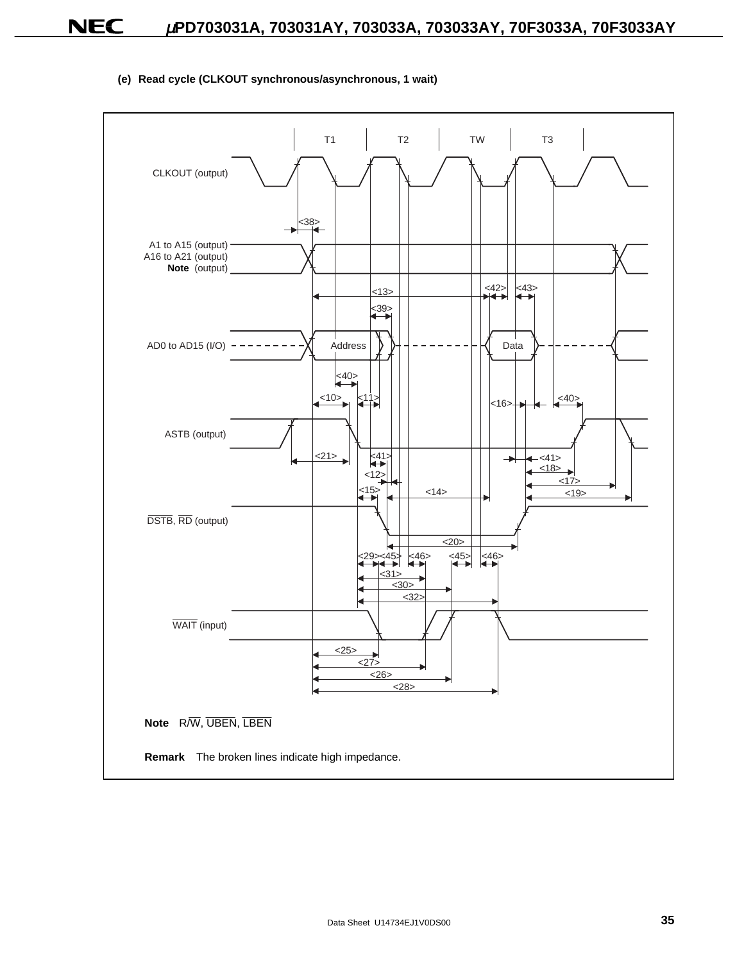### **(e) Read cycle (CLKOUT synchronous/asynchronous, 1 wait)**

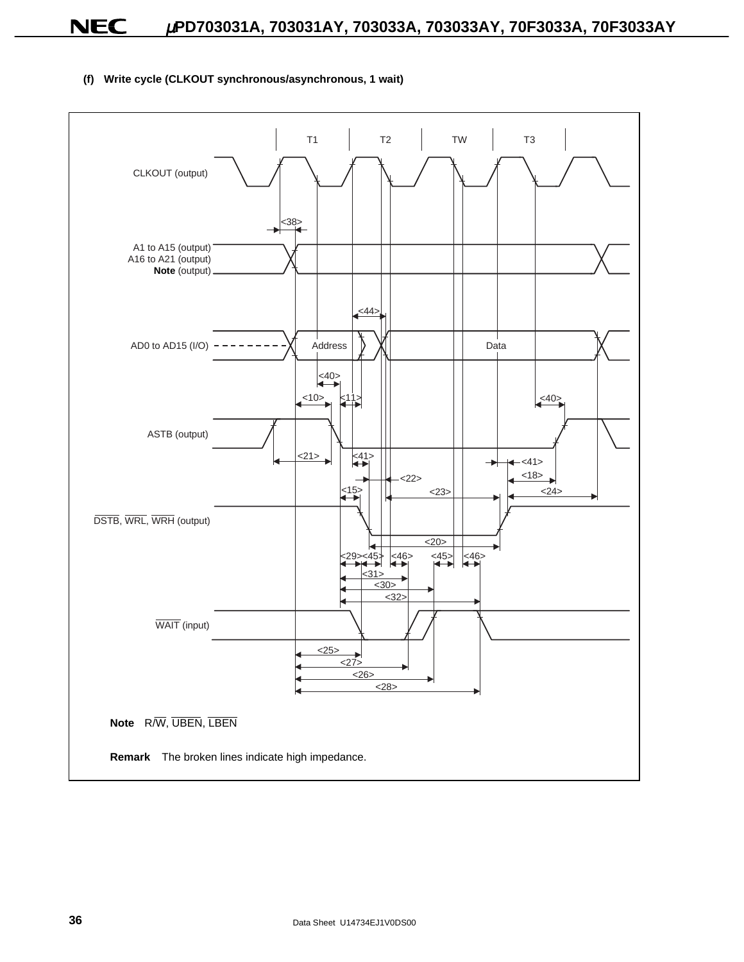T3 T1 T2 TW CLKOUT (output) <38> A1 to A15 (output) A16 to A21 (output) **Note** (output) <44> Address | **XI** Data AD0 to AD15 (I/O)  $\leq 40$ <10> <40>  $\leq 11$ ASTB (output)  $\leq 41$  $21$  $-$  <41> - $<18>$  $22$  $\leq 15$ <23> <24> DSTB, WRL, WRH (output)  $\overline{\leq 20}$  $\overline{+1}$   $\overline{+1}$   $\overline{+1}$   $\overline{+1}$  $\left|\left|\right|\right|$   $\left|\left|\right|\right|$   $\left|\left|\right|$   $\left|\right|$   $\left|\right|$   $\left|\left|\right|$   $\left|\right|$   $\left|\right|$   $\left|\right|$   $\left|\right|$   $\left|\right|$ <45> <29>  $<30>$ <32> WAIT (input)  $25$ <27> <26> <28> **Note** R/W, UBEN, LBEN **Remark** The broken lines indicate high impedance.

### **(f) Write cycle (CLKOUT synchronous/asynchronous, 1 wait)**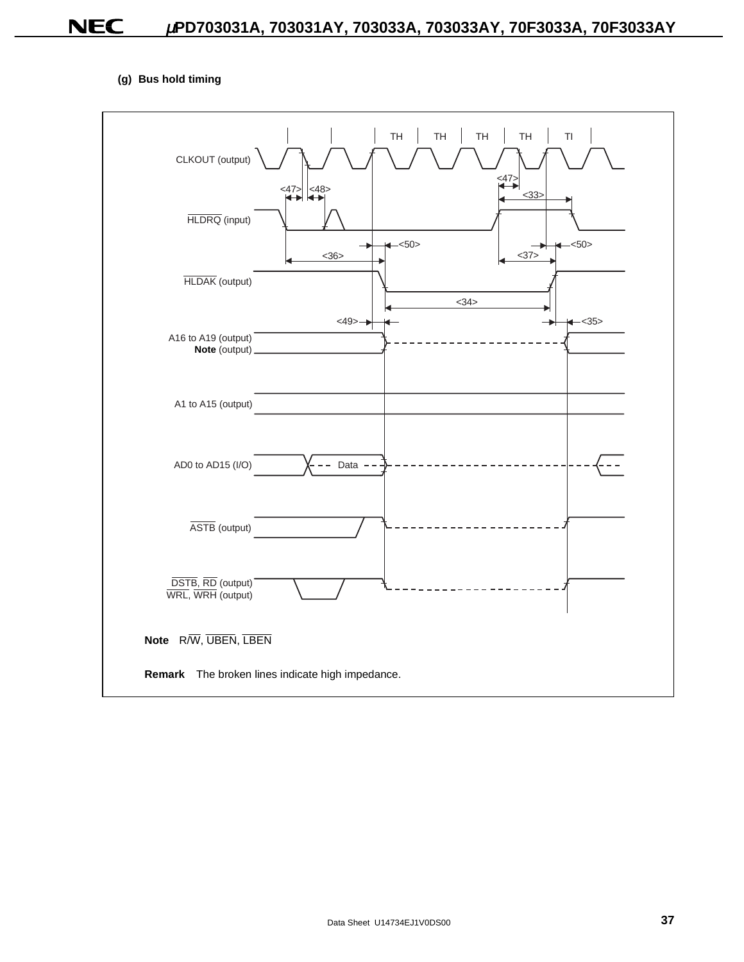### **(g) Bus hold timing**

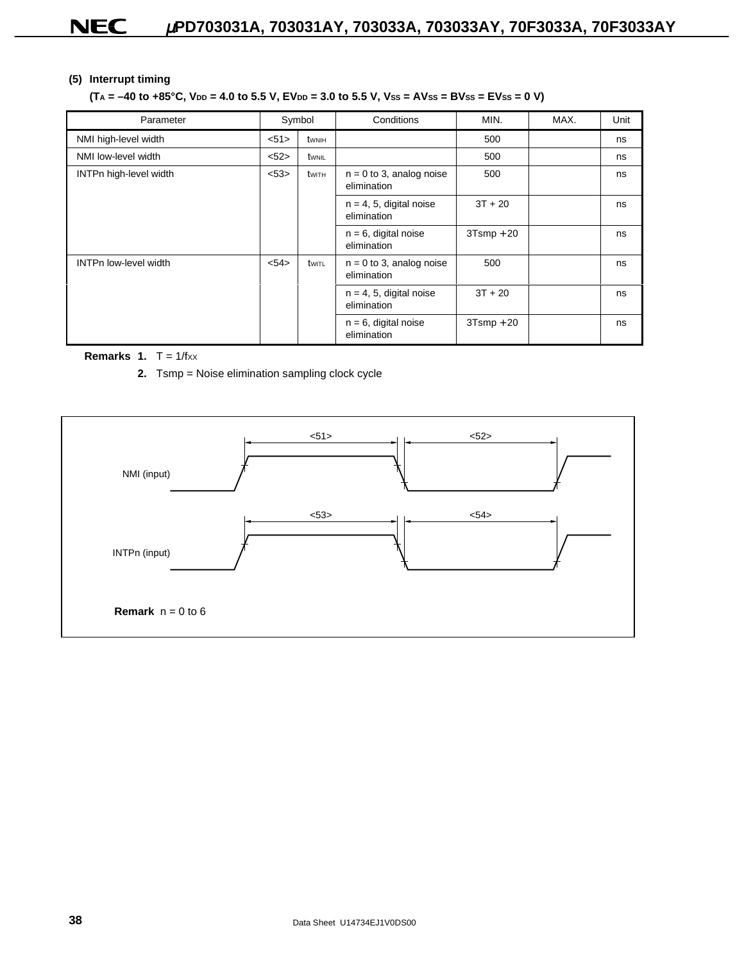### **(5) Interrupt timing**

### $(T_A = -40$  to  $+85^{\circ}$ C,  $V_{DD} = 4.0$  to 5.5 V,  $E V_{DD} = 3.0$  to 5.5 V,  $V_{SS} = AV_{SS} = BV_{SS} = DV_{SS} = 0$  V)

| Parameter                    | Symbol         |       | Conditions                                | MIN.         | MAX. | Unit |
|------------------------------|----------------|-------|-------------------------------------------|--------------|------|------|
| NMI high-level width         | < 51           | twnih |                                           | 500          |      | ns   |
| NMI low-level width          | <52>           | twnil |                                           | 500          |      | ns   |
| INTPn high-level width       | < 53><br>twith |       | $n = 0$ to 3, analog noise<br>elimination | 500          |      | ns   |
|                              |                |       | $n = 4, 5,$ digital noise<br>elimination  | $3T + 20$    |      | ns   |
|                              |                |       | $n = 6$ , digital noise<br>elimination    | $3Tsmp + 20$ |      | ns   |
| <b>INTPn low-level width</b> | < 54           | twitl | $n = 0$ to 3, analog noise<br>elimination | 500          |      | ns   |
|                              |                |       | $n = 4, 5,$ digital noise<br>elimination  | $3T + 20$    |      | ns   |
|                              |                |       | $n = 6$ , digital noise<br>elimination    | $3Tsmp + 20$ |      | ns   |

#### **Remarks 1.**  $T = 1/fxx$

**2.** Tsmp = Noise elimination sampling clock cycle

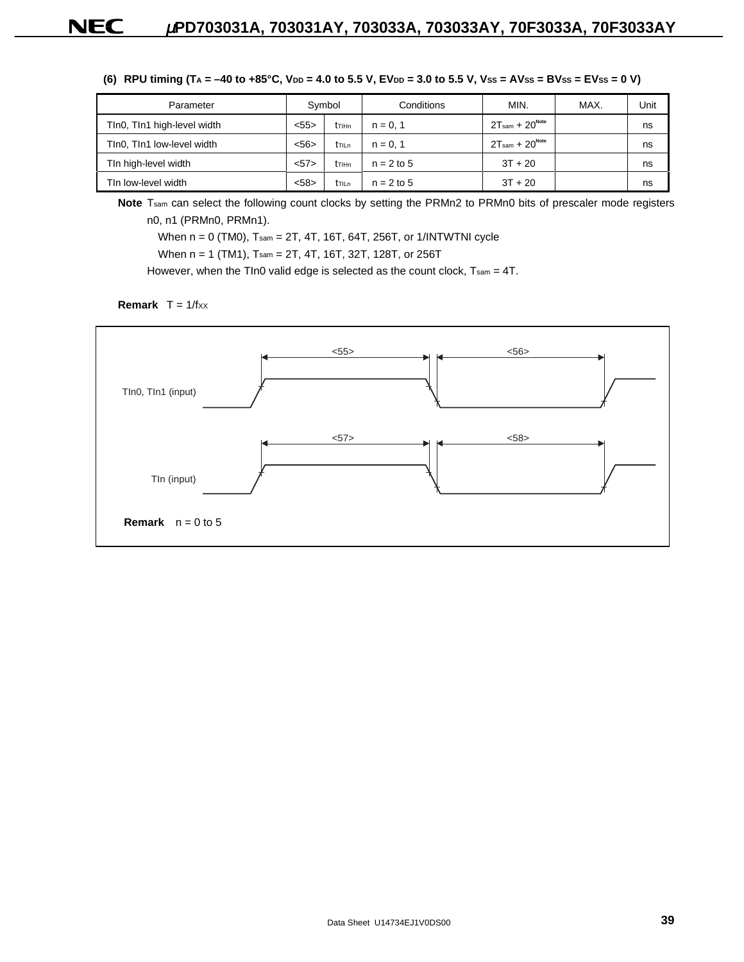(6) RPU timing  $(T_A = -40 \text{ to } +85^{\circ}\text{C}, \text{ V}_{DD} = 4.0 \text{ to } 5.5 \text{ V}, \text{E} \text{V}_{DD} = 3.0 \text{ to } 5.5 \text{ V}, \text{V}_{SS} = \text{AVss} = \text{B} \text{V}_{SS} = \text{E} \text{V}_{SS} = 0 \text{ V}$ 

| Parameter                   | Symbol |                               | Conditions   | MIN.             | MAX. | Unit |
|-----------------------------|--------|-------------------------------|--------------|------------------|------|------|
| TIn0, TIn1 high-level width | < 55   | t <sub>T</sub> <sub>IHn</sub> | $n = 0.1$    | $2Tsam + 20Note$ |      | ns   |
| TIn0, TIn1 low-level width  | < 56   | <b>t</b> TILn                 | $n = 0.1$    | $2Tsam + 20Note$ |      | ns   |
| Tin high-level width        | 57>    | t <sub>T</sub> <sub>IHn</sub> | $n = 2$ to 5 | $3T + 20$        |      | ns   |
| Tin low-level width         | < 58   | <b>t</b> TILn                 | $n = 2$ to 5 | $3T + 20$        |      | ns   |

**Note** Tsam can select the following count clocks by setting the PRMn2 to PRMn0 bits of prescaler mode registers n0, n1 (PRMn0, PRMn1).

When n = 0 (TM0), Tsam = 2T, 4T, 16T, 64T, 256T, or 1/INTWTNI cycle

When n = 1 (TM1), Tsam = 2T, 4T, 16T, 32T, 128T, or 256T

However, when the TIn0 valid edge is selected as the count clock, Tsam = 4T.



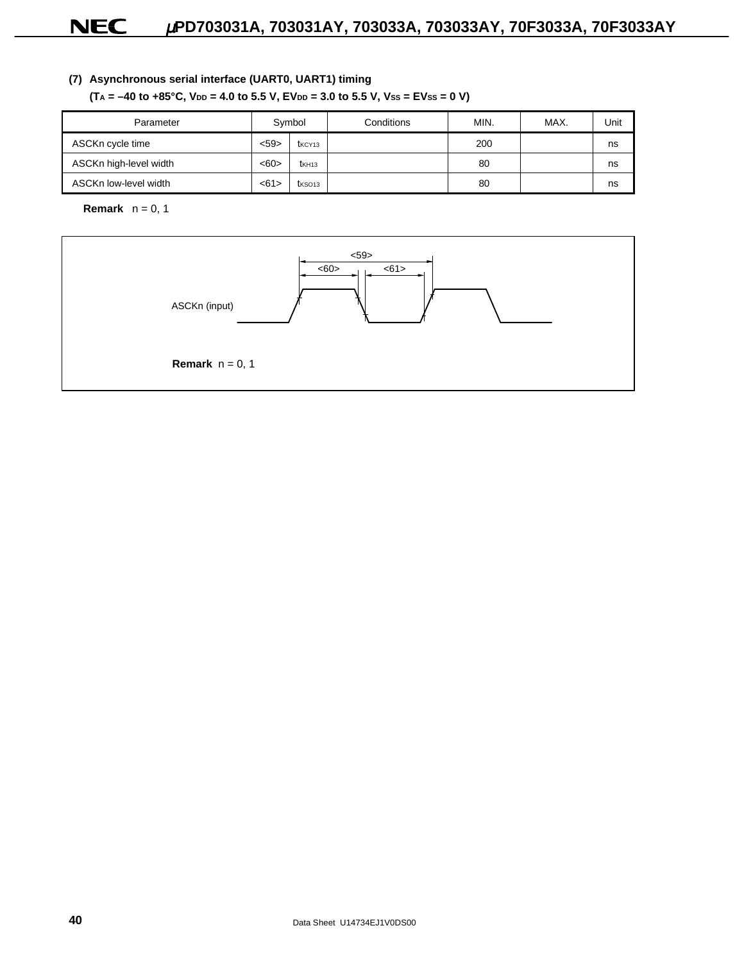### **(7) Asynchronous serial interface (UART0, UART1) timing**

 $(T_A = -40$  to  $+85^{\circ}$ C,  $V_{DD} = 4.0$  to 5.5 V,  $E$ V<sub>DD</sub> = 3.0 to 5.5 V, Vss = EVss = 0 V)

| Parameter              | Symbol |                    | Conditions | MIN. | MAX. | Unit |
|------------------------|--------|--------------------|------------|------|------|------|
| ASCKn cycle time       | $59$   | t <sub>KCY13</sub> |            | 200  |      | ns   |
| ASCKn high-level width | <60>   | t <sub>KH13</sub>  |            | 80   |      | ns   |
| ASCKn low-level width  | < 61   | t <sub>KSO13</sub> |            | 80   |      | ns   |

**Remark**  $n = 0, 1$ 

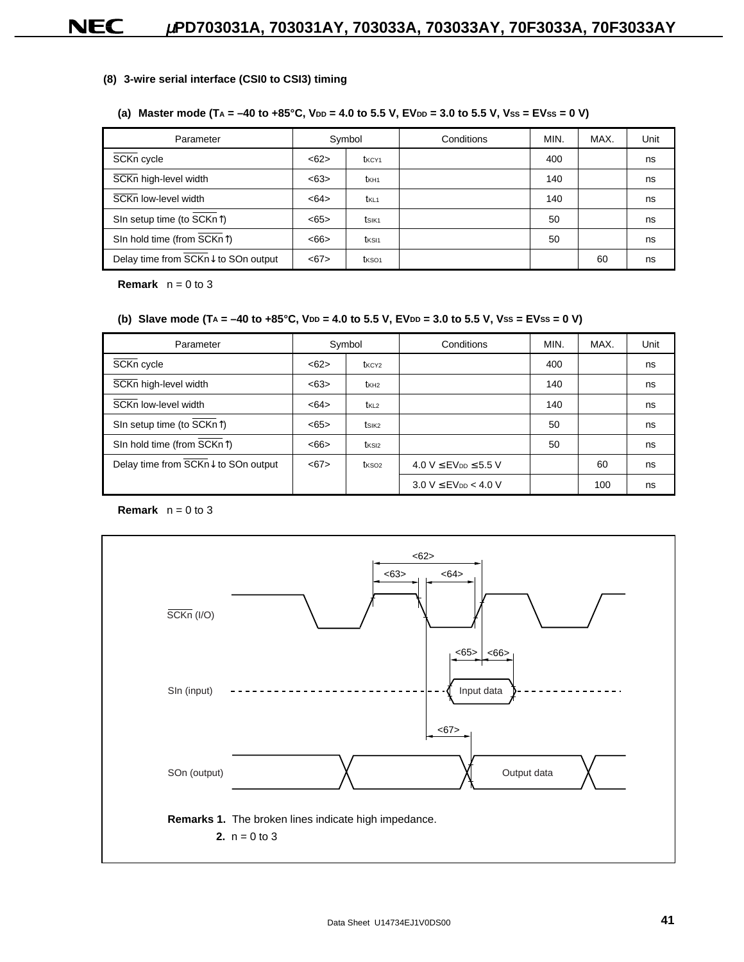#### **(8) 3-wire serial interface (CSI0 to CSI3) timing**

### (a) Master mode  $(T_A = -40 \text{ to } +85^{\circ}\text{C}, \text{V}_{DD} = 4.0 \text{ to } 5.5 \text{ V}, \text{E} \text{V}_{DD} = 3.0 \text{ to } 5.5 \text{ V}, \text{V}_{SS} = \text{E} \text{V}_{SS} = 0 \text{ V}$

| Parameter                               |      | Symbol            | Conditions | MIN. | MAX. | Unit |
|-----------------------------------------|------|-------------------|------------|------|------|------|
| SCKn cycle                              | <62> | t <sub>KCY1</sub> |            | 400  |      | ns   |
| SCKn high-level width                   | <63> | t <sub>KH1</sub>  |            | 140  |      | ns   |
| SCKn low-level width                    | <64> | t <sub>KL1</sub>  |            | 140  |      | ns   |
| SIn setup time (to $SCKn$ )             | <65> | tsik <sub>1</sub> |            | 50   |      | ns   |
| SIn hold time (from SCKn <sup>1</sup> ) | <66  | t <sub>KSI1</sub> |            | 50   |      | ns   |
| Delay time from SCKn↓ to SOn output     | < 67 | t <sub>KSO1</sub> |            |      | 60   | ns   |

**Remark**  $n = 0$  to 3

#### (b) Slave mode  $(T_A = -40 \text{ to } +85^{\circ}\text{C}, \text{ V}_{DD} = 4.0 \text{ to } 5.5 \text{ V}, \text{E} \text{V}_{DD} = 3.0 \text{ to } 5.5 \text{ V}, \text{V}_{SS} = \text{E} \text{V}_{SS} = 0 \text{ V}$

| Parameter                               |      | Symbol            | Conditions                                 | MIN. | MAX. | Unit |
|-----------------------------------------|------|-------------------|--------------------------------------------|------|------|------|
| SCKn cycle                              | <62> | t <sub>KCY2</sub> |                                            | 400  |      | ns   |
| SCKn high-level width                   | <63> | t <sub>KH2</sub>  |                                            | 140  |      | ns   |
| SCKn low-level width                    | <64> | t <sub>KL2</sub>  |                                            | 140  |      | ns   |
| SIn setup time (to $\overline{SCKn}$ )  | <65> | tsik <sub>2</sub> |                                            | 50   |      | ns   |
| SIn hold time (from $\overline{SCKn}$ ) | <66  | t <sub>KSI2</sub> |                                            | 50   |      | ns   |
| Delay time from SCKn↓ to SOn output     | < 67 | t <sub>KSO2</sub> | 4.0 V $\leq$ EV <sub>DD</sub> $\leq$ 5.5 V |      | 60   | ns   |
|                                         |      |                   | $3.0 V \leq EV_{DD} < 4.0 V$               |      | 100  | ns   |

**Remark**  $n = 0$  to 3

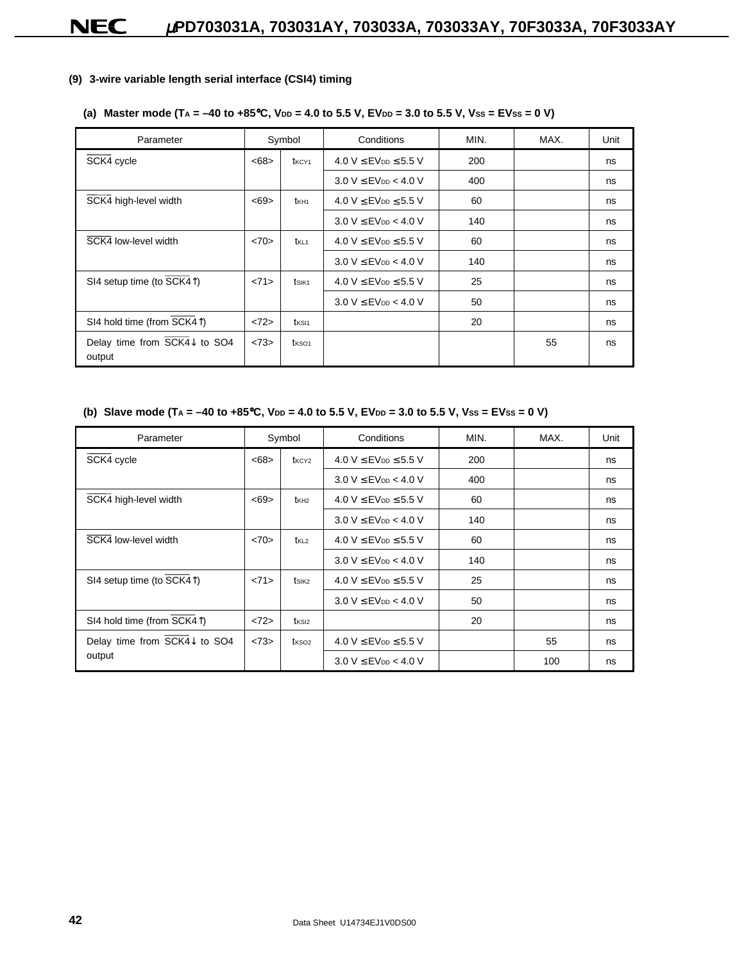#### **(9) 3-wire variable length serial interface (CSI4) timing**

### (a) Master mode  $(T_A = -40 \text{ to } +85^{\circ}\text{C}, \text{V}_{DD} = 4.0 \text{ to } 5.5 \text{ V}, \text{E} \text{V}_{DD} = 3.0 \text{ to } 5.5 \text{ V}, \text{V}_{SS} = \text{E} \text{V}_{SS} = 0 \text{ V}$

| Parameter                                                   |      | Symbol            | Conditions                                 | MIN. | MAX. | Unit |
|-------------------------------------------------------------|------|-------------------|--------------------------------------------|------|------|------|
| SCK4 cycle                                                  | <68  | t <sub>KCY1</sub> | 4.0 $V \leq$ EV <sub>DD</sub> $\leq$ 5.5 V | 200  |      | ns   |
|                                                             |      |                   | $3.0 V \leq EV_{DD} < 4.0 V$               | 400  |      | ns   |
| SCK4 high-level width                                       | < 69 | t <sub>KH1</sub>  | 4.0 $V \leq$ EV <sub>DD</sub> $\leq$ 5.5 V | 60   |      | ns   |
|                                                             |      |                   | $3.0 V \leq EV_{DD} < 4.0 V$               | 140  |      | ns   |
| SCK4 low-level width                                        | <70> | t <sub>KL1</sub>  | 4.0 $V \leq$ EV <sub>DD</sub> $\leq$ 5.5 V | 60   |      | ns   |
|                                                             |      |                   | $3.0 V \leq$ EV <sub>DD</sub> $< 4.0 V$    | 140  |      | ns   |
| SI4 setup time (to SCK4 <sup><math>\uparrow</math></sup> )  | <71> | tsik <sub>1</sub> | 4.0 $V \leq$ EV <sub>DD</sub> $\leq$ 5.5 V | 25   |      | ns   |
|                                                             |      |                   | $3.0 V \leq EV_{DD} < 4.0 V$               | 50   |      | ns   |
| SI4 hold time (from SCK4 <sup><math>\uparrow</math></sup> ) | <72> | t <sub>KSI1</sub> |                                            | 20   |      | ns   |
| Delay time from SCK4↓ to SO4<br>output                      | <73> | t <sub>KSO1</sub> |                                            |      | 55   | ns   |

#### (b) Slave mode  $(T_A = -40 \text{ to } +85^{\circ}\text{C}, \text{V}_{DD} = 4.0 \text{ to } 5.5 \text{ V}, \text{E} \text{V}_{DD} = 3.0 \text{ to } 5.5 \text{ V}, \text{V}_{SS} = \text{E} \text{V}_{SS} = 0 \text{ V}$

| Parameter                                |      | MIN.<br>Symbol<br>Conditions |                                            | MAX. | Unit |    |
|------------------------------------------|------|------------------------------|--------------------------------------------|------|------|----|
| SCK4 cycle                               | <68  | t <sub>KCY2</sub>            | 4.0 V $\leq$ EV <sub>DD</sub> $\leq$ 5.5 V | 200  |      | ns |
|                                          |      |                              | $3.0 V \leq EV_{DD} < 4.0 V$               | 400  |      | ns |
| SCK4 high-level width                    | < 69 | t <sub>KH2</sub>             | 4.0 $V \leq$ EV <sub>DD</sub> $\leq$ 5.5 V | 60   |      | ns |
|                                          |      |                              | $3.0 V \leq EV_{DD} < 4.0 V$               | 140  |      | ns |
| SCK4 low-level width                     | <70> | $t_{KL2}$                    | 4.0 V $\leq$ EV <sub>DD</sub> $\leq$ 5.5 V | 60   |      | ns |
|                                          |      |                              | $3.0 V \leq$ EV <sub>DD</sub> $< 4.0 V$    | 140  |      | ns |
| SI4 setup time (to SCK4 <sup>1</sup> )   | <71> | tsik <sub>2</sub>            | 4.0 V $\leq$ EV <sub>DD</sub> $\leq$ 5.5 V | 25   |      | ns |
|                                          |      |                              | $3.0 V \leq EV_{DD} < 4.0 V$               | 50   |      | ns |
| SI4 hold time (from SCK41)               | <72> | t <sub>KSI2</sub>            |                                            | 20   |      | ns |
| Delay time from $\overline{SCK4}$ to SO4 | <73> | t <sub>KSO2</sub>            | 4.0 $V \leq$ EV <sub>DD</sub> $\leq$ 5.5 V |      | 55   | ns |
| output                                   |      |                              | $3.0 V \leq EV_{DD} < 4.0 V$               |      | 100  | ns |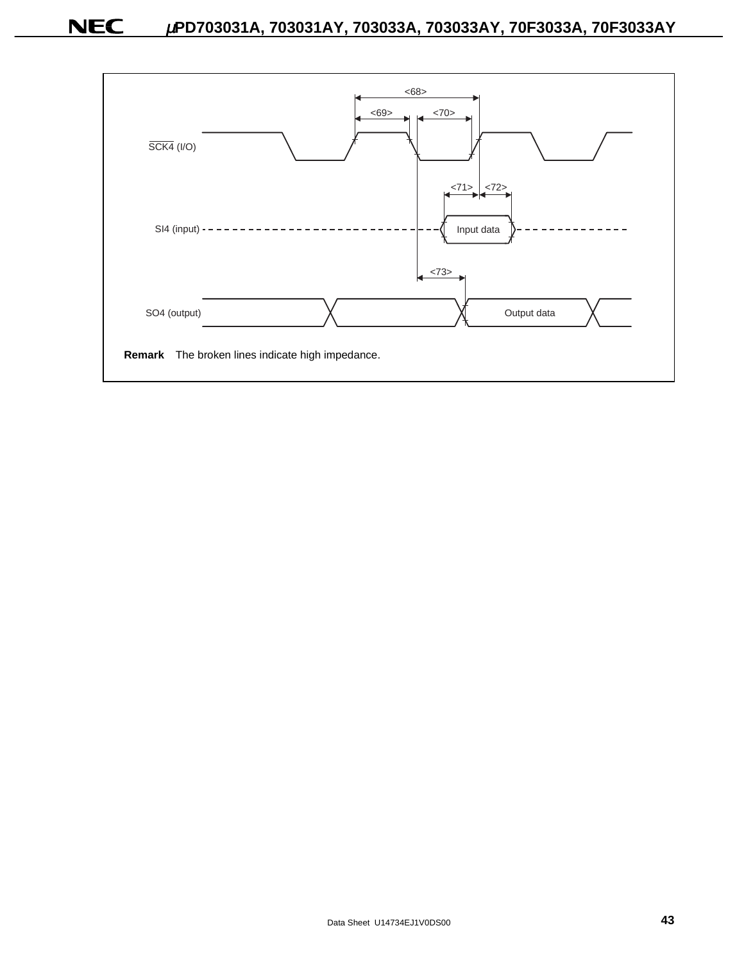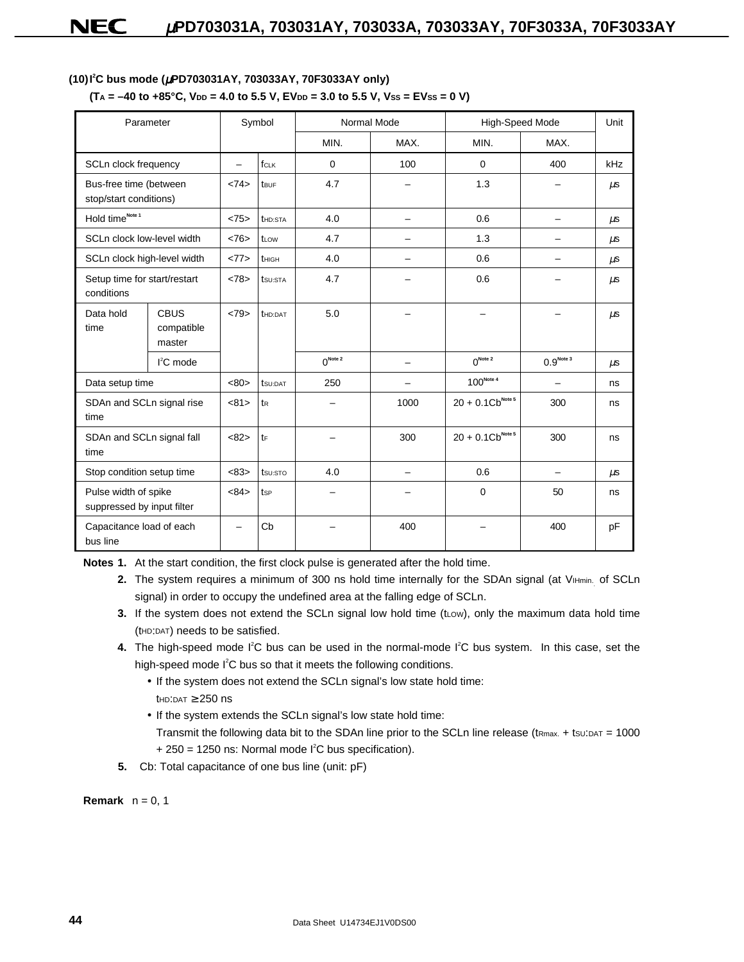#### **(10)I<sup>2</sup> C bus mode (**µ**PD703031AY, 703033AY, 70F3033AY only)**

| Parameter                                          |                                     |                                                                       | Symbol           |                            | Normal Mode              |                            | High-Speed Mode          |         |  |
|----------------------------------------------------|-------------------------------------|-----------------------------------------------------------------------|------------------|----------------------------|--------------------------|----------------------------|--------------------------|---------|--|
|                                                    |                                     |                                                                       |                  | MIN.                       | MAX.                     | MIN.                       | MAX.                     |         |  |
| SCLn clock frequency                               |                                     | fcLK<br>100<br>$\mathbf 0$<br>$\mathbf 0$<br>$\overline{\phantom{0}}$ |                  | 400                        | kHz                      |                            |                          |         |  |
| Bus-free time (between<br>stop/start conditions)   |                                     | <74>                                                                  | t <sub>BUF</sub> | 4.7                        | -                        | 1.3                        | -                        | $\mu$ s |  |
| Hold time <sup>Note 1</sup>                        |                                     | <75>                                                                  | <b>thd:STA</b>   | 4.0                        | $\overline{\phantom{0}}$ | 0.6                        | -                        | $\mu$ s |  |
| SCLn clock low-level width                         |                                     | <76                                                                   | t <sub>Low</sub> | 4.7                        |                          | 1.3                        |                          | $\mu$ s |  |
| SCLn clock high-level width                        |                                     | <77>                                                                  | tHIGH            | 4.0                        |                          | 0.6                        |                          | $\mu$ s |  |
| Setup time for start/restart<br>conditions         |                                     | <78>                                                                  | tsu:STA          | 4.7                        |                          | 0.6                        |                          | $\mu$ s |  |
| Data hold<br>time                                  | <b>CBUS</b><br>compatible<br>master | <79>                                                                  | <b>t</b> HD:DAT  | 5.0                        | $\overline{\phantom{0}}$ | $\overline{\phantom{0}}$   |                          | $\mu$ s |  |
|                                                    | I <sup>2</sup> C mode               |                                                                       |                  | $\bigcap^{\text{Note } 2}$ |                          | $\bigcap^{\text{Note } 2}$ | $0.9$ <sup>Note 3</sup>  | $\mu$ s |  |
| Data setup time                                    |                                     | <80                                                                   | tsu:DAT          | 250                        |                          | $100^{Note 4}$             | $\overline{\phantom{0}}$ | ns      |  |
| SDAn and SCLn signal rise<br>time                  |                                     | <81>                                                                  | $t_{R}$          |                            | 1000                     | $20 + 0.1Cb^{Note 5}$      | 300                      | ns      |  |
| SDAn and SCLn signal fall<br>time                  |                                     | <82>                                                                  | $t_{F}$          |                            | 300                      | $20 + 0.1Cb^{Note 5}$      | 300                      | ns      |  |
| Stop condition setup time                          |                                     | <83>                                                                  | tsu:sto          | 4.0                        | $\overline{\phantom{0}}$ | 0.6                        |                          | $\mu$ s |  |
| Pulse width of spike<br>suppressed by input filter |                                     | <84>                                                                  | tsp              |                            |                          | $\Omega$                   | 50                       | ns      |  |
| Capacitance load of each<br>bus line               |                                     | -                                                                     | Cb               | -                          | 400                      | -                          | 400                      | pF      |  |

**Notes 1.** At the start condition, the first clock pulse is generated after the hold time.

- **2.** The system requires a minimum of 300 ns hold time internally for the SDAn signal (at VIHmin. of SCLn signal) in order to occupy the undefined area at the falling edge of SCLn.
- **3.** If the system does not extend the SCLn signal low hold time (tLow), only the maximum data hold time (tHD:DAT) needs to be satisfied.
- 4. The high-speed mode I<sup>2</sup>C bus can be used in the normal-mode I<sup>2</sup>C bus system. In this case, set the high-speed mode I<sup>2</sup>C bus so that it meets the following conditions.
	- If the system does not extend the SCLn signal's low state hold time:  $th$ D:DAT  $\geq$  250 ns
	- If the system extends the SCLn signal's low state hold time: Transmit the following data bit to the SDAn line prior to the SCLn line release ( $tmax. + tsU: DAT = 1000$ 
		- $+ 250 = 1250$  ns: Normal mode  $I^2C$  bus specification).
- **5.** Cb: Total capacitance of one bus line (unit: pF)

**Remark**  $n = 0, 1$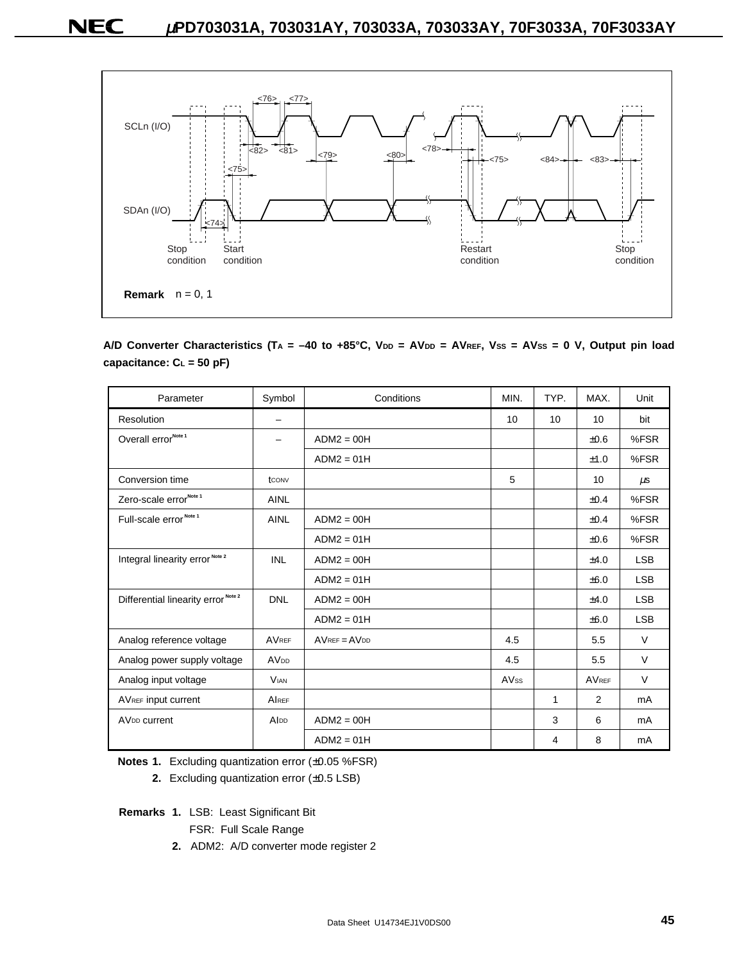

A/D Converter Characteristics (TA = -40 to +85°C, V<sub>DD</sub> = AV<sub>DD</sub> = AVREF, Vss = AVss = 0 V, Output pin load **capacitance: CL = 50 pF)**

| Parameter                                      | Symbol                   | Conditions                               | MIN.             | TYP. | MAX.           | Unit       |
|------------------------------------------------|--------------------------|------------------------------------------|------------------|------|----------------|------------|
| Resolution                                     | $\overline{\phantom{0}}$ |                                          | 10               | 10   | 10             | bit        |
| Overall error <sup>Note 1</sup>                | -                        | $ADM2 = OOH$                             |                  |      | $\pm 0.6$      | %FSR       |
|                                                |                          | $ADM2 = 01H$                             |                  |      | ±1.0           | %FSR       |
| Conversion time                                | tconv                    |                                          | 5                |      | 10             | $\mu$ s    |
| Zero-scale error <sup>Note 1</sup>             | <b>AINL</b>              |                                          |                  |      | $\pm 0.4$      | %FSR       |
| Full-scale error <sup>Note 1</sup>             | <b>AINL</b>              | $ADM2 = OOH$                             |                  |      | $\pm 0.4$      | %FSR       |
|                                                |                          | $ADM2 = 01H$                             |                  |      | $\pm 0.6$      | %FSR       |
| Integral linearity error <sup>Note 2</sup>     | <b>INL</b>               | $ADM2 = OOH$                             |                  |      | ±4.0           | <b>LSB</b> |
|                                                |                          | $ADM2 = 01H$                             |                  |      | $\pm 6.0$      | <b>LSB</b> |
| Differential linearity error <sup>Note 2</sup> | <b>DNL</b>               | $ADM2 = OOH$                             |                  |      | ±4.0           | <b>LSB</b> |
|                                                |                          | $ADM2 = 01H$                             |                  |      | ±6.0           | <b>LSB</b> |
| Analog reference voltage                       | <b>AVREF</b>             | $AV$ <sub>REF</sub> = $AV$ <sub>DD</sub> | 4.5              |      | 5.5            | $\vee$     |
| Analog power supply voltage                    | <b>AV<sub>DD</sub></b>   |                                          | 4.5              |      | 5.5            | $\vee$     |
| Analog input voltage                           | <b>VIAN</b>              |                                          | AV <sub>ss</sub> |      | <b>AVREF</b>   | $\vee$     |
| AVREF input current                            | <b>AIREF</b>             |                                          |                  | 1    | $\overline{2}$ | mA         |
| AV <sub>DD</sub> current                       | Alpp                     | $ADM2 = OOH$                             |                  | 3    | 6              | mA         |
|                                                |                          | $ADM2 = 01H$                             |                  | 4    | 8              | mA         |

**Notes 1.** Excluding quantization error (±0.05 %FSR)

**2.** Excluding quantization error (±0.5 LSB)

**Remarks 1.** LSB: Least Significant Bit

- FSR: Full Scale Range
- **2.** ADM2: A/D converter mode register 2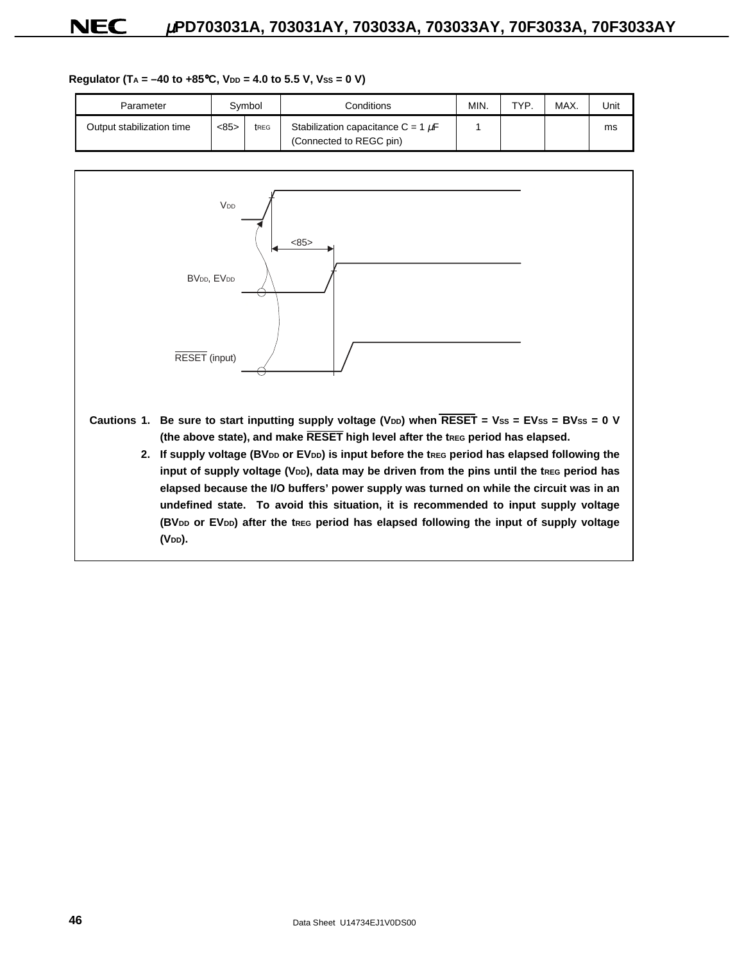#### Regulator (T<sub>A</sub> = -40 to +85°C, V<sub>DD</sub> = 4.0 to 5.5 V, Vss = 0 V)

| Parameter                 |      | Svmbol | Conditions                                                         | <b>MIN</b> | TYP | MAX. | Unit |
|---------------------------|------|--------|--------------------------------------------------------------------|------------|-----|------|------|
| Output stabilization time | <85> | treg   | Stabilization capacitance C = 1 $\mu$ F<br>(Connected to REGC pin) |            |     |      | ms   |



**(VDD).**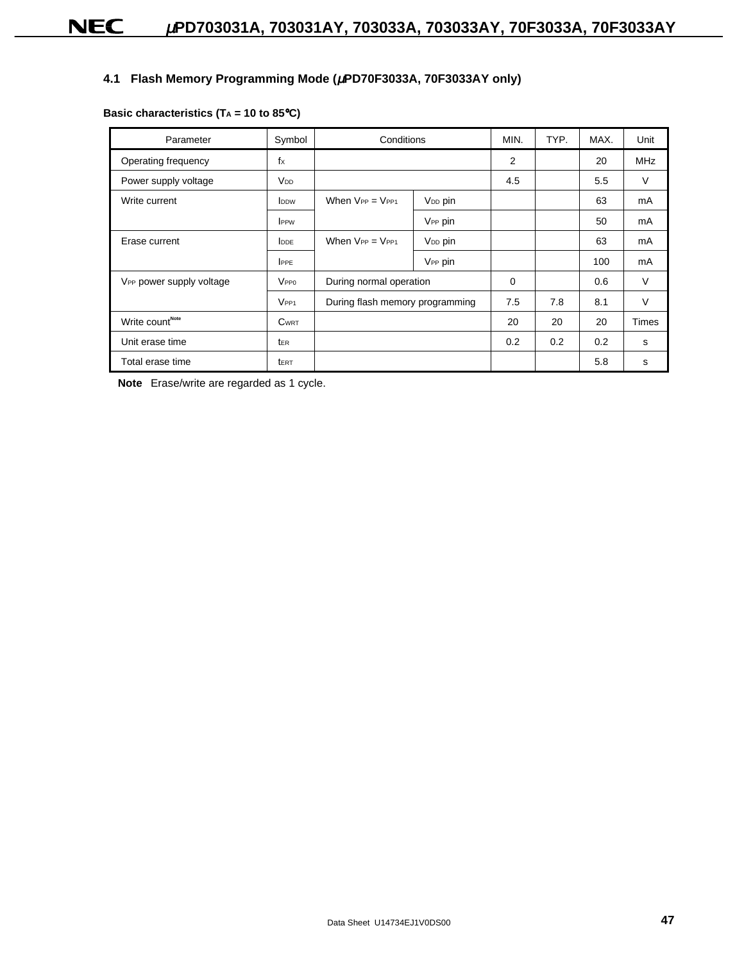### **4.1 Flash Memory Programming Mode (**µ**PD70F3033A, 70F3033AY only)**

| Parameter                            | Symbol           | Conditions                      |                         | MIN. | TYP. | MAX. | Unit         |
|--------------------------------------|------------------|---------------------------------|-------------------------|------|------|------|--------------|
| Operating frequency                  | $f_X$            |                                 |                         | 2    |      | 20   | <b>MHz</b>   |
| Power supply voltage                 | V <sub>DD</sub>  |                                 |                         | 4.5  |      | 5.5  | $\vee$       |
| Write current                        | <b>IDDW</b>      | When $V_{PP} = V_{PP1}$         | V <sub>DD</sub> pin     |      |      | 63   | mA           |
|                                      | <b>IPPW</b>      |                                 | V <sub>PP</sub> pin     |      |      | 50   | mA           |
| Erase current                        | <b>DDE</b>       | When $V_{PP} = V_{PP1}$         | V <sub>DD</sub> pin     |      |      | 63   | mA           |
|                                      | <b>IPPE</b>      |                                 | V <sub>PP</sub> pin     |      |      | 100  | mA           |
| V <sub>PP</sub> power supply voltage | <b>VPPO</b>      |                                 | During normal operation |      |      | 0.6  | V            |
|                                      | VPP <sub>1</sub> | During flash memory programming |                         | 7.5  | 7.8  | 8.1  | $\vee$       |
| Write count <sup>Note</sup>          | <b>CWRT</b>      |                                 |                         | 20   | 20   | 20   | <b>Times</b> |
| Unit erase time                      | ter              |                                 |                         | 0.2  | 0.2  | 0.2  | s            |
| Total erase time                     | <b>t</b> ERT     |                                 |                         |      |      | 5.8  | s            |

**Note** Erase/write are regarded as 1 cycle.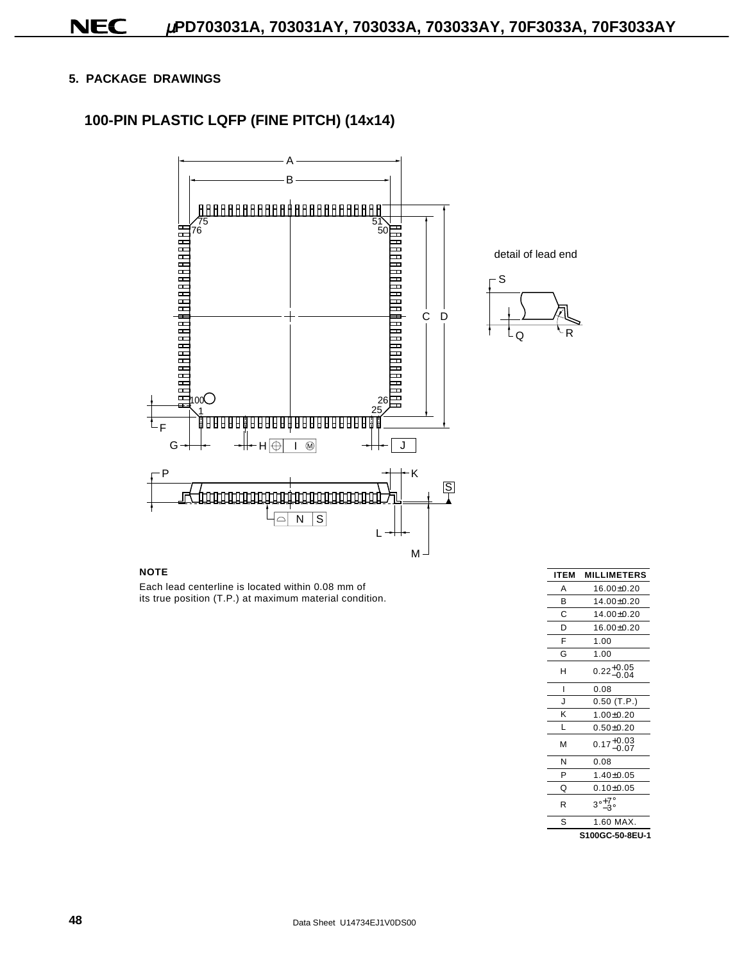### **5. PACKAGE DRAWINGS**

### **100-PIN PLASTIC LQFP (FINE PITCH) (14x14)**



#### **NOTE**

Each lead centerline is located within 0.08 mm of its true position (T.P.) at maximum material condition.

| <b>ITEM</b> | <b>MILLIMETERS</b>     |
|-------------|------------------------|
| А           | $16.00 + 0.20$         |
| в           | 14.00±0.20             |
| C           | $14.00 + 0.20$         |
| D           | 16.00±0.20             |
| F           | 1.00                   |
| G           | 1.00                   |
| н           | $0.22^{+0.05}_{-0.04}$ |
| ı           | 0.08                   |
| J           | $0.50$ (T.P.)          |
| K           | $1.00 + 0.20$          |
| L           | $0.50 + 0.20$          |
| M           | $0.17^{+0.03}_{-0.07}$ |
| N           | 0.08                   |
| P           | $1.40 + 0.05$          |
| Q           | $0.10 + 0.05$          |
| R           | $3^\circ - 7^\circ$    |
| S           | 1.60 MAX.              |
|             | S100GC-50-8EU-1        |

R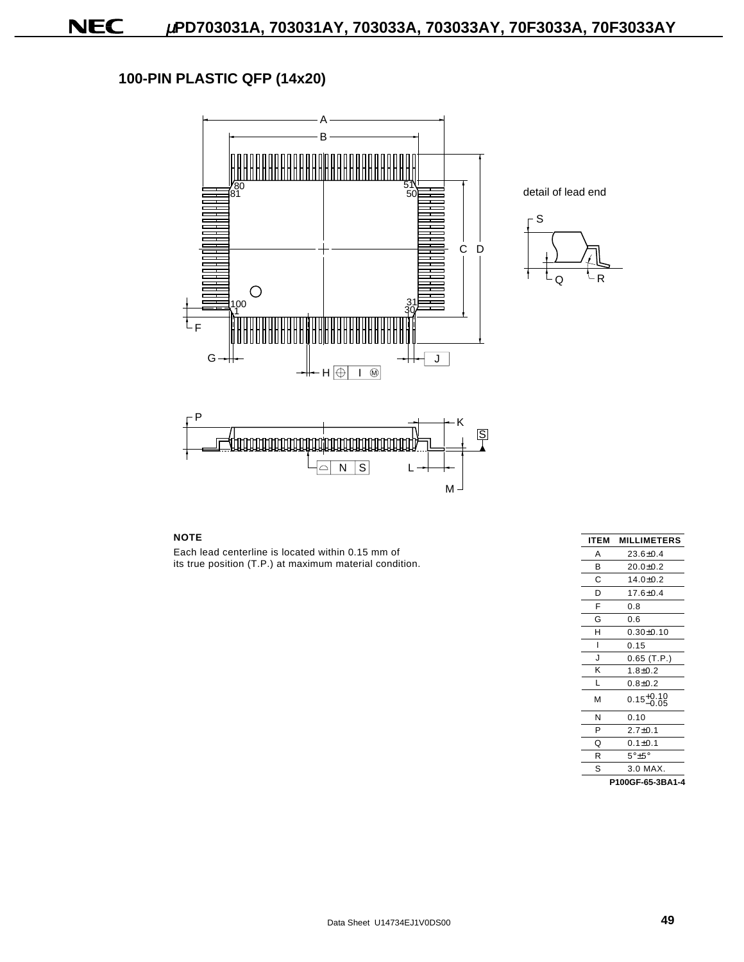## **100-PIN PLASTIC QFP (14x20)**





detail of lead end



#### **NOTE**

Each lead centerline is located within 0.15 mm of its true position (T.P.) at maximum material condition.

| ITEM    | <b>MILLIMETERS</b>     |
|---------|------------------------|
| A       | $23.6 + 0.4$           |
| B       | $20.0 + 0.2$           |
| С       | $14.0 + 0.2$           |
| D       | 17.6±0.4               |
| F       | 0.8                    |
| G       | 0.6                    |
| H       | $0.30 + 0.10$          |
| ı       | 0.15                   |
| $\cdot$ | $0.65$ (T.P.)          |
| K       | $1.8 + 0.2$            |
| L       | $0.8 + 0.2$            |
| м       | $0.15^{+0.10}_{-0.05}$ |
| N       | 0.10                   |
| P       | $2.7 + 0.1$            |
| Q       | $0.1 + 0.1$            |
| R       | $5^\circ + 5^\circ$    |
| S       | $3.0$ MAX.             |
|         | P100GF-65-3BA1-4       |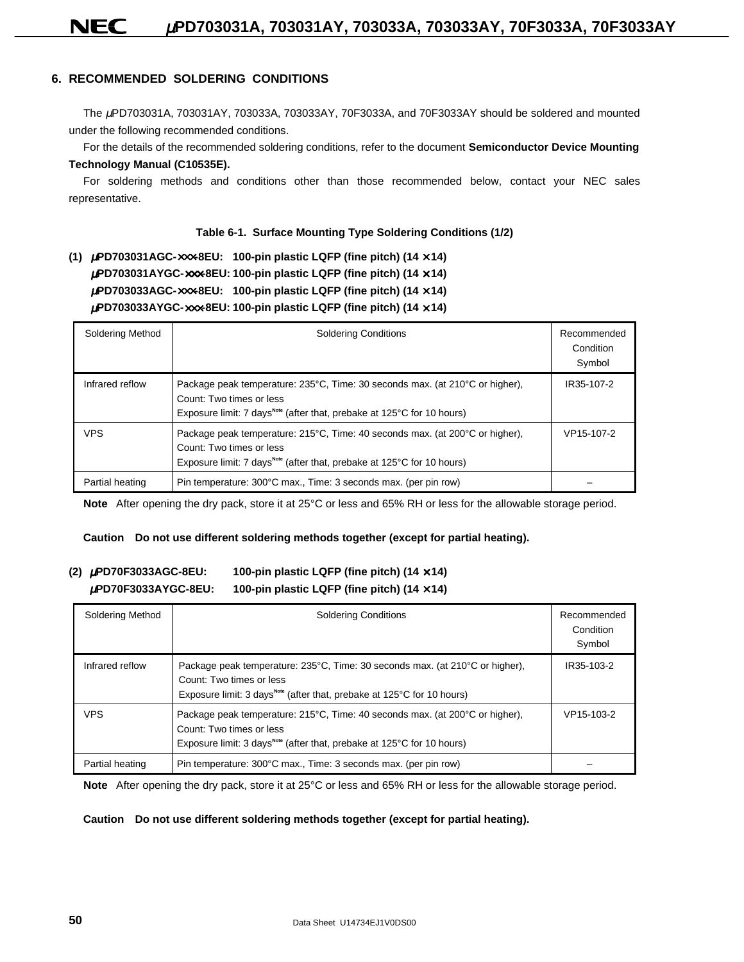### **6. RECOMMENDED SOLDERING CONDITIONS**

The µPD703031A, 703031AY, 703033A, 703033AY, 70F3033A, and 70F3033AY should be soldered and mounted under the following recommended conditions.

For the details of the recommended soldering conditions, refer to the document **Semiconductor Device Mounting Technology Manual (C10535E).**

For soldering methods and conditions other than those recommended below, contact your NEC sales representative.

#### **Table 6-1. Surface Mounting Type Soldering Conditions (1/2)**

**(1)** <sup>µ</sup>**PD703031AGC-**×××**-8EU: 100-pin plastic LQFP (fine pitch) (14** × **14)** <sup>µ</sup>**PD703031AYGC-**×××**-8EU: 100-pin plastic LQFP (fine pitch) (14** × **14)** <sup>µ</sup>**PD703033AGC-**×××**-8EU: 100-pin plastic LQFP (fine pitch) (14** × **14)** <sup>µ</sup>**PD703033AYGC-**×××**-8EU: 100-pin plastic LQFP (fine pitch) (14** × **14)**

| Soldering Method | <b>Soldering Conditions</b>                                                                                                                                                                    | Recommended<br>Condition<br>Symbol |
|------------------|------------------------------------------------------------------------------------------------------------------------------------------------------------------------------------------------|------------------------------------|
| Infrared reflow  | Package peak temperature: 235°C, Time: 30 seconds max. (at 210°C or higher),<br>Count: Two times or less<br>Exposure limit: 7 days <sup>Note</sup> (after that, prebake at 125°C for 10 hours) | IR35-107-2                         |
| <b>VPS</b>       | Package peak temperature: 215°C, Time: 40 seconds max. (at 200°C or higher),<br>Count: Two times or less<br>Exposure limit: 7 days <sup>Note</sup> (after that, prebake at 125°C for 10 hours) | VP15-107-2                         |
| Partial heating  | Pin temperature: 300°C max., Time: 3 seconds max. (per pin row)                                                                                                                                |                                    |

**Note** After opening the dry pack, store it at 25°C or less and 65% RH or less for the allowable storage period.

#### **Caution Do not use different soldering methods together (except for partial heating).**

### **(2)** <sup>µ</sup>**PD70F3033AGC-8EU: 100-pin plastic LQFP (fine pitch) (14** × **14)** <sup>µ</sup>**PD70F3033AYGC-8EU: 100-pin plastic LQFP (fine pitch) (14** × **14)**

| Soldering Method | <b>Soldering Conditions</b>                                                                                                                                                                    | Recommended<br>Condition<br>Symbol |
|------------------|------------------------------------------------------------------------------------------------------------------------------------------------------------------------------------------------|------------------------------------|
| Infrared reflow  | Package peak temperature: 235°C, Time: 30 seconds max. (at 210°C or higher),<br>Count: Two times or less<br>Exposure limit: 3 days <sup>Note</sup> (after that, prebake at 125°C for 10 hours) | IR35-103-2                         |
| <b>VPS</b>       | Package peak temperature: 215°C, Time: 40 seconds max. (at 200°C or higher),<br>Count: Two times or less<br>Exposure limit: 3 days <sup>Note</sup> (after that, prebake at 125°C for 10 hours) | VP15-103-2                         |
| Partial heating  | Pin temperature: 300°C max., Time: 3 seconds max. (per pin row)                                                                                                                                |                                    |

**Note** After opening the dry pack, store it at 25°C or less and 65% RH or less for the allowable storage period.

#### **Caution Do not use different soldering methods together (except for partial heating).**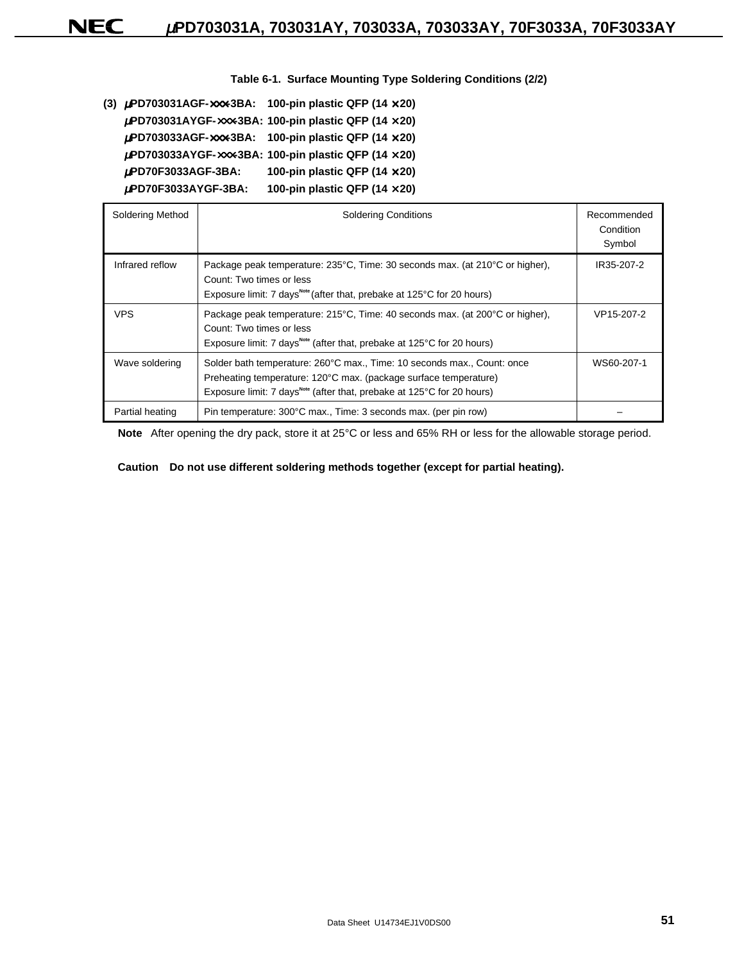**Table 6-1. Surface Mounting Type Soldering Conditions (2/2)**

|                          | (3) $\mu$ PD703031AGF-xxx-3BA: 100-pin plastic QFP (14 x 20)                            |
|--------------------------|-----------------------------------------------------------------------------------------|
|                          | $\mu$ PD703031AYGF- $\times\!\times\!\times$ -3BA: 100-pin plastic QFP (14 $\times$ 20) |
|                          | $\mu$ PD703033AGF-xxx-3BA: 100-pin plastic QFP (14 x 20)                                |
|                          | $\mu$ PD703033AYGF-xxx-3BA: 100-pin plastic QFP (14 x 20)                               |
| $\mu$ PD70F3033AGF-3BA:  | 100-pin plastic QFP (14 $\times$ 20)                                                    |
| $\mu$ PD70F3033AYGF-3BA: | 100-pin plastic QFP (14 $\times$ 20)                                                    |
|                          |                                                                                         |

| Soldering Method | <b>Soldering Conditions</b>                                                                                                                                                                                                       | Recommended<br>Condition<br>Symbol |
|------------------|-----------------------------------------------------------------------------------------------------------------------------------------------------------------------------------------------------------------------------------|------------------------------------|
| Infrared reflow  | Package peak temperature: 235°C, Time: 30 seconds max. (at 210°C or higher),<br>Count: Two times or less<br>Exposure limit: 7 days <sup>Note</sup> (after that, prebake at 125°C for 20 hours)                                    | IR35-207-2                         |
| <b>VPS</b>       | Package peak temperature: 215°C, Time: 40 seconds max. (at 200°C or higher),<br>Count: Two times or less<br>Exposure limit: 7 days <sup>Note</sup> (after that, prebake at 125°C for 20 hours)                                    | VP15-207-2                         |
| Wave soldering   | Solder bath temperature: 260°C max., Time: 10 seconds max., Count: once<br>Preheating temperature: 120°C max. (package surface temperature)<br>Exposure limit: 7 days <sup>Note</sup> (after that, prebake at 125°C for 20 hours) | WS60-207-1                         |
| Partial heating  | Pin temperature: 300°C max., Time: 3 seconds max. (per pin row)                                                                                                                                                                   |                                    |

**Note** After opening the dry pack, store it at 25°C or less and 65% RH or less for the allowable storage period.

#### **Caution Do not use different soldering methods together (except for partial heating).**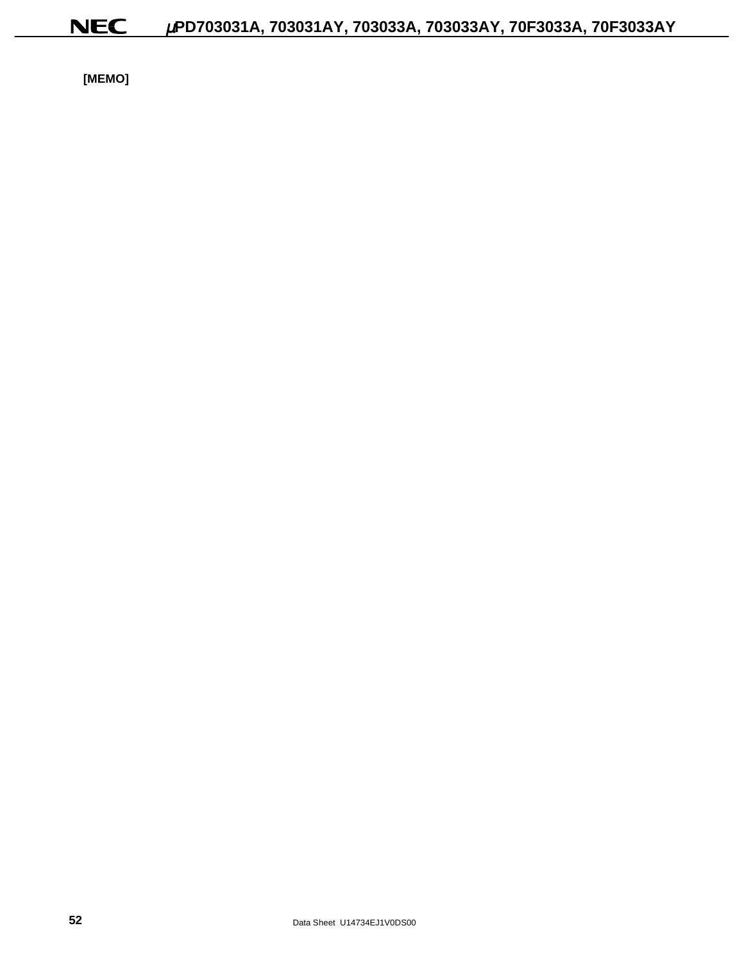**[MEMO]**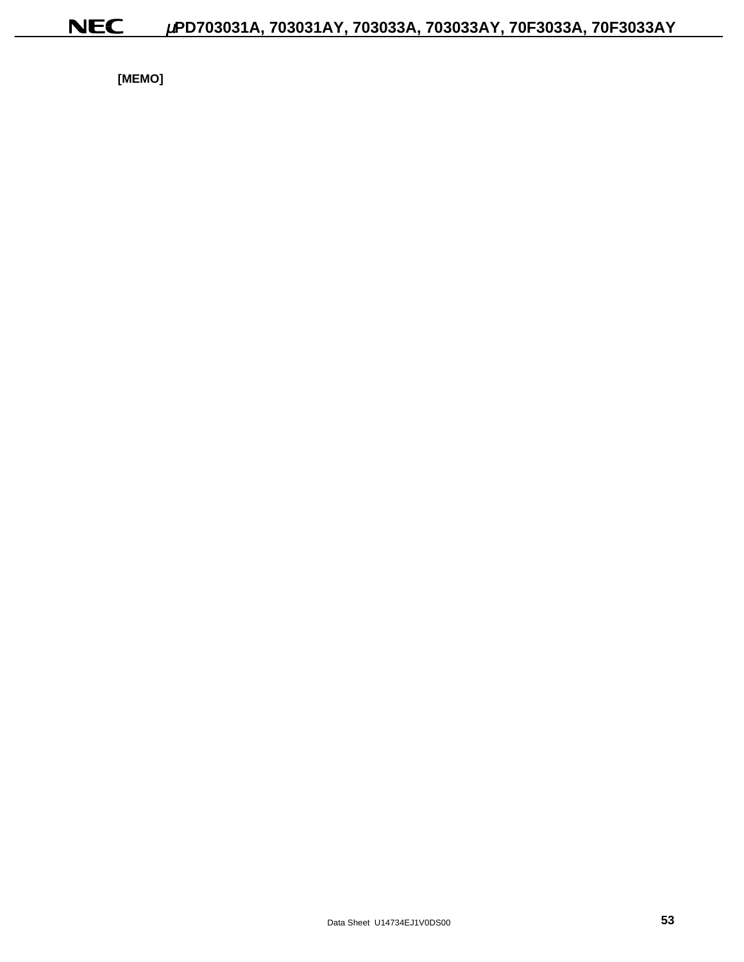**[MEMO]**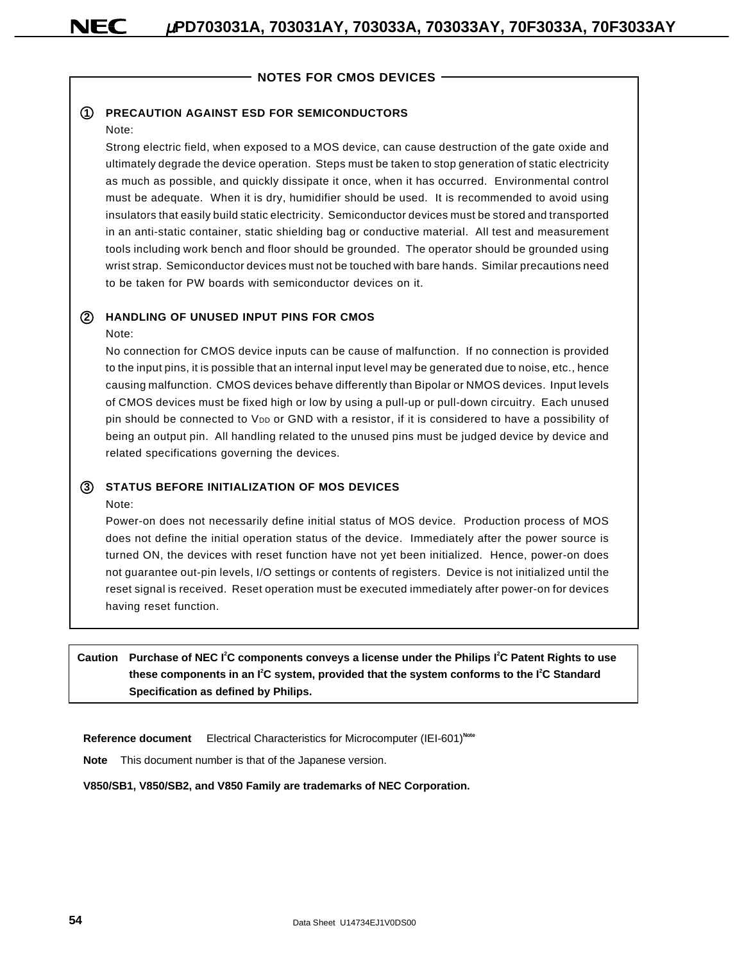### **NOTES FOR CMOS DEVICES**

#### **1 PRECAUTION AGAINST ESD FOR SEMICONDUCTORS**

#### Note:

Strong electric field, when exposed to a MOS device, can cause destruction of the gate oxide and ultimately degrade the device operation. Steps must be taken to stop generation of static electricity as much as possible, and quickly dissipate it once, when it has occurred. Environmental control must be adequate. When it is dry, humidifier should be used. It is recommended to avoid using insulators that easily build static electricity. Semiconductor devices must be stored and transported in an anti-static container, static shielding bag or conductive material. All test and measurement tools including work bench and floor should be grounded. The operator should be grounded using wrist strap. Semiconductor devices must not be touched with bare hands. Similar precautions need to be taken for PW boards with semiconductor devices on it.

### **2 HANDLING OF UNUSED INPUT PINS FOR CMOS**

#### Note:

No connection for CMOS device inputs can be cause of malfunction. If no connection is provided to the input pins, it is possible that an internal input level may be generated due to noise, etc., hence causing malfunction. CMOS devices behave differently than Bipolar or NMOS devices. Input levels of CMOS devices must be fixed high or low by using a pull-up or pull-down circuitry. Each unused pin should be connected to V<sub>DD</sub> or GND with a resistor, if it is considered to have a possibility of being an output pin. All handling related to the unused pins must be judged device by device and related specifications governing the devices.

#### **3 STATUS BEFORE INITIALIZATION OF MOS DEVICES**

#### Note:

Power-on does not necessarily define initial status of MOS device. Production process of MOS does not define the initial operation status of the device. Immediately after the power source is turned ON, the devices with reset function have not yet been initialized. Hence, power-on does not guarantee out-pin levels, I/O settings or contents of registers. Device is not initialized until the reset signal is received. Reset operation must be executed immediately after power-on for devices having reset function.

**Caution Purchase of NEC I<sup>2</sup> C components conveys a license under the Philips I<sup>2</sup> C Patent Rights to use these components in an I<sup>2</sup> C system, provided that the system conforms to the I<sup>2</sup> C Standard Specification as defined by Philips.**

**Reference document** Electrical Characteristics for Microcomputer (IEI-601)<sup>Note</sup>

**Note** This document number is that of the Japanese version.

**V850/SB1, V850/SB2, and V850 Family are trademarks of NEC Corporation.**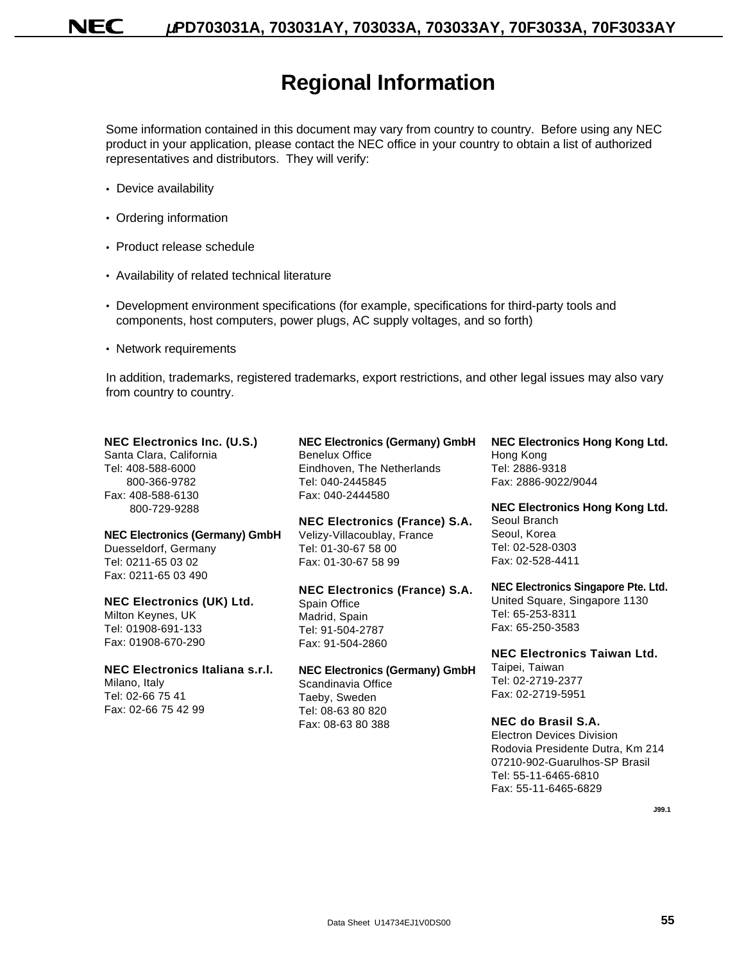# **Regional Information**

Some information contained in this document may vary from country to country. Before using any NEC product in your application, please contact the NEC office in your country to obtain a list of authorized representatives and distributors. They will verify:

- Device availability
- Ordering information
- Product release schedule
- Availability of related technical literature
- Development environment specifications (for example, specifications for third-party tools and components, host computers, power plugs, AC supply voltages, and so forth)
- Network requirements

In addition, trademarks, registered trademarks, export restrictions, and other legal issues may also vary from country to country.

| <b>NEC Electronics Inc. (U.S.)</b>    | <b>NEC Electronics (Germany) GmbH</b> | <b>NEC Electronics Hong Kong Ltd.</b> |
|---------------------------------------|---------------------------------------|---------------------------------------|
| Santa Clara, California               | <b>Benelux Office</b>                 | Hong Kong                             |
| Tel: 408-588-6000                     | Eindhoven, The Netherlands            | Tel: 2886-9318                        |
| 800-366-9782                          | Tel: 040-2445845                      | Fax: 2886-9022/9044                   |
| Fax: 408-588-6130                     | Fax: 040-2444580                      |                                       |
| 800-729-9288                          |                                       | <b>NEC Electronics Hong Kong Ltd.</b> |
|                                       | <b>NEC Electronics (France) S.A.</b>  | Seoul Branch                          |
| <b>NEC Electronics (Germany) GmbH</b> | Velizy-Villacoublay, France           | Seoul, Korea                          |
| Duesseldorf, Germany                  | Tel: 01-30-67 58 00                   | Tel: 02-528-0303                      |
| Tel: 0211-65 03 02                    | Fax: 01-30-67 58 99                   | Fax: 02-528-4411                      |
| Fax: 0211-65 03 490                   |                                       |                                       |
|                                       | <b>NEC Electronics (France) S.A.</b>  | NEC Electronics Singapore Pte. Ltd.   |
| <b>NEC Electronics (UK) Ltd.</b>      | Spain Office                          | United Square, Singapore 1130         |
| Milton Keynes, UK                     | Madrid, Spain                         | Tel: 65-253-8311                      |
| Tel: 01908-691-133                    | Tel: 91-504-2787                      | Fax: 65-250-3583                      |
| Fax: 01908-670-290                    | Fax: 91-504-2860                      |                                       |
|                                       |                                       | <b>NEC Electronics Taiwan Ltd.</b>    |
| NEC Electronics Italiana s.r.l.       | <b>NEC Electronics (Germany) GmbH</b> | Taipei, Taiwan                        |
| Milano, Italy                         | Scandinavia Office                    | Tel: 02-2719-2377                     |
| Tel: 02-66 75 41                      | Taeby, Sweden                         | Fax: 02-2719-5951                     |
| Fax: 02-66 75 42 99                   | Tel: 08-63 80 820                     |                                       |
|                                       | Fax: 08-63 80 388                     | NEC do Brasil S.A.                    |
|                                       |                                       | <b>Electron Devices Division</b>      |
|                                       |                                       | Rodovia Presidente Dutra, Km 214      |
|                                       |                                       | 07210-902-Guarulhos-SP Brasil         |
|                                       |                                       | Tel: 55-11-6465-6810                  |
|                                       |                                       |                                       |

**J99.1**

Fax: 55-11-6465-6829